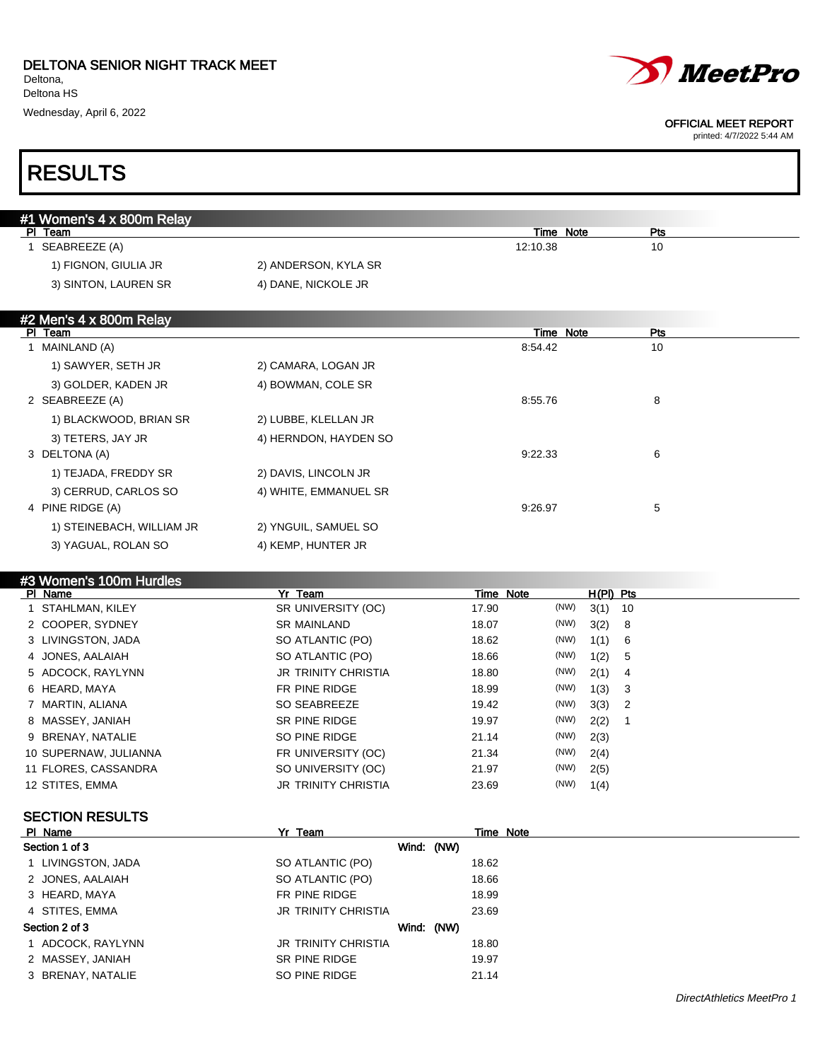

printed: 4/7/2022 5:44 AM

### RESULTS

| #1 Women's 4 x 800m Relay |                      |           |     |
|---------------------------|----------------------|-----------|-----|
| Team<br>ΡI                |                      | Time Note | Pts |
| SEABREEZE (A)             |                      | 12:10.38  | 10  |
| 1) FIGNON, GIULIA JR      | 2) ANDERSON, KYLA SR |           |     |
| 3) SINTON, LAUREN SR      | 4) DANE, NICKOLE JR  |           |     |
|                           |                      |           |     |

### #2 Men's 4 x 800m Relay

| Team<br>PI.               |                       | Time Note | Pts |  |
|---------------------------|-----------------------|-----------|-----|--|
| MAINLAND (A)              |                       | 8:54.42   | 10  |  |
| 1) SAWYER, SETH JR        | 2) CAMARA, LOGAN JR   |           |     |  |
| 3) GOLDER, KADEN JR       | 4) BOWMAN, COLE SR    |           |     |  |
| 2 SEABREEZE (A)           |                       | 8:55.76   | 8   |  |
| 1) BLACKWOOD, BRIAN SR    | 2) LUBBE, KLELLAN JR  |           |     |  |
| 3) TETERS, JAY JR         | 4) HERNDON, HAYDEN SO |           |     |  |
| 3 DELTONA (A)             |                       | 9:22.33   | 6   |  |
| 1) TEJADA, FREDDY SR      | 2) DAVIS, LINCOLN JR  |           |     |  |
| 3) CERRUD, CARLOS SO      | 4) WHITE, EMMANUEL SR |           |     |  |
| 4 PINE RIDGE (A)          |                       | 9:26.97   | 5   |  |
| 1) STEINEBACH, WILLIAM JR | 2) YNGUIL, SAMUEL SO  |           |     |  |
| 3) YAGUAL, ROLAN SO       | 4) KEMP, HUNTER JR    |           |     |  |

### #3 Women's 100m Hurdles

| PI Name               | Yr Team                    | Time Note |      | $H(PI)$ Pts |     |
|-----------------------|----------------------------|-----------|------|-------------|-----|
| 1 STAHLMAN, KILEY     | SR UNIVERSITY (OC)         | 17.90     | (NW) | $3(1)$ 10   |     |
| 2 COOPER, SYDNEY      | <b>SR MAINLAND</b>         | 18.07     | (NW) | 3(2)        | 8   |
| 3 LIVINGSTON, JADA    | SO ATLANTIC (PO)           | 18.62     | (NW) | 1(1)        | - 6 |
| 4 JONES, AALAIAH      | SO ATLANTIC (PO)           | 18.66     | (NW) | 1(2)        | - 5 |
| 5 ADCOCK, RAYLYNN     | <b>JR TRINITY CHRISTIA</b> | 18.80     | (NW) | 2(1)        | -4  |
| 6 HEARD, MAYA         | FR PINE RIDGE              | 18.99     | (NW) | 1(3)        | - 3 |
| 7 MARTIN, ALIANA      | SO SEABREEZE               | 19.42     | (NW) | $3(3)$ 2    |     |
| 8 MASSEY, JANIAH      | SR PINE RIDGE              | 19.97     | (NW) | 2(2)        |     |
| 9 BRENAY, NATALIE     | SO PINE RIDGE              | 21.14     | (NW) | 2(3)        |     |
| 10 SUPERNAW, JULIANNA | FR UNIVERSITY (OC)         | 21.34     | (NW) | 2(4)        |     |
| 11 FLORES, CASSANDRA  | SO UNIVERSITY (OC)         | 21.97     | (NW) | 2(5)        |     |
| 12 STITES, EMMA       | <b>JR TRINITY CHRISTIA</b> | 23.69     | (NW) | 1(4)        |     |

### SECTION RESULTS

| PI Name            | Yr Team                    | Time Note |
|--------------------|----------------------------|-----------|
| Section 1 of 3     | Wind: (NW)                 |           |
| 1 LIVINGSTON, JADA | SO ATLANTIC (PO)           | 18.62     |
| 2 JONES, AALAIAH   | SO ATLANTIC (PO)           | 18.66     |
| 3 HEARD, MAYA      | FR PINE RIDGE              | 18.99     |
| 4 STITES, EMMA     | <b>JR TRINITY CHRISTIA</b> | 23.69     |
| Section 2 of 3     | Wind: (NW)                 |           |
| 1 ADCOCK, RAYLYNN  | <b>JR TRINITY CHRISTIA</b> | 18.80     |
| 2 MASSEY, JANIAH   | SR PINE RIDGE              | 19.97     |
| 3 BRENAY, NATALIE  | SO PINE RIDGE              | 21.14     |
|                    |                            |           |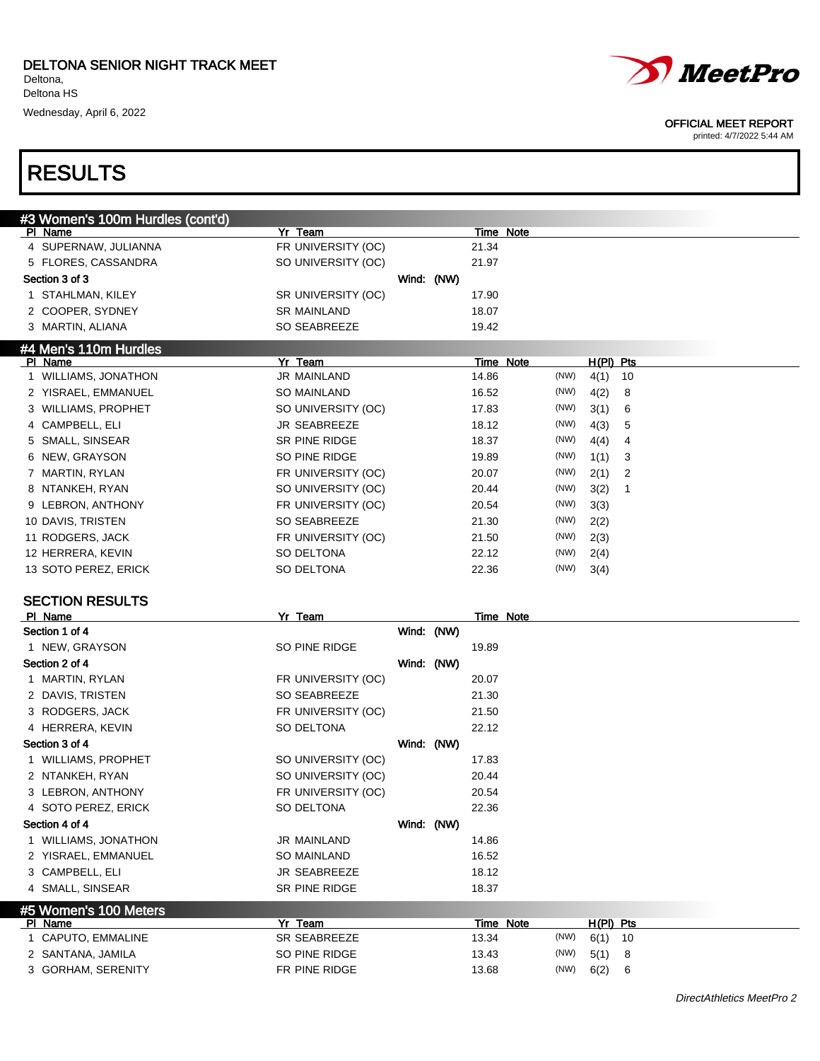

#### OFFICIAL MEET REPORT

printed: 4/7/2022 5:44 AM

### RESULTS

| #3 Women's 100m Hurdles (cont'd) |                    |            |            |       |           |      |             |    |  |
|----------------------------------|--------------------|------------|------------|-------|-----------|------|-------------|----|--|
| PI Name                          | Yr Team            |            |            |       | Time Note |      |             |    |  |
| 4 SUPERNAW, JULIANNA             | FR UNIVERSITY (OC) |            |            | 21.34 |           |      |             |    |  |
| 5 FLORES, CASSANDRA              | SO UNIVERSITY (OC) |            |            | 21.97 |           |      |             |    |  |
| Section 3 of 3                   |                    | Wind: (NW) |            |       |           |      |             |    |  |
| 1 STAHLMAN, KILEY                | SR UNIVERSITY (OC) |            |            | 17.90 |           |      |             |    |  |
| 2 COOPER, SYDNEY                 | <b>SR MAINLAND</b> |            |            | 18.07 |           |      |             |    |  |
| 3 MARTIN, ALIANA                 | SO SEABREEZE       |            |            | 19.42 |           |      |             |    |  |
| #4 Men's 110m Hurdles            |                    |            |            |       |           |      |             |    |  |
| PI Name                          | Yr Team            |            |            |       | Time Note |      | $H(PI)$ Pts |    |  |
| 1 WILLIAMS, JONATHON             | <b>JR MAINLAND</b> |            |            | 14.86 |           | (NW) | 4(1)        | 10 |  |
| 2 YISRAEL, EMMANUEL              | SO MAINLAND        |            |            | 16.52 |           | (NW) | 4(2)        | 8  |  |
| 3 WILLIAMS, PROPHET              | SO UNIVERSITY (OC) |            |            | 17.83 |           | (NW) | 3(1)        | 6  |  |
| 4 CAMPBELL, ELI                  | JR SEABREEZE       |            |            | 18.12 |           | (NW) | 4(3)        | 5  |  |
| 5 SMALL, SINSEAR                 | SR PINE RIDGE      |            |            | 18.37 |           | (NW) | 4(4)        | 4  |  |
| 6 NEW, GRAYSON                   | SO PINE RIDGE      |            |            | 19.89 |           | (NW) | 1(1)        | 3  |  |
| 7 MARTIN, RYLAN                  | FR UNIVERSITY (OC) |            |            | 20.07 |           | (NW) | 2(1)        | 2  |  |
| 8 NTANKEH, RYAN                  | SO UNIVERSITY (OC) |            |            | 20.44 |           | (NW) | 3(2)        | 1  |  |
| 9 LEBRON, ANTHONY                | FR UNIVERSITY (OC) |            |            | 20.54 |           | (NW) | 3(3)        |    |  |
| 10 DAVIS, TRISTEN                | SO SEABREEZE       |            |            | 21.30 |           | (NW) | 2(2)        |    |  |
| 11 RODGERS, JACK                 | FR UNIVERSITY (OC) |            |            | 21.50 |           | (NW) | 2(3)        |    |  |
| 12 HERRERA, KEVIN                | SO DELTONA         |            |            | 22.12 |           | (NW) | 2(4)        |    |  |
| 13 SOTO PEREZ, ERICK             | SO DELTONA         |            |            | 22.36 |           | (NW) |             |    |  |
|                                  |                    |            |            |       |           |      | 3(4)        |    |  |
| <b>SECTION RESULTS</b>           |                    |            |            |       |           |      |             |    |  |
| PI Name                          | Yr Team            |            |            |       | Time Note |      |             |    |  |
| Section 1 of 4                   |                    |            | Wind: (NW) |       |           |      |             |    |  |
| 1 NEW, GRAYSON                   | SO PINE RIDGE      |            |            | 19.89 |           |      |             |    |  |
| Section 2 of 4                   |                    | Wind: (NW) |            |       |           |      |             |    |  |
| 1 MARTIN, RYLAN                  | FR UNIVERSITY (OC) |            |            | 20.07 |           |      |             |    |  |
| 2 DAVIS, TRISTEN                 | SO SEABREEZE       |            |            | 21.30 |           |      |             |    |  |
|                                  |                    |            |            |       |           |      |             |    |  |
| 3 RODGERS, JACK                  | FR UNIVERSITY (OC) |            |            | 21.50 |           |      |             |    |  |
| 4 HERRERA, KEVIN                 | SO DELTONA         |            |            | 22.12 |           |      |             |    |  |
| Section 3 of 4                   |                    |            | Wind: (NW) |       |           |      |             |    |  |
| 1 WILLIAMS, PROPHET              | SO UNIVERSITY (OC) |            |            | 17.83 |           |      |             |    |  |
| 2 NTANKEH, RYAN                  | SO UNIVERSITY (OC) |            |            | 20.44 |           |      |             |    |  |
| 3 LEBRON, ANTHONY                | FR UNIVERSITY (OC) |            |            | 20.54 |           |      |             |    |  |
| 4 SOTO PEREZ, ERICK              | SO DELTONA         |            |            | 22.36 |           |      |             |    |  |
| Section 4 of 4                   |                    |            | Wind: (NW) |       |           |      |             |    |  |
| 1 WILLIAMS, JONATHON             | JR MAINLAND        |            |            | 14.86 |           |      |             |    |  |
| 2 YISRAEL, EMMANUEL              | SO MAINLAND        |            |            | 16.52 |           |      |             |    |  |
| 3 CAMPBELL, ELI                  | JR SEABREEZE       |            |            | 18.12 |           |      |             |    |  |
| 4 SMALL, SINSEAR                 | SR PINE RIDGE      |            |            | 18.37 |           |      |             |    |  |
| #5 Women's 100 Meters            |                    |            |            |       |           |      |             |    |  |
| PI Name                          | Yr Team            |            |            |       | Time Note |      | H(PI) Pts   |    |  |
| 1 CAPUTO, EMMALINE               | SR SEABREEZE       |            |            | 13.34 |           | (NW) | 6(1)        | 10 |  |
| 2 SANTANA, JAMILA                | SO PINE RIDGE      |            |            | 13.43 |           | (NW) | 5(1)        | 8  |  |
|                                  |                    |            |            |       |           |      |             |    |  |
| 3 GORHAM, SERENITY               | FR PINE RIDGE      |            |            | 13.68 |           | (NW) | 6(2)        | 6  |  |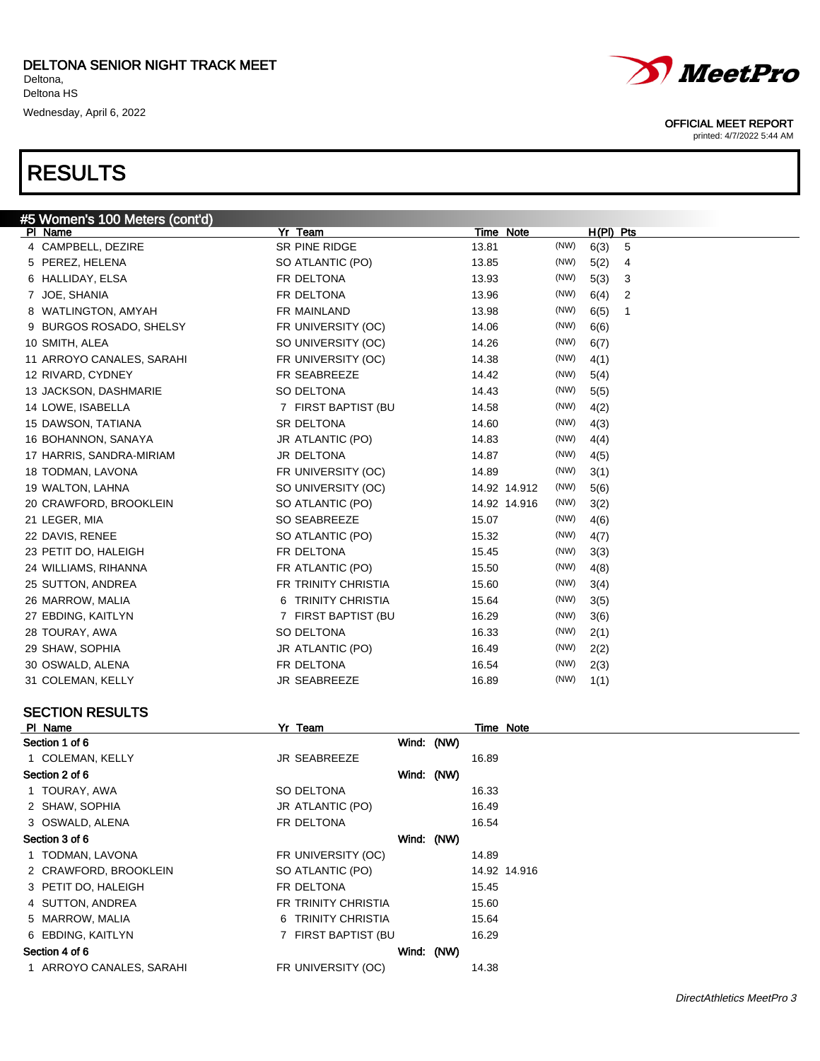

### SECTION RESULTS

| PI Name                | Yr Team             |            | Time Note    |
|------------------------|---------------------|------------|--------------|
| Section 1 of 6         |                     | Wind: (NW) |              |
| 1 COLEMAN, KELLY       | <b>JR SEABREEZE</b> |            | 16.89        |
| Section 2 of 6         |                     | Wind: (NW) |              |
| 1 TOURAY, AWA          | SO DELTONA          |            | 16.33        |
| 2 SHAW, SOPHIA         | JR ATLANTIC (PO)    |            | 16.49        |
| 3 OSWALD, ALENA        | FR DELTONA          |            | 16.54        |
| Section 3 of 6         |                     | Wind: (NW) |              |
| 1 TODMAN, LAVONA       | FR UNIVERSITY (OC)  |            | 14.89        |
| 2 CRAWFORD, BROOKLEIN  | SO ATLANTIC (PO)    |            | 14.92 14.916 |
| 3 PETIT DO, HALEIGH    | FR DELTONA          |            | 15.45        |
| 4 SUTTON, ANDREA       | FR TRINITY CHRISTIA |            | 15.60        |
| 5 MARROW, MALIA        | 6 TRINITY CHRISTIA  |            | 15.64        |
| 6 EBDING, KAITLYN      | 7 FIRST BAPTIST (BU |            | 16.29        |
| Section 4 of 6         |                     | Wind: (NW) |              |
| ARROYO CANALES, SARAHI | FR UNIVERSITY (OC)  |            | 14.38        |
|                        |                     |            |              |





OFFICIAL MEET REPORT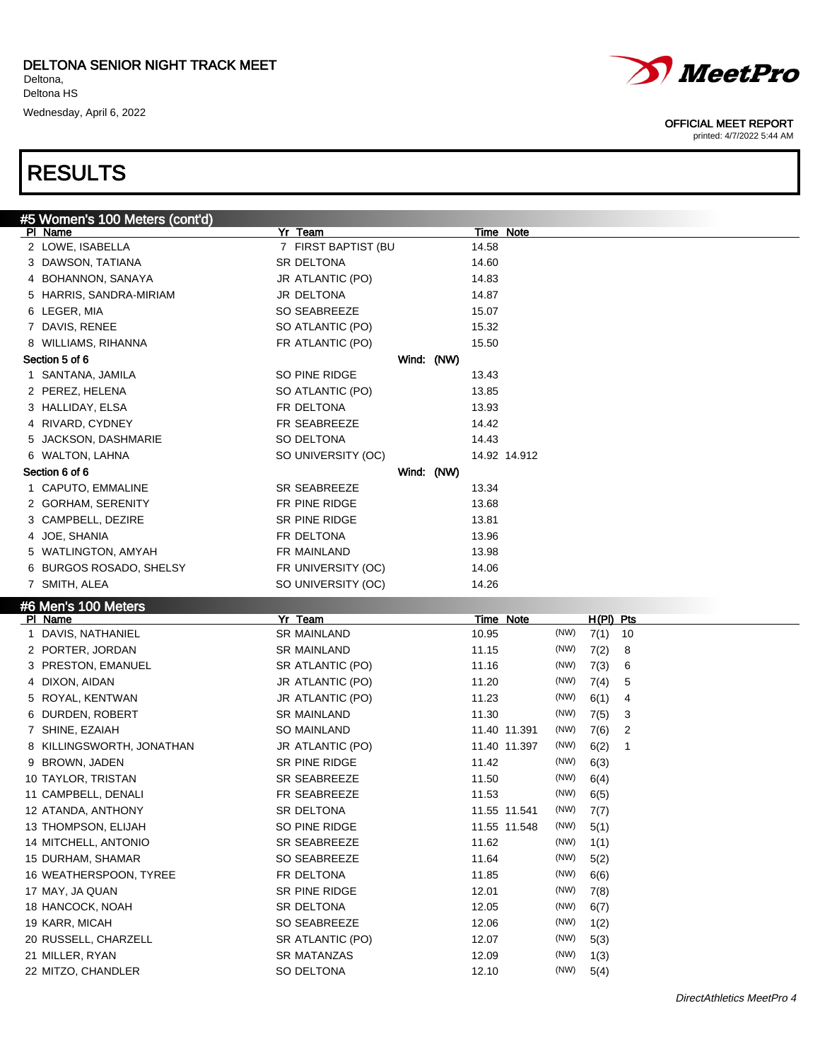# RESULTS

#5 Women's 100 Meters (cont'd)



21 MILLER, RYAN SANG TANG SANATANZAS 21 MILLER, RYAN 1(3) 22 MITZO, CHANDLER SO DELTONA 12.10 (NW) 5(4)

*MeetPro* 

#### OFFICIAL MEET REPORT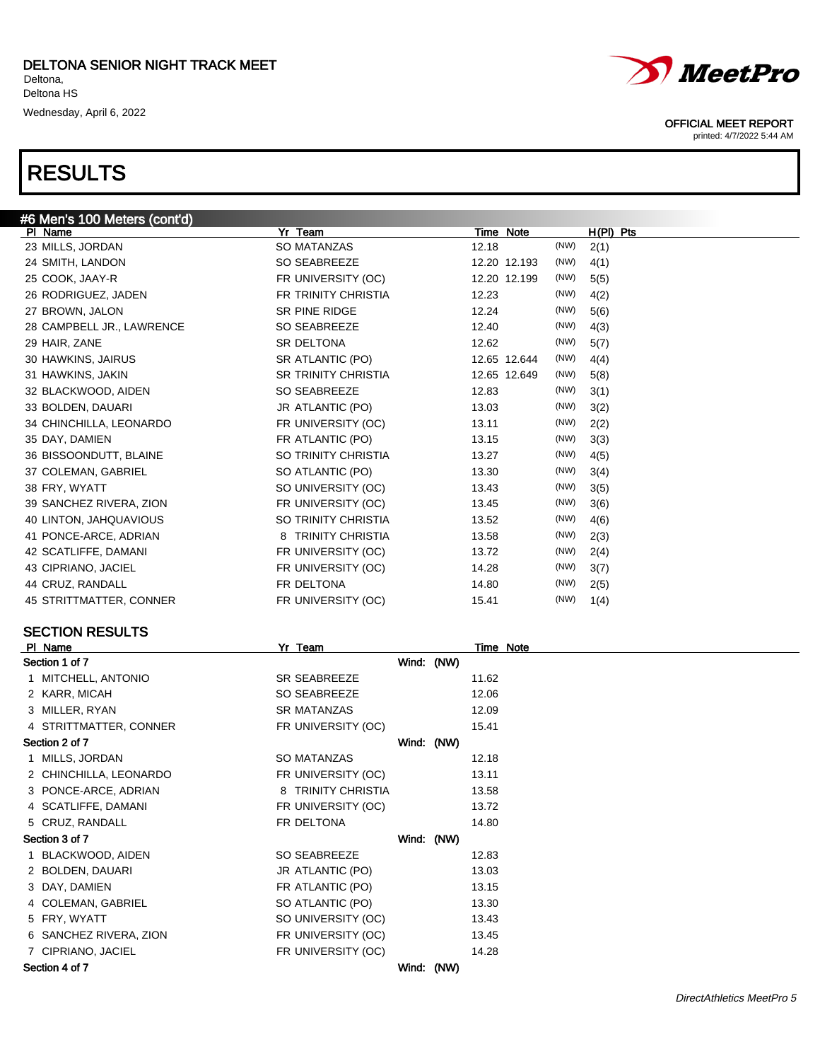

#### OFFICIAL MEET REPORT

printed: 4/7/2022 5:44 AM

| #6 Men's 100 Meters (cont'd) |                            |              |              |
|------------------------------|----------------------------|--------------|--------------|
| PI Name                      | Yr Team                    | Time Note    | $H(PI)$ Pts  |
| 23 MILLS, JORDAN             | <b>SO MATANZAS</b>         | 12.18        | (NW)<br>2(1) |
| 24 SMITH, LANDON             | SO SEABREEZE               | 12.20 12.193 | (NW)<br>4(1) |
| 25 COOK, JAAY-R              | FR UNIVERSITY (OC)         | 12.20 12.199 | (NW)<br>5(5) |
| 26 RODRIGUEZ, JADEN          | FR TRINITY CHRISTIA        | 12.23        | (NW)<br>4(2) |
| 27 BROWN, JALON              | <b>SR PINE RIDGE</b>       | 12.24        | (NW)<br>5(6) |
| 28 CAMPBELL JR., LAWRENCE    | SO SEABREEZE               | 12.40        | (NW)<br>4(3) |
| 29 HAIR, ZANE                | <b>SR DELTONA</b>          | 12.62        | (NW)<br>5(7) |
| 30 HAWKINS, JAIRUS           | SR ATLANTIC (PO)           | 12.65 12.644 | (NW)<br>4(4) |
| 31 HAWKINS, JAKIN            | <b>SR TRINITY CHRISTIA</b> | 12.65 12.649 | (NW)<br>5(8) |
| 32 BLACKWOOD, AIDEN          | SO SEABREEZE               | 12.83        | (NW)<br>3(1) |
| 33 BOLDEN, DAUARI            | JR ATLANTIC (PO)           | 13.03        | (NW)<br>3(2) |
| 34 CHINCHILLA, LEONARDO      | FR UNIVERSITY (OC)         | 13.11        | (NW)<br>2(2) |
| 35 DAY, DAMIEN               | FR ATLANTIC (PO)           | 13.15        | (NW)<br>3(3) |
| 36 BISSOONDUTT, BLAINE       | SO TRINITY CHRISTIA        | 13.27        | (NW)<br>4(5) |
| 37 COLEMAN, GABRIEL          | SO ATLANTIC (PO)           | 13.30        | (NW)<br>3(4) |
| 38 FRY, WYATT                | SO UNIVERSITY (OC)         | 13.43        | (NW)<br>3(5) |
| 39 SANCHEZ RIVERA, ZION      | FR UNIVERSITY (OC)         | 13.45        | (NW)<br>3(6) |
| 40 LINTON, JAHQUAVIOUS       | SO TRINITY CHRISTIA        | 13.52        | (NW)<br>4(6) |
| 41 PONCE-ARCE, ADRIAN        | 8 TRINITY CHRISTIA         | 13.58        | (NW)<br>2(3) |
| 42 SCATLIFFE, DAMANI         | FR UNIVERSITY (OC)         | 13.72        | (NW)<br>2(4) |
| 43 CIPRIANO, JACIEL          | FR UNIVERSITY (OC)         | 14.28        | (NW)<br>3(7) |
| 44 CRUZ, RANDALL             | FR DELTONA                 | 14.80        | (NW)<br>2(5) |
| 45 STRITTMATTER, CONNER      | FR UNIVERSITY (OC)         | 15.41        | (NW)<br>1(4) |
|                              |                            |              |              |

### SECTION RESULTS

| PI Name | <u>Yr Team</u>                                                                                                                                                                                                                                                                                                                                                                                                           |  | Time Note                                            |
|---------|--------------------------------------------------------------------------------------------------------------------------------------------------------------------------------------------------------------------------------------------------------------------------------------------------------------------------------------------------------------------------------------------------------------------------|--|------------------------------------------------------|
|         |                                                                                                                                                                                                                                                                                                                                                                                                                          |  |                                                      |
|         | SR SEABREEZE                                                                                                                                                                                                                                                                                                                                                                                                             |  | 11.62                                                |
|         | SO SEABREEZE                                                                                                                                                                                                                                                                                                                                                                                                             |  | 12.06                                                |
|         | <b>SR MATANZAS</b>                                                                                                                                                                                                                                                                                                                                                                                                       |  | 12.09                                                |
|         | FR UNIVERSITY (OC)                                                                                                                                                                                                                                                                                                                                                                                                       |  | 15.41                                                |
|         |                                                                                                                                                                                                                                                                                                                                                                                                                          |  |                                                      |
|         | SO MATANZAS                                                                                                                                                                                                                                                                                                                                                                                                              |  | 12.18                                                |
|         | FR UNIVERSITY (OC)                                                                                                                                                                                                                                                                                                                                                                                                       |  | 13.11                                                |
|         | 8 TRINITY CHRISTIA                                                                                                                                                                                                                                                                                                                                                                                                       |  | 13.58                                                |
|         | FR UNIVERSITY (OC)                                                                                                                                                                                                                                                                                                                                                                                                       |  | 13.72                                                |
|         | FR DELTONA                                                                                                                                                                                                                                                                                                                                                                                                               |  | 14.80                                                |
|         |                                                                                                                                                                                                                                                                                                                                                                                                                          |  |                                                      |
|         | SO SEABREEZE                                                                                                                                                                                                                                                                                                                                                                                                             |  | 12.83                                                |
|         | JR ATLANTIC (PO)                                                                                                                                                                                                                                                                                                                                                                                                         |  | 13.03                                                |
|         | FR ATLANTIC (PO)                                                                                                                                                                                                                                                                                                                                                                                                         |  | 13.15                                                |
|         | SO ATLANTIC (PO)                                                                                                                                                                                                                                                                                                                                                                                                         |  | 13.30                                                |
|         | SO UNIVERSITY (OC)                                                                                                                                                                                                                                                                                                                                                                                                       |  | 13.43                                                |
|         | FR UNIVERSITY (OC)                                                                                                                                                                                                                                                                                                                                                                                                       |  | 13.45                                                |
|         | FR UNIVERSITY (OC)                                                                                                                                                                                                                                                                                                                                                                                                       |  | 14.28                                                |
|         |                                                                                                                                                                                                                                                                                                                                                                                                                          |  |                                                      |
|         | Section 1 of 7<br>1 MITCHELL, ANTONIO<br>2 KARR, MICAH<br>3 MILLER, RYAN<br>4 STRITTMATTER, CONNER<br>Section 2 of 7<br>1 MILLS, JORDAN<br>2 CHINCHILLA, LEONARDO<br>3 PONCE-ARCE, ADRIAN<br>4 SCATLIFFE, DAMANI<br>5 CRUZ, RANDALL<br>Section 3 of 7<br>1 BLACKWOOD, AIDEN<br>2 BOLDEN, DAUARI<br>3 DAY, DAMIEN<br>4 COLEMAN, GABRIEL<br>5 FRY, WYATT<br>6 SANCHEZ RIVERA, ZION<br>7 CIPRIANO, JACIEL<br>Section 4 of 7 |  | Wind: (NW)<br>Wind: (NW)<br>Wind: (NW)<br>Wind: (NW) |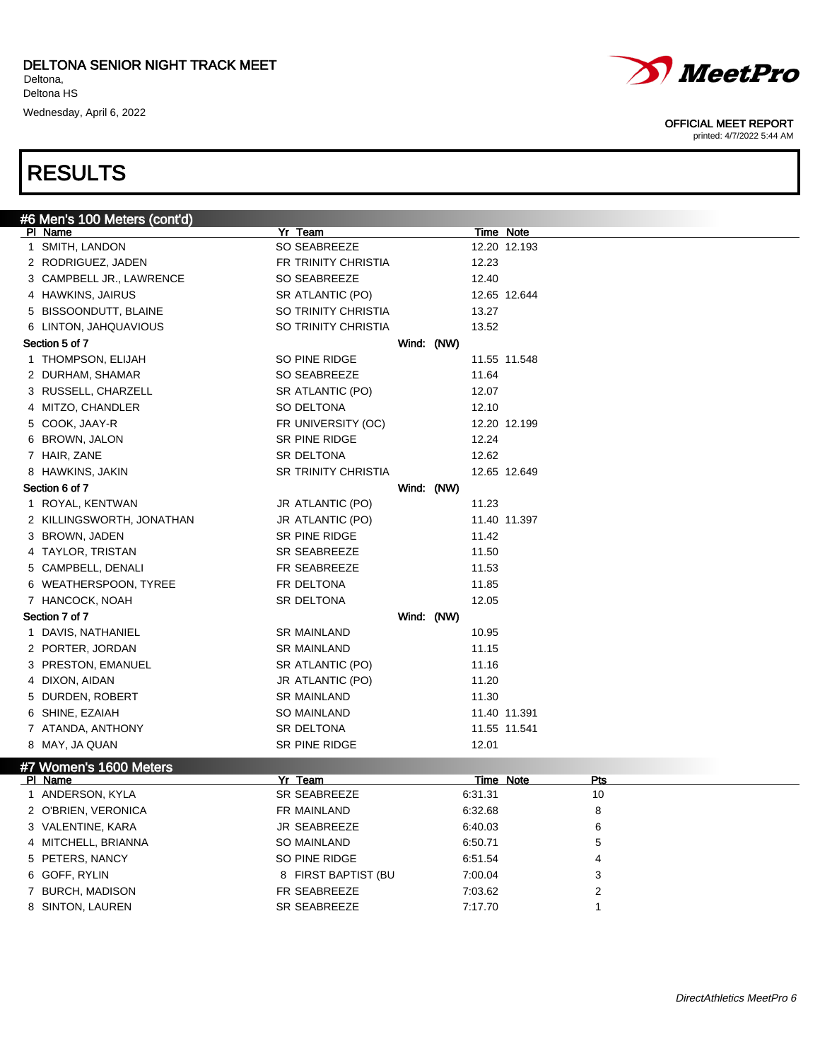



| #6 Men's 100 Meters (cont'd)      |                            |            |           |                  |            |  |
|-----------------------------------|----------------------------|------------|-----------|------------------|------------|--|
| <b>PI Name</b>                    | Yr Team                    |            | Time Note |                  |            |  |
| 1 SMITH, LANDON                   | SO SEABREEZE               |            |           | 12.20 12.193     |            |  |
| 2 RODRIGUEZ, JADEN                | FR TRINITY CHRISTIA        |            | 12.23     |                  |            |  |
| 3 CAMPBELL JR., LAWRENCE          | SO SEABREEZE               |            | 12.40     |                  |            |  |
| 4 HAWKINS, JAIRUS                 | SR ATLANTIC (PO)           |            |           | 12.65 12.644     |            |  |
| 5 BISSOONDUTT, BLAINE             | SO TRINITY CHRISTIA        |            | 13.27     |                  |            |  |
| 6 LINTON, JAHQUAVIOUS             | SO TRINITY CHRISTIA        |            | 13.52     |                  |            |  |
| Section 5 of 7                    |                            | Wind: (NW) |           |                  |            |  |
| 1 THOMPSON, ELIJAH                | SO PINE RIDGE              |            |           | 11.55 11.548     |            |  |
| 2 DURHAM, SHAMAR                  | SO SEABREEZE               |            | 11.64     |                  |            |  |
| 3 RUSSELL, CHARZELL               | SR ATLANTIC (PO)           |            | 12.07     |                  |            |  |
| 4 MITZO, CHANDLER                 | SO DELTONA                 |            | 12.10     |                  |            |  |
| 5 COOK, JAAY-R                    | FR UNIVERSITY (OC)         |            |           | 12.20 12.199     |            |  |
| 6 BROWN, JALON                    | SR PINE RIDGE              |            | 12.24     |                  |            |  |
| 7 HAIR, ZANE                      | <b>SR DELTONA</b>          |            | 12.62     |                  |            |  |
| 8 HAWKINS, JAKIN                  | <b>SR TRINITY CHRISTIA</b> |            |           | 12.65 12.649     |            |  |
| Section 6 of 7                    |                            | Wind: (NW) |           |                  |            |  |
| 1 ROYAL, KENTWAN                  | JR ATLANTIC (PO)           |            | 11.23     |                  |            |  |
| 2 KILLINGSWORTH, JONATHAN         | JR ATLANTIC (PO)           |            |           | 11.40 11.397     |            |  |
| 3 BROWN, JADEN                    | SR PINE RIDGE              |            | 11.42     |                  |            |  |
| 4 TAYLOR, TRISTAN                 | SR SEABREEZE               |            | 11.50     |                  |            |  |
| 5 CAMPBELL, DENALI                | FR SEABREEZE               |            | 11.53     |                  |            |  |
| 6 WEATHERSPOON, TYREE             | FR DELTONA                 |            | 11.85     |                  |            |  |
| 7 HANCOCK, NOAH                   | SR DELTONA                 |            | 12.05     |                  |            |  |
| Section 7 of 7                    |                            | Wind: (NW) |           |                  |            |  |
| 1 DAVIS, NATHANIEL                | <b>SR MAINLAND</b>         |            | 10.95     |                  |            |  |
| 2 PORTER, JORDAN                  | <b>SR MAINLAND</b>         |            | 11.15     |                  |            |  |
| 3 PRESTON, EMANUEL                | SR ATLANTIC (PO)           |            | 11.16     |                  |            |  |
| 4 DIXON, AIDAN                    | JR ATLANTIC (PO)           |            | 11.20     |                  |            |  |
| 5 DURDEN, ROBERT                  | <b>SR MAINLAND</b>         |            | 11.30     |                  |            |  |
| 6 SHINE, EZAIAH                   | <b>SO MAINLAND</b>         |            |           | 11.40 11.391     |            |  |
| 7 ATANDA, ANTHONY                 | SR DELTONA                 |            |           | 11.55 11.541     |            |  |
| 8 MAY, JA QUAN                    | SR PINE RIDGE              |            | 12.01     |                  |            |  |
|                                   |                            |            |           |                  |            |  |
| #7 Women's 1600 Meters<br>PI Name | Yr Team                    |            |           | <b>Time Note</b> | <u>Pts</u> |  |
| 1 ANDERSON, KYLA                  | <b>SR SEABREEZE</b>        |            | 6:31.31   |                  | 10         |  |
| 2 O'BRIEN, VERONICA               | FR MAINLAND                |            | 6:32.68   |                  | 8          |  |
| 3 VALENTINE, KARA                 | JR SEABREEZE               |            | 6:40.03   |                  | 6          |  |
| 4 MITCHELL, BRIANNA               | SO MAINLAND                |            | 6:50.71   |                  | 5          |  |
| 5 PETERS, NANCY                   | SO PINE RIDGE              |            | 6:51.54   |                  | 4          |  |
| 6 GOFF, RYLIN                     | 8 FIRST BAPTIST (BU        |            | 7:00.04   |                  | 3          |  |
| 7 BURCH, MADISON                  | FR SEABREEZE               |            | 7:03.62   |                  | 2          |  |
|                                   |                            |            |           |                  |            |  |
| 8 SINTON, LAUREN                  | SR SEABREEZE               |            | 7:17.70   |                  | 1          |  |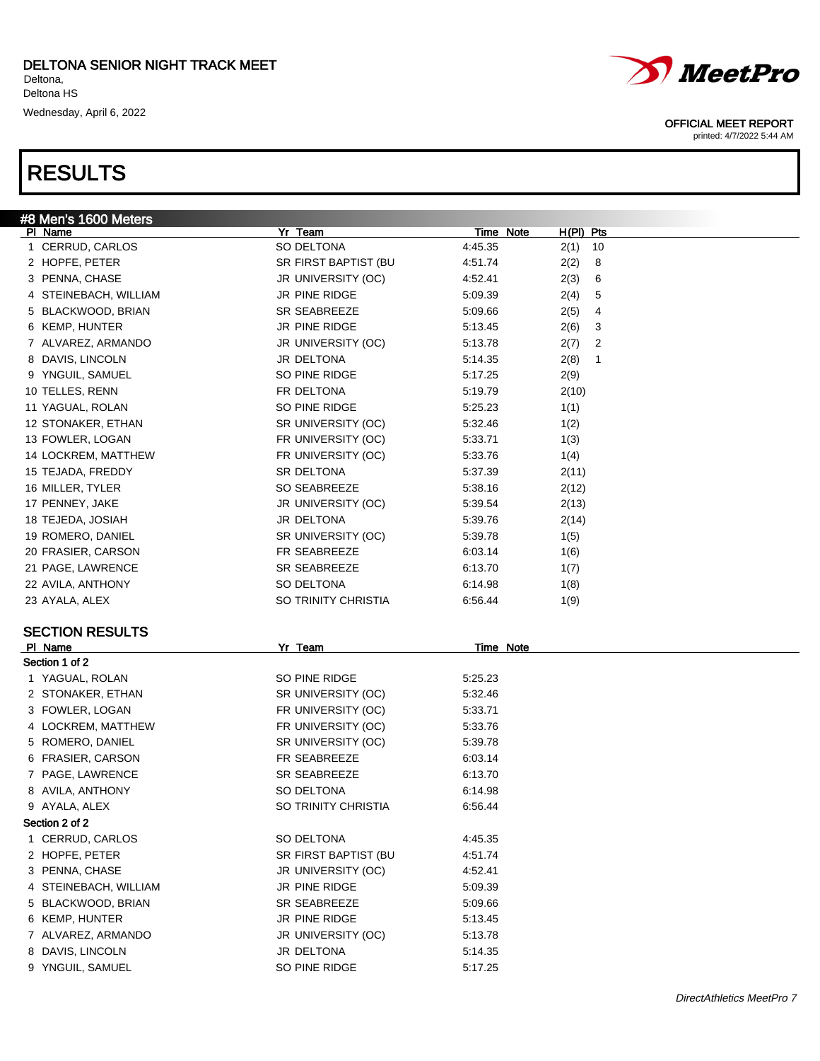#8 Men's 1600 Meters



- 6 KEMP, HUNTER **JR PINE RIDGE** 5:13.45
- ALVAREZ, ARMANDO JR UNIVERSITY (OC) 5:13.78
- 8 DAVIS, LINCOLN JR DELTONA 5:14.35
- 9 YNGUIL, SAMUEL SO PINE RIDGE 5:17.25



#### OFFICIAL MEET REPORT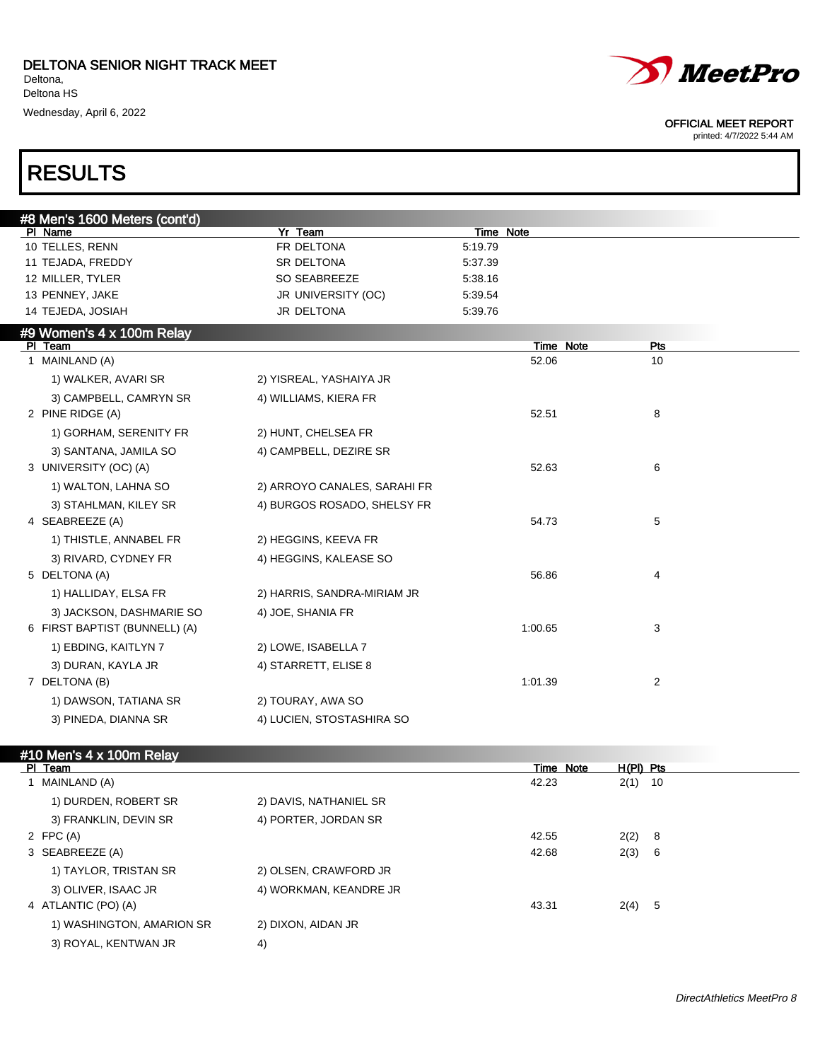

printed: 4/7/2022 5:44 AM

Wednesday, April 6, 2022

### RESULTS

| #8 Men's 1600 Meters (cont'd) |                              |           |     |  |
|-------------------------------|------------------------------|-----------|-----|--|
| PI Name                       | <b>Yr Team</b>               | Time Note |     |  |
| 10 TELLES, RENN               | FR DELTONA                   | 5:19.79   |     |  |
| 11 TEJADA, FREDDY             | SR DELTONA                   | 5:37.39   |     |  |
| 12 MILLER, TYLER              | SO SEABREEZE                 | 5:38.16   |     |  |
| 13 PENNEY, JAKE               | JR UNIVERSITY (OC)           | 5.39.54   |     |  |
| 14 TEJEDA, JOSIAH             | JR DELTONA                   | 5:39.76   |     |  |
| #9 Women's 4 x 100m Relay     |                              |           |     |  |
| PI Team                       |                              | Time Note | Pts |  |
| 1 MAINLAND (A)                |                              | 52.06     | 10  |  |
| 1) WALKER, AVARI SR           | 2) YISREAL, YASHAIYA JR      |           |     |  |
| 3) CAMPBELL, CAMRYN SR        | 4) WILLIAMS, KIERA FR        |           |     |  |
| 2 PINE RIDGE (A)              |                              | 52.51     | 8   |  |
| 1) GORHAM, SERENITY FR        | 2) HUNT, CHELSEA FR          |           |     |  |
| 3) SANTANA, JAMILA SO         | 4) CAMPBELL, DEZIRE SR       |           |     |  |
| 3 UNIVERSITY (OC) (A)         |                              | 52.63     | 6   |  |
| 1) WALTON, LAHNA SO           | 2) ARROYO CANALES, SARAHI FR |           |     |  |
| 3) STAHLMAN, KILEY SR         | 4) BURGOS ROSADO, SHELSY FR  |           |     |  |
| 4 SEABREEZE (A)               |                              | 54.73     | 5   |  |
| 1) THISTLE, ANNABEL FR        | 2) HEGGINS, KEEVA FR         |           |     |  |
| 3) RIVARD, CYDNEY FR          | 4) HEGGINS, KALEASE SO       |           |     |  |
| 5 DELTONA (A)                 |                              | 56.86     | 4   |  |
| 1) HALLIDAY, ELSA FR          | 2) HARRIS, SANDRA-MIRIAM JR  |           |     |  |
| 3) JACKSON, DASHMARIE SO      | 4) JOE, SHANIA FR            |           |     |  |
| 6 FIRST BAPTIST (BUNNELL) (A) |                              | 1:00.65   | 3   |  |
| 1) EBDING, KAITLYN 7          | 2) LOWE, ISABELLA 7          |           |     |  |
| 3) DURAN, KAYLA JR            | 4) STARRETT, ELISE 8         |           |     |  |
| 7 DELTONA (B)                 |                              | 1:01.39   | 2   |  |
| 1) DAWSON, TATIANA SR         | 2) TOURAY, AWA SO            |           |     |  |
| 3) PINEDA, DIANNA SR          | 4) LUCIEN, STOSTASHIRA SO    |           |     |  |

| #10 Men's 4 x 100m Relay  |                        |       |           |           |     |
|---------------------------|------------------------|-------|-----------|-----------|-----|
| PI Team                   |                        |       | Time Note | H(PI) Pts |     |
| 1 MAINLAND (A)            |                        | 42.23 |           | $2(1)$ 10 |     |
| 1) DURDEN, ROBERT SR      | 2) DAVIS, NATHANIEL SR |       |           |           |     |
| 3) FRANKLIN, DEVIN SR     | 4) PORTER, JORDAN SR   |       |           |           |     |
| 2 FPC $(A)$               |                        | 42.55 |           | 2(2)      | - 8 |
| 3 SEABREEZE (A)           |                        | 42.68 |           | 2(3)      | - 6 |
| 1) TAYLOR, TRISTAN SR     | 2) OLSEN, CRAWFORD JR  |       |           |           |     |
| 3) OLIVER, ISAAC JR       | 4) WORKMAN, KEANDRE JR |       |           |           |     |
| 4 ATLANTIC (PO) (A)       |                        | 43.31 |           | 2(4) 5    |     |
| 1) WASHINGTON, AMARION SR | 2) DIXON, AIDAN JR     |       |           |           |     |
| 3) ROYAL, KENTWAN JR      | 4)                     |       |           |           |     |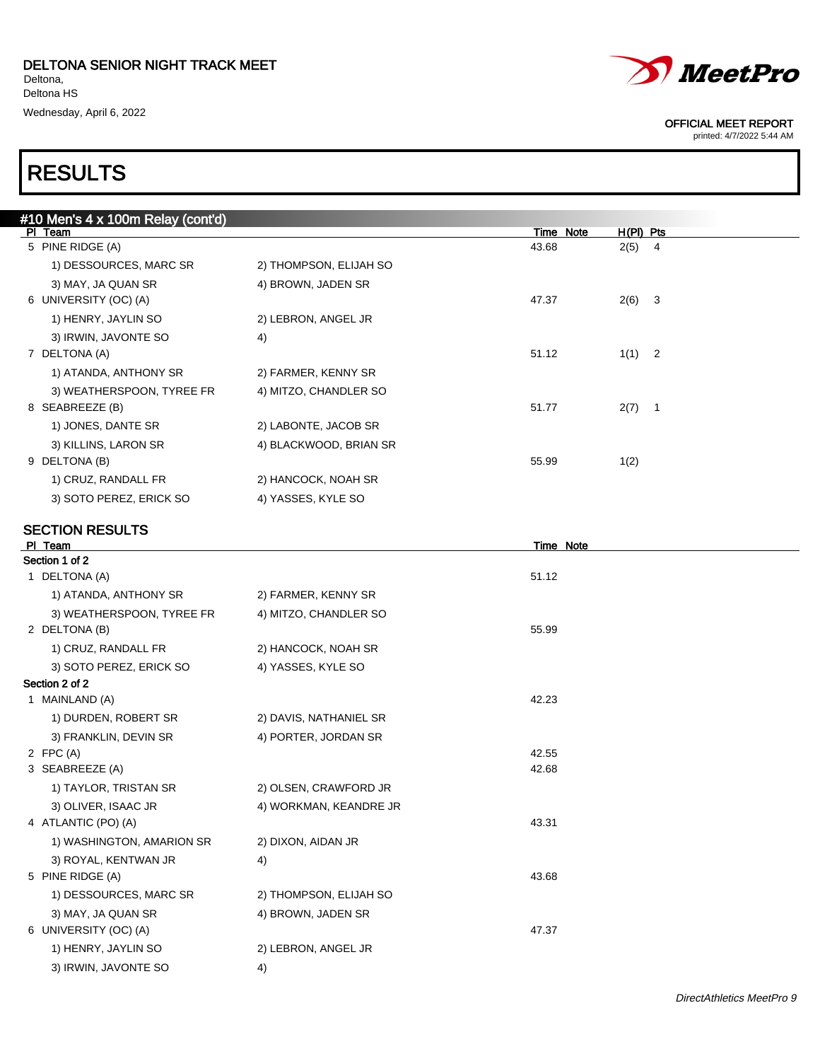

printed: 4/7/2022 5:44 AM

### RESULTS

| #10 Men's 4 x 100m Relay (cont'd) |                        |                    |                         |
|-----------------------------------|------------------------|--------------------|-------------------------|
| PI Team<br>5 PINE RIDGE (A)       |                        | Time Note<br>43.68 | $H(PI)$ Pts<br>$2(5)$ 4 |
| 1) DESSOURCES, MARC SR            | 2) THOMPSON, ELIJAH SO |                    |                         |
| 3) MAY, JA QUAN SR                | 4) BROWN, JADEN SR     |                    |                         |
| 6 UNIVERSITY (OC) (A)             |                        | 47.37              | $2(6)$ 3                |
| 1) HENRY, JAYLIN SO               | 2) LEBRON, ANGEL JR    |                    |                         |
| 3) IRWIN, JAVONTE SO              | 4)                     |                    |                         |
| 7 DELTONA (A)                     |                        | 51.12              | $1(1)$ 2                |
| 1) ATANDA, ANTHONY SR             | 2) FARMER, KENNY SR    |                    |                         |
| 3) WEATHERSPOON, TYREE FR         | 4) MITZO, CHANDLER SO  |                    |                         |
| 8 SEABREEZE (B)                   |                        | 51.77              | $2(7)$ 1                |
| 1) JONES, DANTE SR                | 2) LABONTE, JACOB SR   |                    |                         |
| 3) KILLINS, LARON SR              | 4) BLACKWOOD, BRIAN SR |                    |                         |
| 9 DELTONA (B)                     |                        | 55.99              | 1(2)                    |
| 1) CRUZ, RANDALL FR               | 2) HANCOCK, NOAH SR    |                    |                         |
| 3) SOTO PEREZ, ERICK SO           | 4) YASSES, KYLE SO     |                    |                         |
| <b>SECTION RESULTS</b>            |                        |                    |                         |
| PI Team                           |                        | Time Note          |                         |
| Section 1 of 2                    |                        |                    |                         |
| 1 DELTONA (A)                     |                        | 51.12              |                         |
| 1) ATANDA, ANTHONY SR             | 2) FARMER, KENNY SR    |                    |                         |
| 3) WEATHERSPOON, TYREE FR         | 4) MITZO, CHANDLER SO  |                    |                         |
| 2 DELTONA (B)                     |                        | 55.99              |                         |
| 1) CRUZ, RANDALL FR               | 2) HANCOCK, NOAH SR    |                    |                         |
| 3) SOTO PEREZ, ERICK SO           | 4) YASSES, KYLE SO     |                    |                         |
| Section 2 of 2<br>1 MAINLAND (A)  |                        | 42.23              |                         |
| 1) DURDEN, ROBERT SR              | 2) DAVIS, NATHANIEL SR |                    |                         |
| 3) FRANKLIN, DEVIN SR             | 4) PORTER, JORDAN SR   |                    |                         |
| 2 FPC $(A)$                       |                        | 42.55              |                         |
| 3 SEABREEZE (A)                   |                        | 42.68              |                         |
| 1) TAYLOR, TRISTAN SR             | 2) OLSEN, CRAWFORD JR  |                    |                         |
| 3) OLIVER, ISAAC JR               | 4) WORKMAN, KEANDRE JR |                    |                         |
| 4 ATLANTIC (PO) (A)               |                        | 43.31              |                         |
| 1) WASHINGTON, AMARION SR         | 2) DIXON, AIDAN JR     |                    |                         |
| 3) ROYAL, KENTWAN JR              | 4)                     |                    |                         |
| 5 PINE RIDGE (A)                  |                        | 43.68              |                         |
| 1) DESSOURCES, MARC SR            | 2) THOMPSON, ELIJAH SO |                    |                         |
| 3) MAY, JA QUAN SR                | 4) BROWN, JADEN SR     |                    |                         |
| 6 UNIVERSITY (OC) (A)             |                        | 47.37              |                         |
| 1) HENRY, JAYLIN SO               | 2) LEBRON, ANGEL JR    |                    |                         |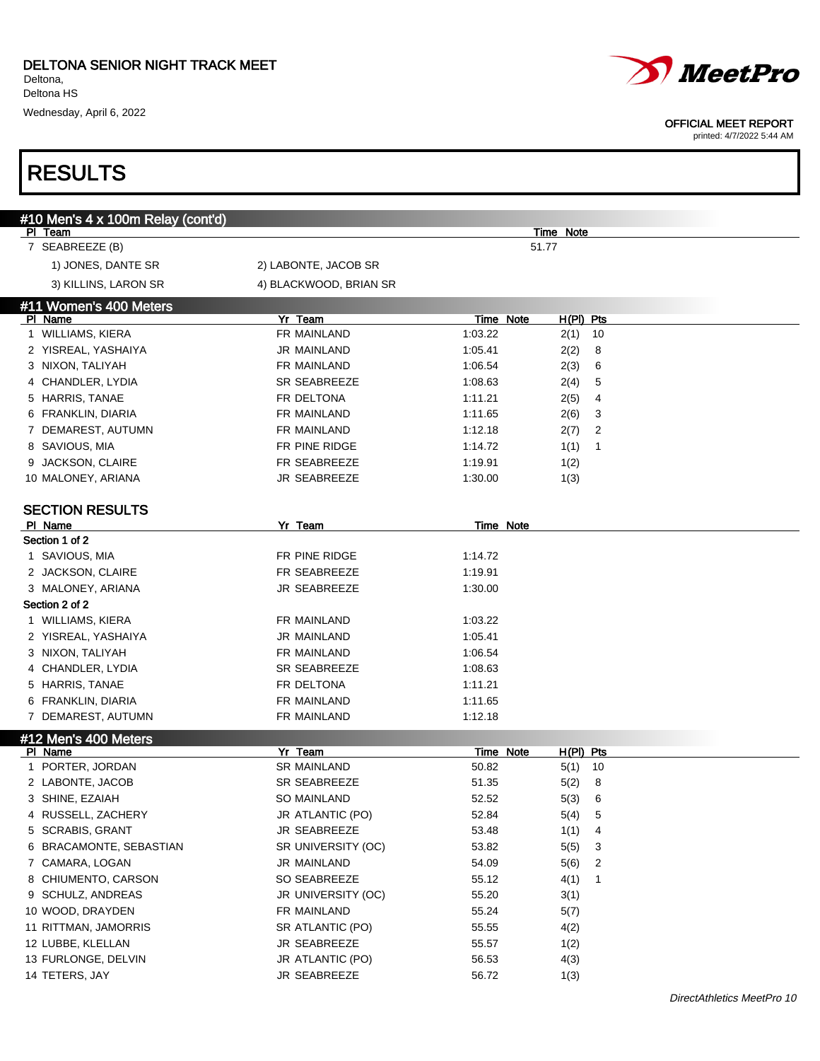





| #10 Men's 4 x 100m Relay (cont'd)   |                               |                           |                        |        |
|-------------------------------------|-------------------------------|---------------------------|------------------------|--------|
| PI Team                             |                               |                           | Time Note              |        |
| 7 SEABREEZE (B)                     |                               |                           | 51.77                  |        |
| 1) JONES, DANTE SR                  | 2) LABONTE, JACOB SR          |                           |                        |        |
| 3) KILLINS, LARON SR                | 4) BLACKWOOD, BRIAN SR        |                           |                        |        |
| #11 Women's 400 Meters              |                               |                           |                        |        |
| PI Name                             | Yr Team                       | <b>Time Note</b>          | $H(PI)$ Pts            |        |
| 1 WILLIAMS, KIERA                   | FR MAINLAND                   | 1:03.22                   | $2(1)$ 10              |        |
| 2 YISREAL, YASHAIYA                 | JR MAINLAND                   | 1:05.41                   | 2(2)<br>8              |        |
| 3 NIXON, TALIYAH                    | FR MAINLAND                   | 1:06.54                   | 2(3)<br>6              |        |
| 4 CHANDLER, LYDIA                   | SR SEABREEZE                  | 1:08.63                   | 2(4)<br>5              |        |
| 5 HARRIS, TANAE                     | FR DELTONA                    | 1:11.21                   | 2(5)<br>4              |        |
| 6 FRANKLIN, DIARIA                  | FR MAINLAND                   | 1:11.65                   | 2(6)<br>3              |        |
| 7 DEMAREST, AUTUMN                  | FR MAINLAND                   | 1:12.18                   | 2(7)<br>$\overline{2}$ |        |
| 8 SAVIOUS, MIA                      | FR PINE RIDGE                 | 1:14.72                   | 1(1)<br>$\mathbf{1}$   |        |
| 9 JACKSON, CLAIRE                   | FR SEABREEZE                  | 1:19.91                   | 1(2)                   |        |
| 10 MALONEY, ARIANA                  | JR SEABREEZE                  | 1:30.00                   | 1(3)                   |        |
| <b>SECTION RESULTS</b>              |                               |                           |                        |        |
| PI Name                             | Yr Team                       | Time Note                 |                        |        |
| Section 1 of 2                      |                               |                           |                        |        |
| 1 SAVIOUS, MIA                      | FR PINE RIDGE                 | 1:14.72                   |                        |        |
| 2 JACKSON, CLAIRE                   | FR SEABREEZE                  | 1:19.91                   |                        |        |
| 3 MALONEY, ARIANA                   | JR SEABREEZE                  | 1:30.00                   |                        |        |
| Section 2 of 2                      |                               |                           |                        |        |
| 1 WILLIAMS, KIERA                   | FR MAINLAND                   | 1:03.22                   |                        |        |
| 2 YISREAL, YASHAIYA                 | JR MAINLAND                   | 1:05.41                   |                        |        |
| 3 NIXON, TALIYAH                    | FR MAINLAND                   | 1:06.54                   |                        |        |
| 4 CHANDLER, LYDIA                   | <b>SR SEABREEZE</b>           | 1:08.63                   |                        |        |
| 5 HARRIS, TANAE                     | FR DELTONA                    | 1:11.21                   |                        |        |
| 6 FRANKLIN, DIARIA                  | FR MAINLAND                   | 1:11.65                   |                        |        |
| 7 DEMAREST, AUTUMN                  | FR MAINLAND                   | 1:12.18                   |                        |        |
| #12 Men's 400 Meters                |                               |                           |                        |        |
| PI Name<br>1 PORTER, JORDAN         | Yr Team<br><b>SR MAINLAND</b> | <b>Time Note</b><br>50.82 | H(PI) Pts              |        |
|                                     | SR SEABREEZE                  |                           | $5(1)$ 10              |        |
| 2 LABONTE, JACOB<br>3 SHINE, EZAIAH | <b>SO MAINLAND</b>            | 51.35<br>52.52            | 5(2)<br>8<br>6         |        |
|                                     |                               |                           | 5(3)                   |        |
| 4 RUSSELL, ZACHERY                  | JR ATLANTIC (PO)              | 52.84                     | 5<br>5(4)              |        |
| 5 SCRABIS, GRANT                    | JR SEABREEZE                  | 53.48                     | 1(1)<br>4              |        |
| 6 BRACAMONTE, SEBASTIAN             | SR UNIVERSITY (OC)            | 53.82                     | 5(5)<br>3              |        |
| 7 CAMARA, LOGAN                     | JR MAINLAND                   | 54.09                     | 5(6)<br>$\overline{c}$ |        |
| 8 CHIUMENTO, CARSON                 | SO SEABREEZE                  | 55.12                     | 4(1)<br>$\overline{1}$ |        |
| 9 SCHULZ, ANDREAS                   | JR UNIVERSITY (OC)            | 55.20                     | 3(1)                   |        |
| 10 WOOD, DRAYDEN                    | FR MAINLAND                   | 55.24                     | 5(7)                   |        |
| 11 RITTMAN, JAMORRIS                | SR ATLANTIC (PO)              | 55.55                     | 4(2)                   |        |
| 12 LUBBE, KLELLAN                   | JR SEABREEZE                  | 55.57                     | 1(2)                   |        |
| 13 FURLONGE, DELVIN                 | JR ATLANTIC (PO)              | 56.53                     | 4(3)                   |        |
| 14 TETERS, JAY                      | JR SEABREEZE                  | 56.72                     | 1(3)                   |        |
|                                     |                               |                           |                        | MDesAP |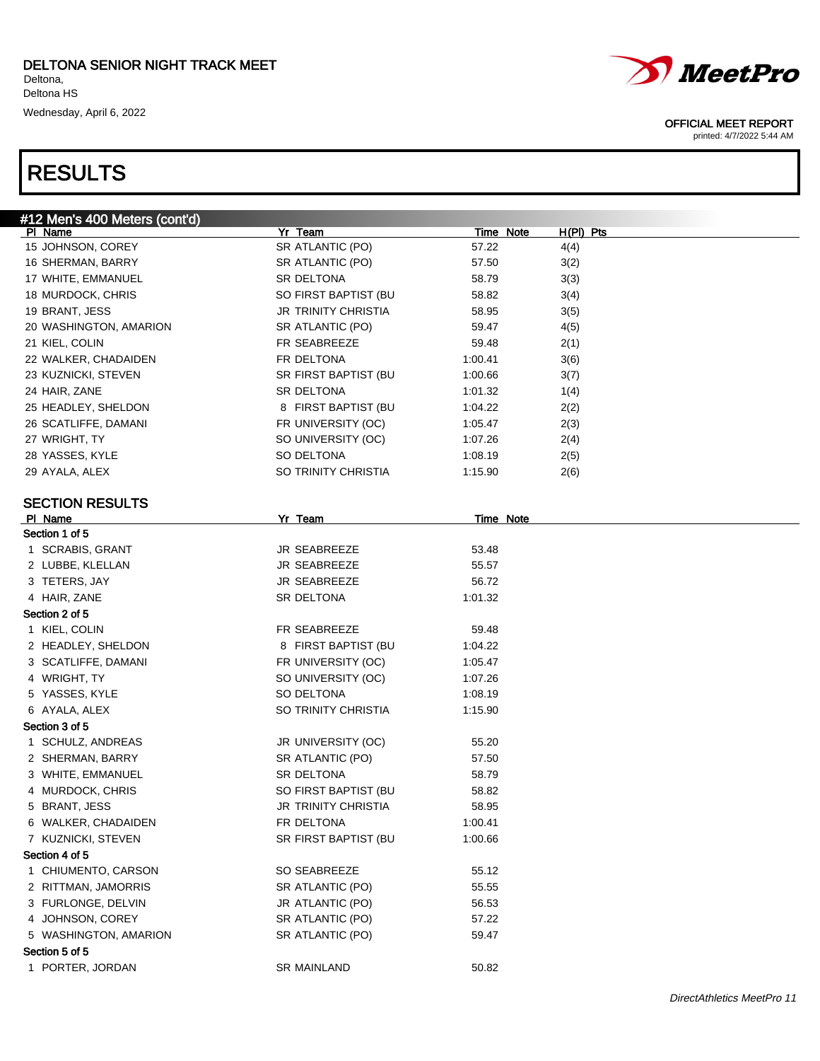



#### OFFICIAL MEET REPORT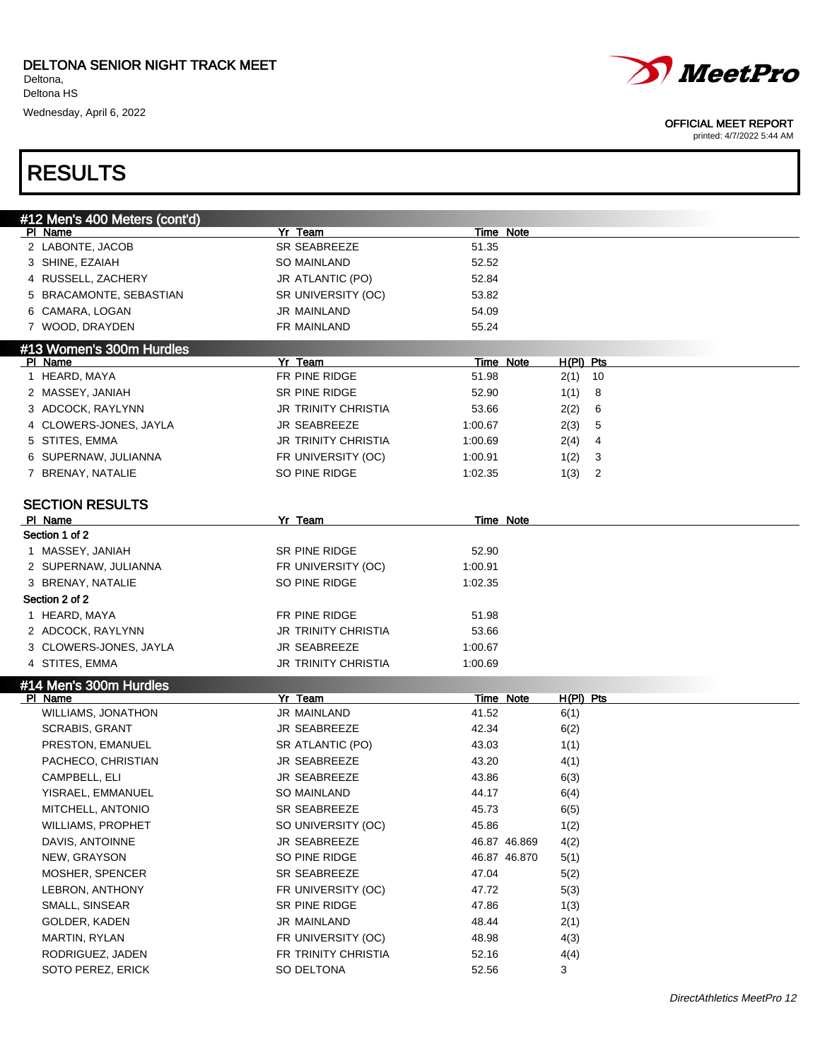

#### OFFICIAL MEET REPORT

printed: 4/7/2022 5:44 AM

# RESULTS

| #12 Men's 400 Meters (cont'd)     |                      |              |             |
|-----------------------------------|----------------------|--------------|-------------|
| PI Name                           | Yr Team              | Time Note    |             |
| 2 LABONTE, JACOB                  | SR SEABREEZE         | 51.35        |             |
| 3 SHINE, EZAIAH                   | <b>SO MAINLAND</b>   | 52.52        |             |
| 4 RUSSELL, ZACHERY                | JR ATLANTIC (PO)     | 52.84        |             |
| 5 BRACAMONTE, SEBASTIAN           | SR UNIVERSITY (OC)   | 53.82        |             |
| 6 CAMARA, LOGAN                   | JR MAINLAND          | 54.09        |             |
| 7 WOOD, DRAYDEN                   | FR MAINLAND          | 55.24        |             |
| #13 Women's 300m Hurdles          |                      |              |             |
| PI Name                           | Yr Team              | Time Note    | $H(PI)$ Pts |
| 1 HEARD, MAYA                     | FR PINE RIDGE        | 51.98        | 10<br>2(1)  |
| 2 MASSEY, JANIAH                  | SR PINE RIDGE        | 52.90        | 1(1)<br>8   |
| 3 ADCOCK, RAYLYNN                 | JR TRINITY CHRISTIA  | 53.66        | 2(2)<br>6   |
| 4 CLOWERS-JONES, JAYLA            | JR SEABREEZE         | 1:00.67      | 2(3)<br>5   |
| 5 STITES, EMMA                    | JR TRINITY CHRISTIA  | 1:00.69      | 2(4)<br>4   |
| 6 SUPERNAW, JULIANNA              | FR UNIVERSITY (OC)   | 1:00.91      | 1(2)<br>3   |
| 7 BRENAY, NATALIE                 | SO PINE RIDGE        | 1:02.35      | 1(3)<br>2   |
|                                   |                      |              |             |
| <b>SECTION RESULTS</b>            |                      |              |             |
| PI Name                           | Yr Team              | Time Note    |             |
| Section 1 of 2                    |                      |              |             |
| 1 MASSEY, JANIAH                  | <b>SR PINE RIDGE</b> | 52.90        |             |
| 2 SUPERNAW, JULIANNA              | FR UNIVERSITY (OC)   | 1:00.91      |             |
| 3 BRENAY, NATALIE                 | SO PINE RIDGE        | 1:02.35      |             |
| Section 2 of 2                    |                      |              |             |
| 1 HEARD, MAYA                     | FR PINE RIDGE        | 51.98        |             |
| 2 ADCOCK, RAYLYNN                 | JR TRINITY CHRISTIA  | 53.66        |             |
| 3 CLOWERS-JONES, JAYLA            | JR SEABREEZE         | 1:00.67      |             |
| 4 STITES, EMMA                    | JR TRINITY CHRISTIA  | 1:00.69      |             |
|                                   |                      |              |             |
| #14 Men's 300m Hurdles<br>PI Name | Yr Team              | Time Note    | $H(PI)$ Pts |
| WILLIAMS, JONATHON                | JR MAINLAND          | 41.52        | 6(1)        |
| SCRABIS, GRANT                    | JR SEABREEZE         | 42.34        | 6(2)        |
| PRESTON, EMANUEL                  | SR ATLANTIC (PO)     | 43.03        | 1(1)        |
| PACHECO, CHRISTIAN                | JR SEABREEZE         | 43.20        | 4(1)        |
| CAMPBELL, ELI                     | JR SEABREEZE         |              |             |
|                                   | <b>SO MAINLAND</b>   | 43.86        | 6(3)        |
| YISRAEL, EMMANUEL                 | <b>SR SEABREEZE</b>  | 44.17        | 6(4)        |
| MITCHELL, ANTONIO                 |                      | 45.73        | 6(5)        |
| <b>WILLIAMS, PROPHET</b>          | SO UNIVERSITY (OC)   | 45.86        | 1(2)        |
| DAVIS, ANTOINNE                   | JR SEABREEZE         | 46.87 46.869 | 4(2)        |
| NEW, GRAYSON                      | SO PINE RIDGE        | 46.87 46.870 | 5(1)        |
| MOSHER, SPENCER                   | SR SEABREEZE         | 47.04        | 5(2)        |
| LEBRON, ANTHONY                   | FR UNIVERSITY (OC)   | 47.72        | 5(3)        |
| SMALL, SINSEAR                    | SR PINE RIDGE        | 47.86        | 1(3)        |
| GOLDER, KADEN                     | JR MAINLAND          | 48.44        | 2(1)        |
| MARTIN, RYLAN                     | FR UNIVERSITY (OC)   | 48.98        | 4(3)        |
| RODRIGUEZ, JADEN                  | FR TRINITY CHRISTIA  | 52.16        | 4(4)        |
| SOTO PEREZ, ERICK                 | SO DELTONA           | 52.56        | 3           |
|                                   |                      |              |             |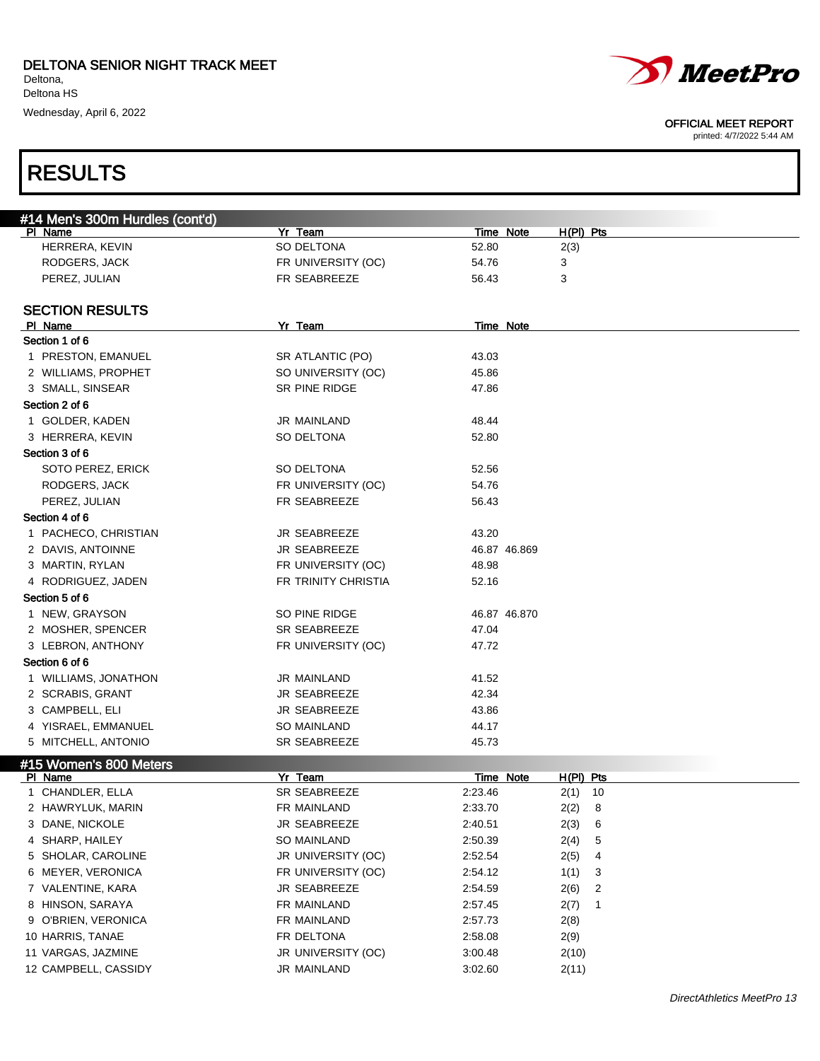



| #14 Men's 300m Hurdles (cont'd)            |                                   |                    |                      |
|--------------------------------------------|-----------------------------------|--------------------|----------------------|
| PI Name                                    | Yr Team                           | Time Note          | $H(PI)$ Pts          |
| HERRERA, KEVIN                             | SO DELTONA                        | 52.80              | 2(3)                 |
| RODGERS, JACK                              | FR UNIVERSITY (OC)                | 54.76              | 3                    |
| PEREZ, JULIAN                              | FR SEABREEZE                      | 56.43              | 3                    |
|                                            |                                   |                    |                      |
| <b>SECTION RESULTS</b>                     |                                   |                    |                      |
| PI Name                                    | Yr Team                           | Time Note          |                      |
| Section 1 of 6                             |                                   |                    |                      |
| 1 PRESTON, EMANUEL                         | SR ATLANTIC (PO)                  | 43.03              |                      |
| 2 WILLIAMS, PROPHET                        | SO UNIVERSITY (OC)                | 45.86              |                      |
| 3 SMALL, SINSEAR                           | SR PINE RIDGE                     | 47.86              |                      |
| Section 2 of 6                             |                                   |                    |                      |
| 1 GOLDER, KADEN                            | JR MAINLAND                       | 48.44              |                      |
| 3 HERRERA, KEVIN                           | SO DELTONA                        | 52.80              |                      |
| Section 3 of 6                             |                                   |                    |                      |
| SOTO PEREZ, ERICK                          | SO DELTONA                        | 52.56              |                      |
| RODGERS, JACK                              | FR UNIVERSITY (OC)                | 54.76              |                      |
| PEREZ, JULIAN                              | FR SEABREEZE                      | 56.43              |                      |
| Section 4 of 6                             |                                   |                    |                      |
| 1 PACHECO, CHRISTIAN                       | <b>JR SEABREEZE</b>               | 43.20              |                      |
| 2 DAVIS, ANTOINNE                          | <b>JR SEABREEZE</b>               | 46.87 46.869       |                      |
| 3 MARTIN, RYLAN                            | FR UNIVERSITY (OC)                |                    |                      |
|                                            |                                   | 48.98              |                      |
| 4 RODRIGUEZ, JADEN                         | FR TRINITY CHRISTIA               | 52.16              |                      |
| Section 5 of 6                             |                                   |                    |                      |
| 1 NEW, GRAYSON                             | SO PINE RIDGE                     | 46.87 46.870       |                      |
| 2 MOSHER, SPENCER                          | <b>SR SEABREEZE</b>               | 47.04              |                      |
| 3 LEBRON, ANTHONY                          | FR UNIVERSITY (OC)                | 47.72              |                      |
| Section 6 of 6                             |                                   |                    |                      |
| 1 WILLIAMS, JONATHON                       | JR MAINLAND                       | 41.52              |                      |
| 2 SCRABIS, GRANT                           | <b>JR SEABREEZE</b>               | 42.34              |                      |
| 3 CAMPBELL, ELI                            | <b>JR SEABREEZE</b>               | 43.86              |                      |
| 4 YISRAEL, EMMANUEL                        | <b>SO MAINLAND</b>                | 44.17              |                      |
| 5 MITCHELL, ANTONIO                        | <b>SR SEABREEZE</b>               | 45.73              |                      |
| #15 Women's 800 Meters                     |                                   |                    |                      |
| PI Name                                    | Yr Team                           | Time Note          | H(PI) Pts            |
| 1 CHANDLER, ELLA                           | <b>SR SEABREEZE</b>               | 2:23.46            | $2(1)$ 10            |
| 2 HAWRYLUK, MARIN                          | FR MAINLAND                       | 2:33.70            | 2(2) 8               |
| 3 DANE, NICKOLE                            | JR SEABREEZE                      | 2:40.51            | 2(3)<br>- 6          |
| 4 SHARP, HAILEY                            | SO MAINLAND                       | 2:50.39            | 2(4)<br>5            |
| 5 SHOLAR, CAROLINE                         | JR UNIVERSITY (OC)                | 2:52.54            | 2(5)<br>4            |
| 6 MEYER, VERONICA                          | FR UNIVERSITY (OC)                | 2:54.12            | 1(1)<br>3            |
| 7 VALENTINE, KARA                          | JR SEABREEZE                      | 2:54.59            | 2(6)<br>2            |
| 8 HINSON, SARAYA                           | FR MAINLAND                       | 2:57.45            | 2(7)<br>$\mathbf{1}$ |
|                                            | FR MAINLAND                       | 2:57.73            |                      |
|                                            |                                   |                    | 2(8)                 |
| 9 O'BRIEN, VERONICA                        |                                   |                    |                      |
| 10 HARRIS, TANAE                           | FR DELTONA                        | 2:58.08            | 2(9)                 |
| 11 VARGAS, JAZMINE<br>12 CAMPBELL, CASSIDY | JR UNIVERSITY (OC)<br>JR MAINLAND | 3:00.48<br>3:02.60 | 2(10)<br>2(11)       |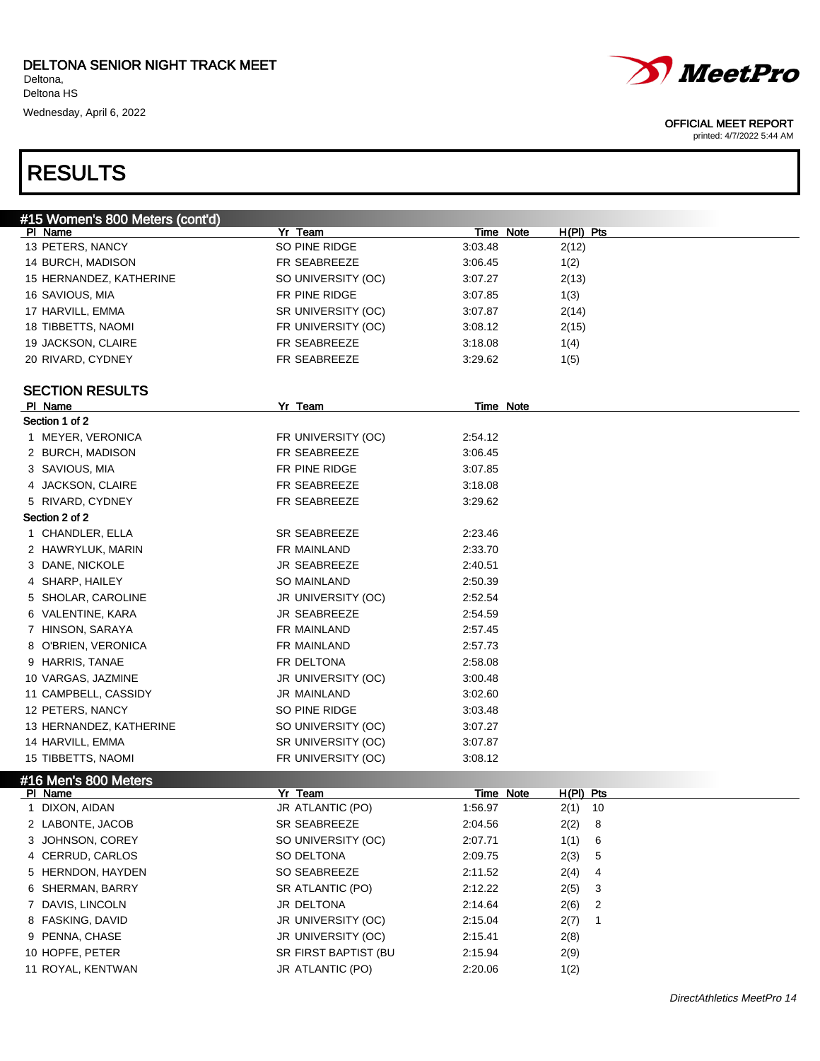

 HERNDON, HAYDEN SO SEABREEZE 2:11.52 2(4) 4 6 SHERMAN, BARRY SR ATLANTIC (PO) 2:12.22 2(5) 3 DAVIS, LINCOLN JR DELTONA 2:14.64 2(6) 2 FASKING, DAVID JR UNIVERSITY (OC) 2:15.04 2(7) 1 PENNA, CHASE JR UNIVERSITY (OC) 2:15.41 2(8) 10 HOPFE, PETER SR FIRST BAPTIST (BU 2:15.94 2(9) ROYAL, KENTWAN JR ATLANTIC (PO) 2:20.06 1(2)



#### OFFICIAL MEET REPORT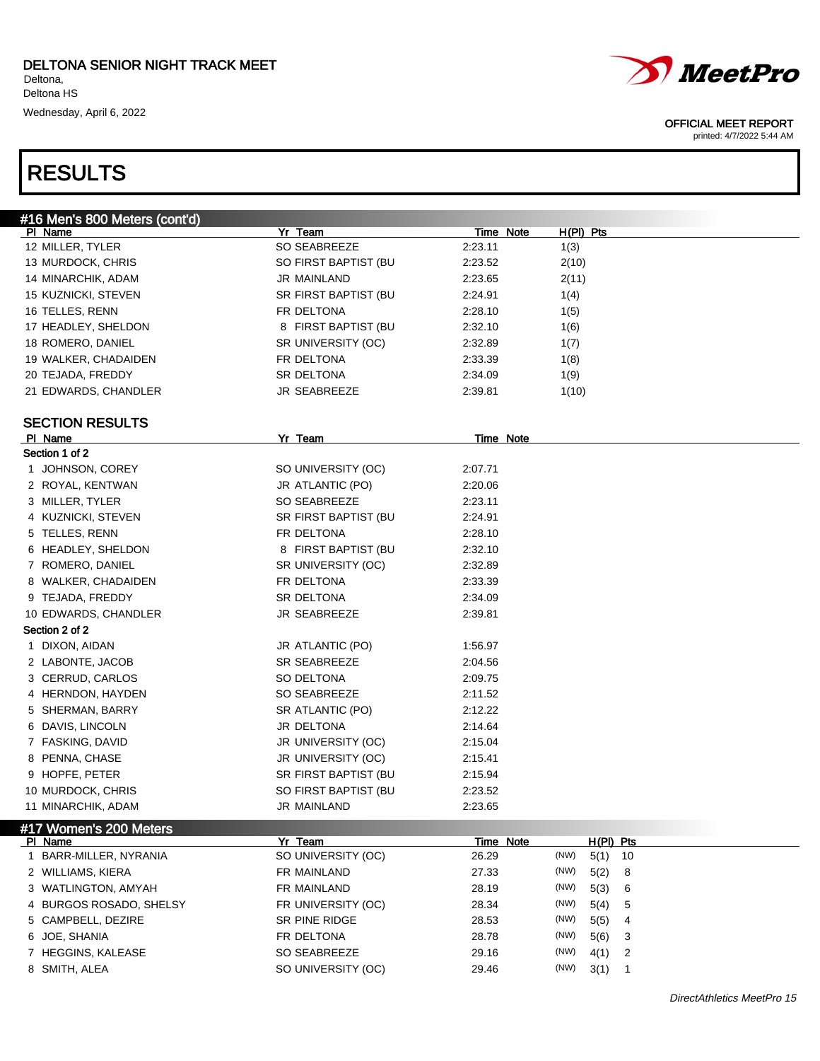



#### OFFICIAL MEET REPORT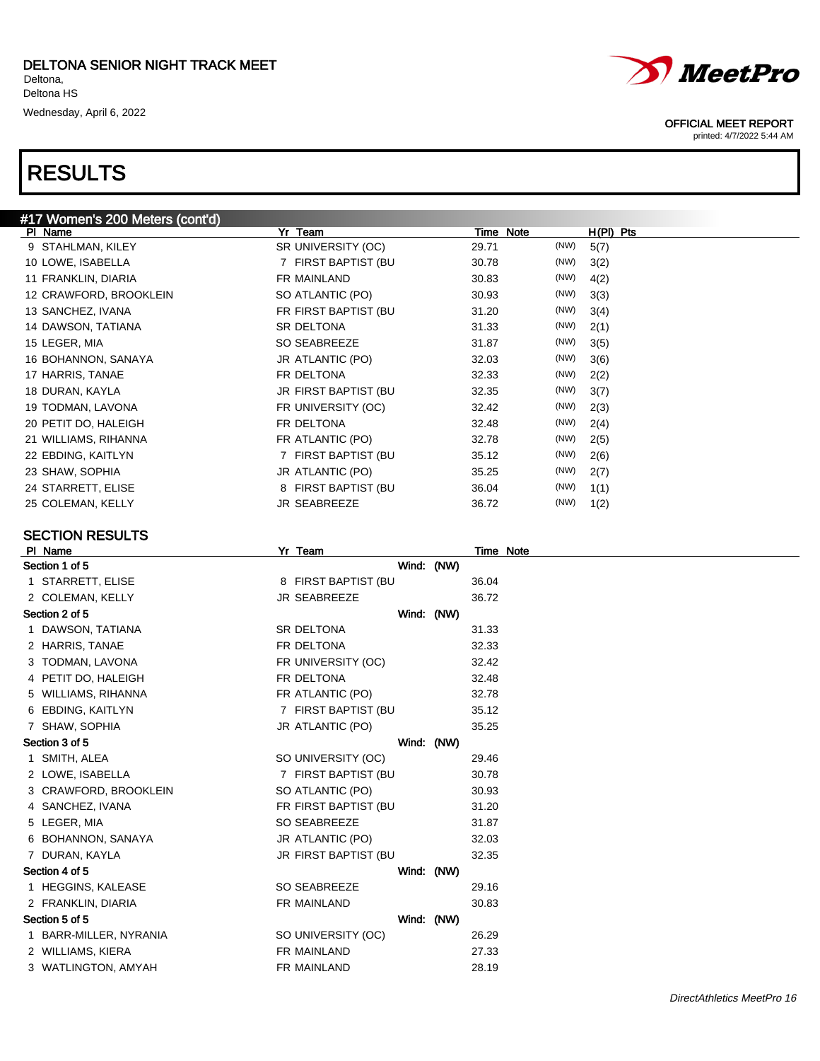

### SECTION RESULTS

| PI Name               | <u>Yr Team</u>       | Time Note  |
|-----------------------|----------------------|------------|
| Section 1 of 5        |                      | Wind: (NW) |
| 1 STARRETT, ELISE     | 8 FIRST BAPTIST (BU  | 36.04      |
| 2 COLEMAN, KELLY      | JR SEABREEZE         | 36.72      |
| Section 2 of 5        |                      | Wind: (NW) |
| 1 DAWSON, TATIANA     | <b>SR DELTONA</b>    | 31.33      |
| 2 HARRIS, TANAE       | FR DELTONA           | 32.33      |
| 3 TODMAN, LAVONA      | FR UNIVERSITY (OC)   | 32.42      |
| 4 PETIT DO, HALEIGH   | FR DELTONA           | 32.48      |
| WILLIAMS, RIHANNA     | FR ATLANTIC (PO)     | 32.78      |
| 6 EBDING, KAITLYN     | 7 FIRST BAPTIST (BU  | 35.12      |
| 7 SHAW, SOPHIA        | JR ATLANTIC (PO)     | 35.25      |
| Section 3 of 5        |                      | Wind: (NW) |
| 1 SMITH, ALEA         | SO UNIVERSITY (OC)   | 29.46      |
| 2 LOWE, ISABELLA      | 7 FIRST BAPTIST (BU  | 30.78      |
| 3 CRAWFORD, BROOKLEIN | SO ATLANTIC (PO)     | 30.93      |
| 4 SANCHEZ, IVANA      | FR FIRST BAPTIST (BU | 31.20      |
| 5 LEGER, MIA          | SO SEABREEZE         | 31.87      |
| 6 BOHANNON, SANAYA    | JR ATLANTIC (PO)     | 32.03      |
| DURAN, KAYLA          | JR FIRST BAPTIST (BU | 32.35      |
| Section 4 of 5        |                      | Wind: (NW) |
| 1 HEGGINS, KALEASE    | <b>SO SEABREEZE</b>  | 29.16      |
| 2 FRANKLIN, DIARIA    | FR MAINLAND          | 30.83      |
| Section 5 of 5        |                      | Wind: (NW) |
| BARR-MILLER, NYRANIA  | SO UNIVERSITY (OC)   | 26.29      |
| 2 WILLIAMS, KIERA     | FR MAINLAND          | 27.33      |
| 3 WATLINGTON, AMYAH   | FR MAINLAND          | 28.19      |



#### OFFICIAL MEET REPORT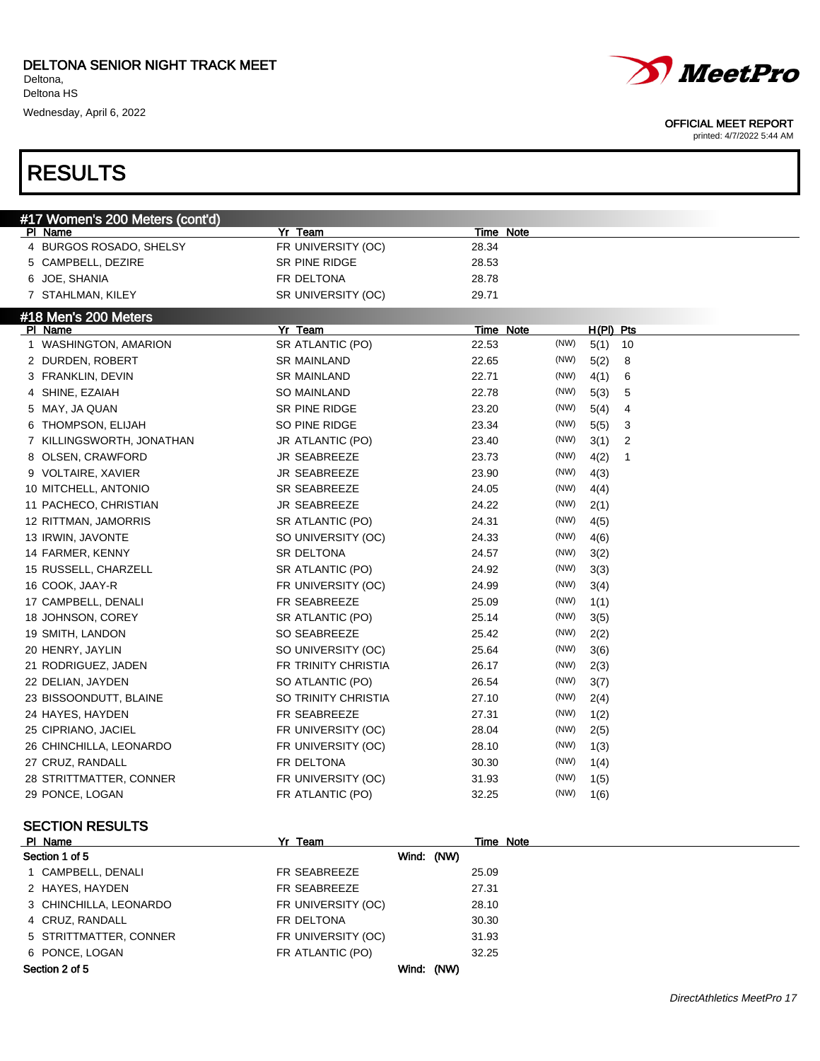# RESULTS



#### OFFICIAL MEET REPORT

| #17 Women's 200 Meters (cont'd) |                     |                  |                        |
|---------------------------------|---------------------|------------------|------------------------|
| PI Name                         | Yr Team             | Time Note        |                        |
| 4 BURGOS ROSADO, SHELSY         | FR UNIVERSITY (OC)  | 28.34            |                        |
| 5 CAMPBELL, DEZIRE              | SR PINE RIDGE       | 28.53            |                        |
| 6 JOE, SHANIA                   | FR DELTONA          | 28.78            |                        |
| 7 STAHLMAN, KILEY               | SR UNIVERSITY (OC)  | 29.71            |                        |
| #18 Men's 200 Meters            |                     |                  |                        |
| PI Name                         | Yr Team             | Time Note        | $H(PI)$ Pts            |
| 1 WASHINGTON, AMARION           | SR ATLANTIC (PO)    | (NW)<br>22.53    | 5(1)<br>10             |
| 2 DURDEN, ROBERT                | <b>SR MAINLAND</b>  | (NW)<br>22.65    | 5(2)<br>8              |
| 3 FRANKLIN, DEVIN               | <b>SR MAINLAND</b>  | (NW)<br>22.71    | 4(1)<br>6              |
| 4 SHINE, EZAIAH                 | <b>SO MAINLAND</b>  | 22.78<br>(NW)    | 5(3)<br>5              |
| 5 MAY, JA QUAN                  | SR PINE RIDGE       | (NW)<br>23.20    | 5(4)<br>4              |
| 6 THOMPSON, ELIJAH              | SO PINE RIDGE       | (NW)<br>23.34    | 5(5)<br>3              |
| 7 KILLINGSWORTH, JONATHAN       | JR ATLANTIC (PO)    | (NW)<br>23.40    | $\overline{2}$<br>3(1) |
| 8 OLSEN, CRAWFORD               | JR SEABREEZE        | (NW)<br>23.73    | 4(2)<br>$\mathbf{1}$   |
| 9 VOLTAIRE, XAVIER              | <b>JR SEABREEZE</b> | (NW)<br>23.90    | 4(3)                   |
| 10 MITCHELL, ANTONIO            | SR SEABREEZE        | (NW)<br>24.05    | 4(4)                   |
| 11 PACHECO, CHRISTIAN           | <b>JR SEABREEZE</b> | 24.22<br>(NW)    | 2(1)                   |
| 12 RITTMAN, JAMORRIS            | SR ATLANTIC (PO)    | (NW)<br>24.31    | 4(5)                   |
| 13 IRWIN, JAVONTE               | SO UNIVERSITY (OC)  | (NW)<br>24.33    | 4(6)                   |
| 14 FARMER, KENNY                | SR DELTONA          | (NW)<br>24.57    | 3(2)                   |
| 15 RUSSELL, CHARZELL            | SR ATLANTIC (PO)    | (NW)<br>24.92    | 3(3)                   |
| 16 COOK, JAAY-R                 | FR UNIVERSITY (OC)  | (NW)<br>24.99    | 3(4)                   |
| 17 CAMPBELL, DENALI             | FR SEABREEZE        | (NW)<br>25.09    | 1(1)                   |
| 18 JOHNSON, COREY               | SR ATLANTIC (PO)    | (NW)<br>25.14    | 3(5)                   |
| 19 SMITH, LANDON                | SO SEABREEZE        | (NW)<br>25.42    | 2(2)                   |
| 20 HENRY, JAYLIN                | SO UNIVERSITY (OC)  | (NW)<br>25.64    | 3(6)                   |
| 21 RODRIGUEZ, JADEN             | FR TRINITY CHRISTIA | (NW)<br>26.17    | 2(3)                   |
| 22 DELIAN, JAYDEN               | SO ATLANTIC (PO)    | (NW)<br>26.54    | 3(7)                   |
| 23 BISSOONDUTT, BLAINE          | SO TRINITY CHRISTIA | (NW)<br>27.10    | 2(4)                   |
| 24 HAYES, HAYDEN                | FR SEABREEZE        | (NW)<br>27.31    | 1(2)                   |
| 25 CIPRIANO, JACIEL             | FR UNIVERSITY (OC)  | (NW)<br>28.04    | 2(5)                   |
| 26 CHINCHILLA, LEONARDO         | FR UNIVERSITY (OC)  | (NW)<br>28.10    | 1(3)                   |
| 27 CRUZ, RANDALL                | FR DELTONA          | (NW)<br>30.30    | 1(4)                   |
| 28 STRITTMATTER, CONNER         | FR UNIVERSITY (OC)  | (NW)<br>31.93    | 1(5)                   |
| 29 PONCE, LOGAN                 | FR ATLANTIC (PO)    | (NW)<br>32.25    | 1(6)                   |
| <b>SECTION RESULTS</b>          |                     |                  |                        |
| PI Name                         | Yr Team             | <b>Time Note</b> |                        |
| Section 1 of 5                  | Wind: (NW)          |                  |                        |
|                                 |                     |                  |                        |

| ----------             | --------           | .     |
|------------------------|--------------------|-------|
| Section 1 of 5         | Wind: (NW)         |       |
| 1 CAMPBELL, DENALI     | FR SEABREEZE       | 25.09 |
| 2 HAYES, HAYDEN        | FR SEABREEZE       | 27.31 |
| 3 CHINCHILLA, LEONARDO | FR UNIVERSITY (OC) | 28.10 |
| 4 CRUZ, RANDALL        | FR DELTONA         | 30.30 |
| 5 STRITTMATTER, CONNER | FR UNIVERSITY (OC) | 31.93 |
| 6 PONCE, LOGAN         | FR ATLANTIC (PO)   | 32.25 |
| Section 2 of 5         | Wind: (NW)         |       |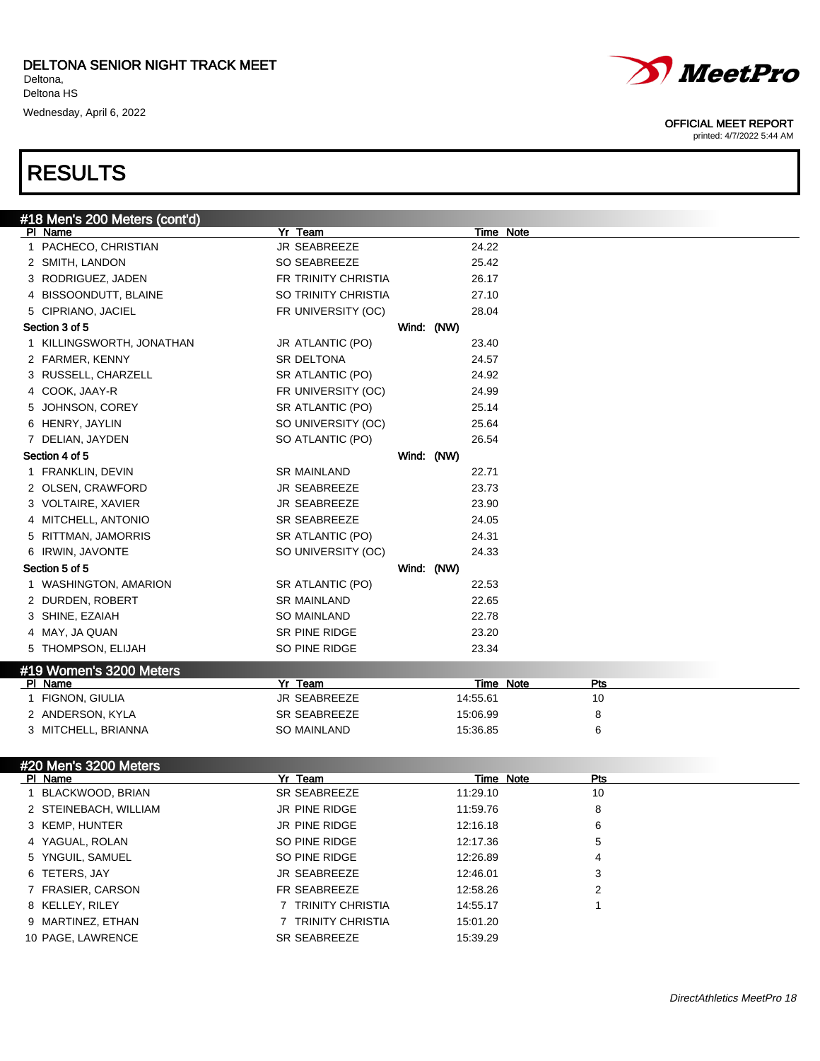# RESULTS

| #18 Men's 200 Meters (cont'd)      |                     |            |            |       |                  |
|------------------------------------|---------------------|------------|------------|-------|------------------|
| PI Name                            | Yr Team             |            |            |       | Time Note        |
| 1 PACHECO, CHRISTIAN               | JR SEABREEZE        |            |            | 24.22 |                  |
| 2 SMITH, LANDON                    | SO SEABREEZE        |            |            | 25.42 |                  |
| 3 RODRIGUEZ, JADEN                 | FR TRINITY CHRISTIA |            |            | 26.17 |                  |
| 4 BISSOONDUTT, BLAINE              | SO TRINITY CHRISTIA |            |            | 27.10 |                  |
| 5 CIPRIANO, JACIEL                 | FR UNIVERSITY (OC)  |            |            | 28.04 |                  |
| Section 3 of 5                     |                     | Wind: (NW) |            |       |                  |
| 1 KILLINGSWORTH, JONATHAN          | JR ATLANTIC (PO)    |            |            | 23.40 |                  |
| 2 FARMER, KENNY                    | SR DELTONA          |            |            | 24.57 |                  |
| 3 RUSSELL, CHARZELL                | SR ATLANTIC (PO)    |            |            | 24.92 |                  |
| 4 COOK, JAAY-R                     | FR UNIVERSITY (OC)  |            |            | 24.99 |                  |
| 5 JOHNSON, COREY                   | SR ATLANTIC (PO)    |            |            | 25.14 |                  |
| 6 HENRY, JAYLIN                    | SO UNIVERSITY (OC)  |            |            | 25.64 |                  |
| 7 DELIAN, JAYDEN                   | SO ATLANTIC (PO)    |            |            | 26.54 |                  |
| Section 4 of 5                     |                     |            | Wind: (NW) |       |                  |
| 1 FRANKLIN, DEVIN                  | <b>SR MAINLAND</b>  |            |            | 22.71 |                  |
| 2 OLSEN, CRAWFORD                  | JR SEABREEZE        |            |            | 23.73 |                  |
| 3 VOLTAIRE, XAVIER                 | JR SEABREEZE        |            |            | 23.90 |                  |
| 4 MITCHELL, ANTONIO                | <b>SR SEABREEZE</b> |            |            | 24.05 |                  |
| 5 RITTMAN, JAMORRIS                | SR ATLANTIC (PO)    |            |            | 24.31 |                  |
| 6 IRWIN, JAVONTE                   | SO UNIVERSITY (OC)  |            |            | 24.33 |                  |
| Section 5 of 5                     |                     | Wind: (NW) |            |       |                  |
| 1 WASHINGTON, AMARION              | SR ATLANTIC (PO)    |            |            | 22.53 |                  |
| 2 DURDEN, ROBERT                   | <b>SR MAINLAND</b>  |            |            | 22.65 |                  |
| 3 SHINE, EZAIAH                    | SO MAINLAND         |            |            | 22.78 |                  |
| 4 MAY, JA QUAN                     | SR PINE RIDGE       |            |            | 23.20 |                  |
| 5 THOMPSON, ELIJAH                 | SO PINE RIDGE       |            |            | 23.34 |                  |
|                                    |                     |            |            |       |                  |
| #19 Women's 3200 Meters<br>PI Name | Yr Team             |            |            |       | Time Note<br>Pts |
| 1 FIGNON, GIULIA                   | JR SEABREEZE        |            | 14:55.61   |       | 10               |
| 2 ANDERSON, KYLA                   | SR SEABREEZE        |            | 15:06.99   |       | 8                |
| 3 MITCHELL, BRIANNA                | <b>SO MAINLAND</b>  |            | 15:36.85   |       | 6                |
|                                    |                     |            |            |       |                  |
| #20 Men's 3200 Meters              |                     |            |            |       |                  |
| PI Name                            | Yr Team             |            |            |       | Time Note<br>Pts |
| 1 BLACKWOOD, BRIAN                 | SR SEABREEZE        |            | 11:29.10   |       | 10               |
| 2 STEINEBACH, WILLIAM              | JR PINE RIDGE       |            | 11:59.76   |       | 8                |
| 3 KEMP, HUNTER                     | JR PINE RIDGE       |            | 12:16.18   |       | 6                |
| 4 YAGUAL, ROLAN                    | SO PINE RIDGE       |            | 12:17.36   |       | 5                |
| 5 YNGUIL, SAMUEL                   | SO PINE RIDGE       |            | 12:26.89   |       | 4                |
| 6 TETERS, JAY                      | JR SEABREEZE        |            | 12:46.01   |       | 3                |
| 7 FRASIER, CARSON                  | FR SEABREEZE        |            | 12:58.26   |       | 2                |
| 8 KELLEY, RILEY                    | 7 TRINITY CHRISTIA  |            | 14:55.17   |       | 1                |
| 9 MARTINEZ, ETHAN                  | 7 TRINITY CHRISTIA  |            | 15:01.20   |       |                  |
| 10 PAGE, LAWRENCE                  | SR SEABREEZE        |            | 15:39.29   |       |                  |
|                                    |                     |            |            |       |                  |



#### OFFICIAL MEET REPORT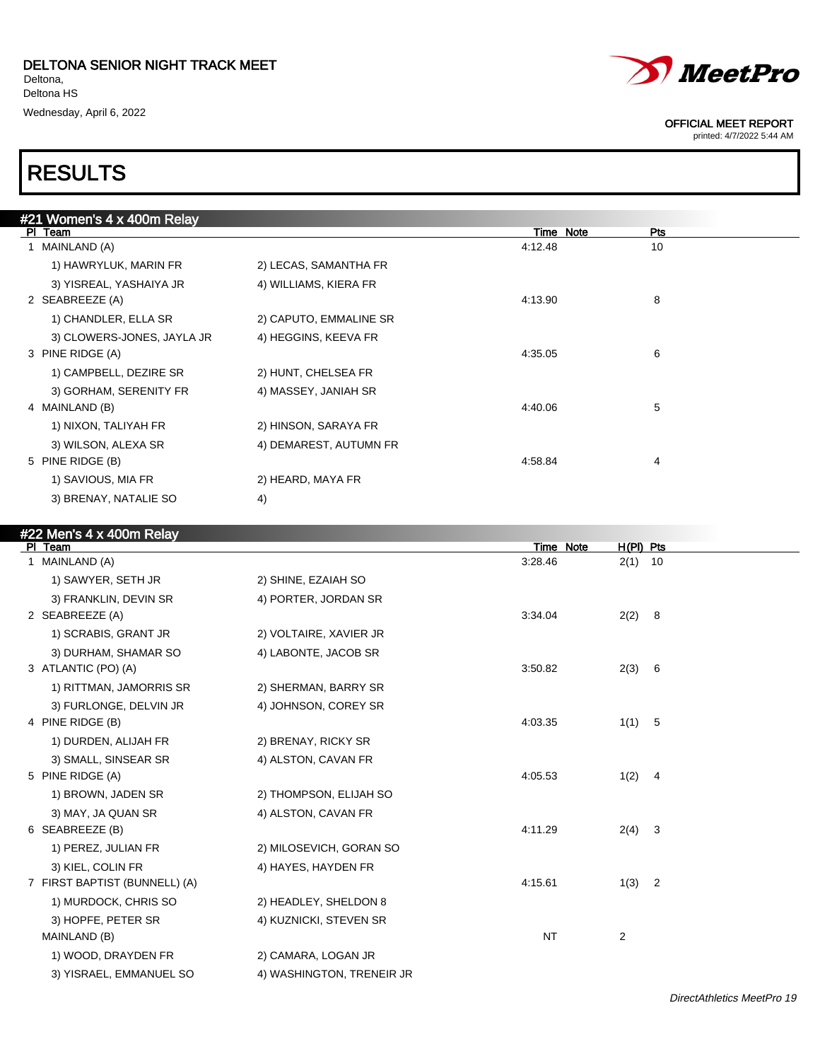$\lambda = 4 \times 400$ m R

| #21 Women's 4 x 400m Relay |                        |              |     |  |
|----------------------------|------------------------|--------------|-----|--|
| PI Team                    |                        | Note<br>Time | Pts |  |
| MAINLAND (A)               |                        | 4:12.48      | 10  |  |
| 1) HAWRYLUK, MARIN FR      | 2) LECAS, SAMANTHA FR  |              |     |  |
| 3) YISREAL, YASHAIYA JR    | 4) WILLIAMS, KIERA FR  |              |     |  |
| 2 SEABREEZE (A)            |                        | 4:13.90      | 8   |  |
| 1) CHANDLER, ELLA SR       | 2) CAPUTO, EMMALINE SR |              |     |  |
| 3) CLOWERS-JONES, JAYLA JR | 4) HEGGINS, KEEVA FR   |              |     |  |
| 3 PINE RIDGE (A)           |                        | 4:35.05      | 6   |  |
| 1) CAMPBELL, DEZIRE SR     | 2) HUNT, CHELSEA FR    |              |     |  |
| 3) GORHAM, SERENITY FR     | 4) MASSEY, JANIAH SR   |              |     |  |
| 4 MAINLAND (B)             |                        | 4:40.06      | 5   |  |
| 1) NIXON, TALIYAH FR       | 2) HINSON, SARAYA FR   |              |     |  |
| 3) WILSON, ALEXA SR        | 4) DEMAREST, AUTUMN FR |              |     |  |
| 5 PINE RIDGE (B)           |                        | 4:58.84      | 4   |  |
| 1) SAVIOUS, MIA FR         | 2) HEARD, MAYA FR      |              |     |  |
| 3) BRENAY, NATALIE SO      | 4)                     |              |     |  |
|                            |                        |              |     |  |

| <b>#ZZ Mens 4 x 400m Relay</b> |                           |           |           |                |  |
|--------------------------------|---------------------------|-----------|-----------|----------------|--|
| PI Team                        |                           |           | Time Note | $H(PI)$ Pts    |  |
| 1 MAINLAND (A)                 |                           | 3:28.46   |           | $2(1)$ 10      |  |
| 1) SAWYER, SETH JR             | 2) SHINE, EZAIAH SO       |           |           |                |  |
| 3) FRANKLIN, DEVIN SR          | 4) PORTER, JORDAN SR      |           |           |                |  |
| 2 SEABREEZE (A)                |                           | 3:34.04   |           | 2(2) 8         |  |
| 1) SCRABIS, GRANT JR           | 2) VOLTAIRE, XAVIER JR    |           |           |                |  |
| 3) DURHAM, SHAMAR SO           | 4) LABONTE, JACOB SR      |           |           |                |  |
| 3 ATLANTIC (PO) (A)            |                           | 3:50.82   |           | 2(3) 6         |  |
| 1) RITTMAN, JAMORRIS SR        | 2) SHERMAN, BARRY SR      |           |           |                |  |
| 3) FURLONGE, DELVIN JR         | 4) JOHNSON, COREY SR      |           |           |                |  |
| 4 PINE RIDGE (B)               |                           | 4:03.35   |           | 1(1) 5         |  |
| 1) DURDEN, ALIJAH FR           | 2) BRENAY, RICKY SR       |           |           |                |  |
| 3) SMALL, SINSEAR SR           | 4) ALSTON, CAVAN FR       |           |           |                |  |
| 5 PINE RIDGE (A)               |                           | 4:05.53   |           | 1(2) 4         |  |
| 1) BROWN, JADEN SR             | 2) THOMPSON, ELIJAH SO    |           |           |                |  |
| 3) MAY, JA QUAN SR             | 4) ALSTON, CAVAN FR       |           |           |                |  |
| 6 SEABREEZE (B)                |                           | 4:11.29   |           | $2(4)$ 3       |  |
| 1) PEREZ, JULIAN FR            | 2) MILOSEVICH, GORAN SO   |           |           |                |  |
| 3) KIEL, COLIN FR              | 4) HAYES, HAYDEN FR       |           |           |                |  |
| 7 FIRST BAPTIST (BUNNELL) (A)  |                           | 4:15.61   |           | $1(3)$ 2       |  |
| 1) MURDOCK, CHRIS SO           | 2) HEADLEY, SHELDON 8     |           |           |                |  |
| 3) HOPFE, PETER SR             | 4) KUZNICKI, STEVEN SR    |           |           |                |  |
| MAINLAND (B)                   |                           | <b>NT</b> |           | $\overline{2}$ |  |
| 1) WOOD, DRAYDEN FR            | 2) CAMARA, LOGAN JR       |           |           |                |  |
| 3) YISRAEL, EMMANUEL SO        | 4) WASHINGTON, TRENEIR JR |           |           |                |  |



#### OFFICIAL MEET REPORT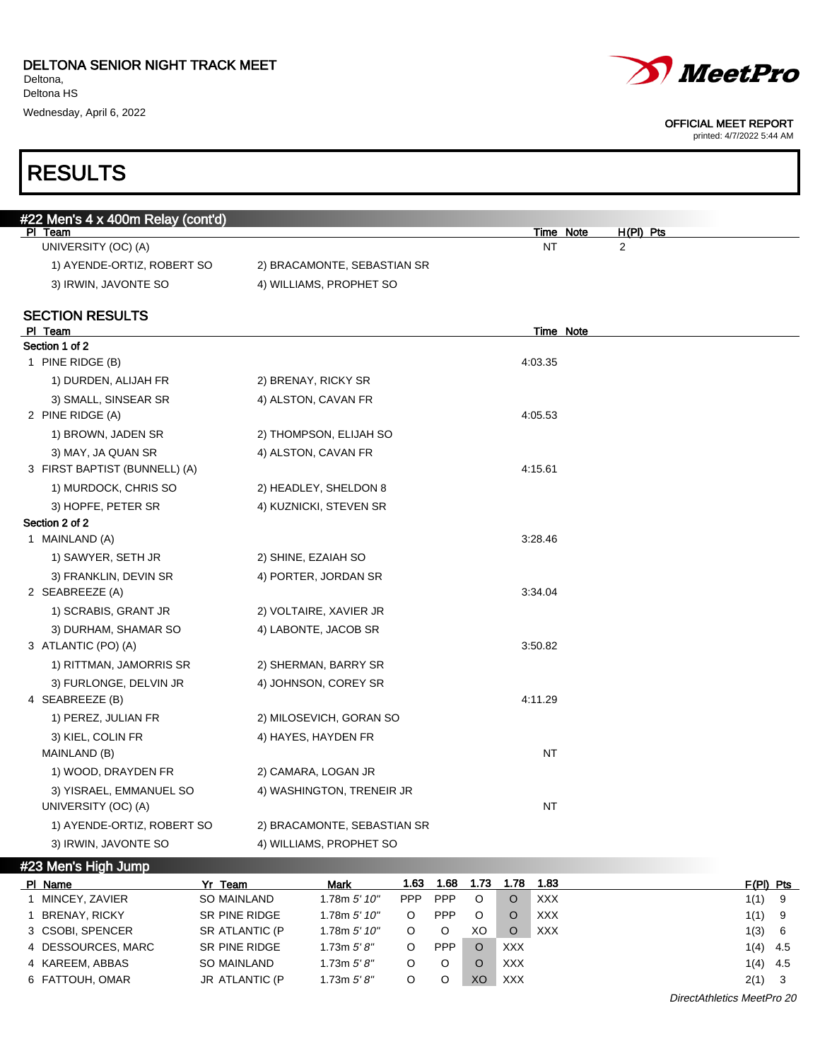



#### OFFICIAL MEET REPORT

| #22 Men's 4 x 400m Relay (cont'd)              |                                |                                          |
|------------------------------------------------|--------------------------------|------------------------------------------|
| PI Team<br>UNIVERSITY (OC) (A)                 |                                | Time Note<br>H(PI) Pts<br><b>NT</b><br>2 |
| 1) AYENDE-ORTIZ, ROBERT SO                     |                                |                                          |
|                                                | 2) BRACAMONTE, SEBASTIAN SR    |                                          |
| 3) IRWIN, JAVONTE SO                           | 4) WILLIAMS, PROPHET SO        |                                          |
| <b>SECTION RESULTS</b><br>PI Team              |                                | Time Note                                |
| Section 1 of 2                                 |                                |                                          |
| 1 PINE RIDGE (B)                               |                                | 4:03.35                                  |
| 1) DURDEN, ALIJAH FR                           | 2) BRENAY, RICKY SR            |                                          |
| 3) SMALL, SINSEAR SR                           | 4) ALSTON, CAVAN FR            |                                          |
| 2 PINE RIDGE (A)                               |                                | 4:05.53                                  |
| 1) BROWN, JADEN SR                             | 2) THOMPSON, ELIJAH SO         |                                          |
| 3) MAY, JA QUAN SR                             | 4) ALSTON, CAVAN FR            |                                          |
| 3 FIRST BAPTIST (BUNNELL) (A)                  |                                | 4:15.61                                  |
| 1) MURDOCK, CHRIS SO                           | 2) HEADLEY, SHELDON 8          |                                          |
| 3) HOPFE, PETER SR                             | 4) KUZNICKI, STEVEN SR         |                                          |
| Section 2 of 2                                 |                                |                                          |
| 1 MAINLAND (A)                                 |                                | 3:28.46                                  |
| 1) SAWYER, SETH JR                             | 2) SHINE, EZAIAH SO            |                                          |
| 3) FRANKLIN, DEVIN SR                          | 4) PORTER, JORDAN SR           |                                          |
| 2 SEABREEZE (A)                                |                                | 3:34.04                                  |
| 1) SCRABIS, GRANT JR                           | 2) VOLTAIRE, XAVIER JR         |                                          |
| 3) DURHAM, SHAMAR SO                           | 4) LABONTE, JACOB SR           |                                          |
| 3 ATLANTIC (PO) (A)                            |                                | 3:50.82                                  |
| 1) RITTMAN, JAMORRIS SR                        | 2) SHERMAN, BARRY SR           |                                          |
| 3) FURLONGE, DELVIN JR                         | 4) JOHNSON, COREY SR           |                                          |
| 4 SEABREEZE (B)                                |                                | 4:11.29                                  |
| 1) PEREZ, JULIAN FR                            | 2) MILOSEVICH, GORAN SO        |                                          |
| 3) KIEL, COLIN FR                              | 4) HAYES, HAYDEN FR            |                                          |
| MAINLAND (B)                                   |                                | <b>NT</b>                                |
| 1) WOOD, DRAYDEN FR                            | 2) CAMARA, LOGAN JR            |                                          |
| 3) YISRAEL, EMMANUEL SO<br>UNIVERSITY (OC) (A) | 4) WASHINGTON, TRENEIR JR      | <b>NT</b>                                |
| 1) AYENDE-ORTIZ, ROBERT SO                     | 2) BRACAMONTE, SEBASTIAN SR    |                                          |
| 3) IRWIN, JAVONTE SO                           | 4) WILLIAMS, PROPHET SO        |                                          |
| #23 Men's High Jump                            |                                |                                          |
| DI Name<br>V. T                                | 1.62<br><b>Marita</b><br>1. GQ | 1 7 Q<br>E/DIL DA                        |

| PI Name                    | Yr Team            | <b>Mark</b>   | 1.63       | 1.68       | 1.73 | 1.78       | 1.83       |          | $F(PI)$ Pts |
|----------------------------|--------------------|---------------|------------|------------|------|------------|------------|----------|-------------|
| MINCEY, ZAVIER             | <b>SO MAINLAND</b> | 1.78m 5' 10'' | <b>PPP</b> | <b>PPP</b> | O    | O          | XXX        | $1(1)$ 9 |             |
| <b>BRENAY, RICKY</b>       | SR PINE RIDGE      | 1.78m 5' 10'' | O          | <b>PPP</b> | O    | O          | <b>XXX</b> | $1(1)$ 9 |             |
| 3 CSOBI, SPENCER           | SR ATLANTIC (P     | 1.78m 5' 10'' |            | O          | XO   | O          | <b>XXX</b> | 1(3)     | - 6         |
| 4 DESSOURCES, MARC         | SR PINE RIDGE      | 1.73m $5'8''$ | O          | <b>PPP</b> |      | <b>XXX</b> |            |          | $1(4)$ 4.5  |
| 4 KAREEM, ABBAS            | SO MAINLAND        | 1.73m $5'8''$ | O          | O          |      | <b>XXX</b> |            |          | $1(4)$ 4.5  |
| 6 FATTOUH, OMAR            | JR ATLANTIC (P     | 1.73m $5'8''$ | O          | O          | XO   | <b>XXX</b> |            | $2(1)$ 3 |             |
| DirectAthletics MeetPro 20 |                    |               |            |            |      |            |            |          |             |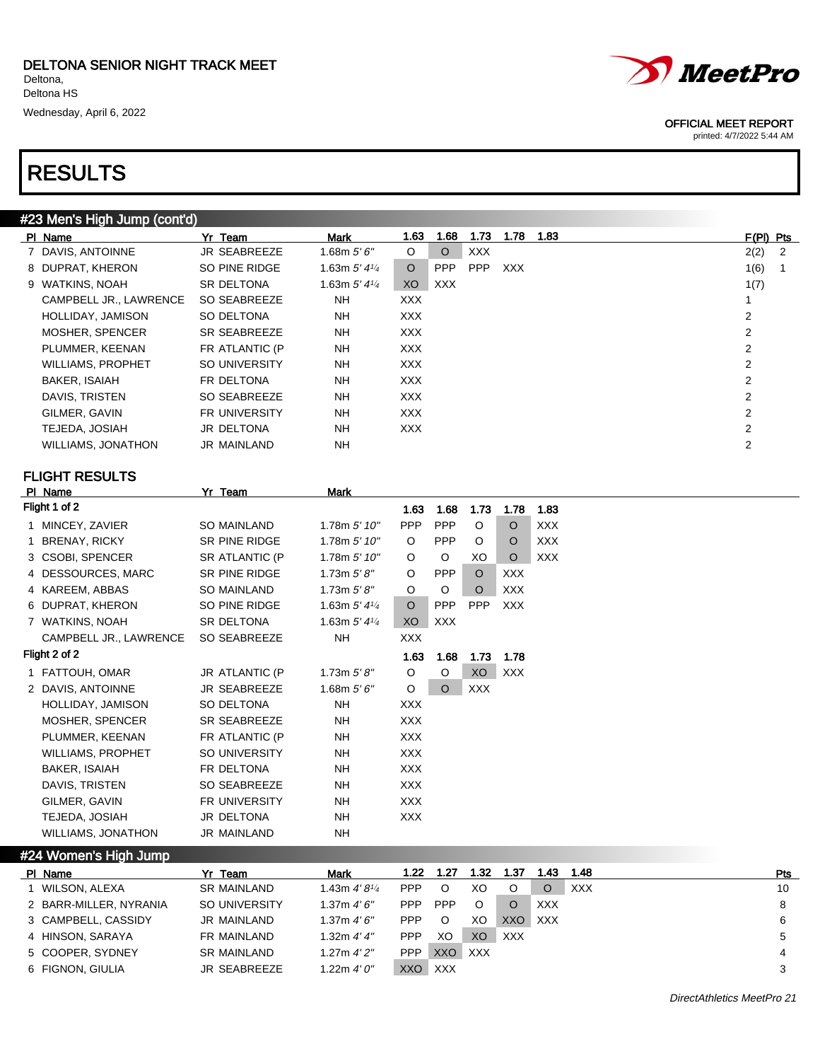

printed: 4/7/2022 5:44 AM

### RESULTS

### #23 Men's High Jump (cont'd)

| PI Name                  | Yr Team              | <b>Mark</b>                | 1.63       | 1.68       | 1.73       | 1.78       | 1.83 | $F(PI)$ Pts    |   |
|--------------------------|----------------------|----------------------------|------------|------------|------------|------------|------|----------------|---|
| 7 DAVIS, ANTOINNE        | JR SEABREEZE         | 1.68m $5'6''$              | $\circ$    | $\circ$    | <b>XXX</b> |            |      | 2(2)           | 2 |
| 8 DUPRAT, KHERON         | SO PINE RIDGE        | 1.63m $5'$ 4 $\frac{1}{4}$ | $\Omega$   | <b>PPP</b> | <b>PPP</b> | <b>XXX</b> |      | 1(6)           |   |
| 9 WATKINS, NOAH          | <b>SR DELTONA</b>    | 1.63m $5'$ 4 $\frac{1}{4}$ | XO.        | XXX        |            |            |      | 1(7)           |   |
| CAMPBELL JR., LAWRENCE   | SO SEABREEZE         | NH.                        | <b>XXX</b> |            |            |            |      |                |   |
| HOLLIDAY, JAMISON        | SO DELTONA           | <b>NH</b>                  | <b>XXX</b> |            |            |            |      | 2              |   |
| MOSHER, SPENCER          | SR SEABREEZE         | <b>NH</b>                  | <b>XXX</b> |            |            |            |      | 2              |   |
| PLUMMER, KEENAN          | FR ATLANTIC (P       | <b>NH</b>                  | <b>XXX</b> |            |            |            |      | 2              |   |
| <b>WILLIAMS, PROPHET</b> | SO UNIVERSITY        | <b>NH</b>                  | <b>XXX</b> |            |            |            |      | 2              |   |
| <b>BAKER, ISAIAH</b>     | FR DELTONA           | <b>NH</b>                  | <b>XXX</b> |            |            |            |      | 2              |   |
| DAVIS, TRISTEN           | SO SEABREEZE         | <b>NH</b>                  | <b>XXX</b> |            |            |            |      | $\overline{2}$ |   |
| GILMER, GAVIN            | <b>FR UNIVERSITY</b> | <b>NH</b>                  | <b>XXX</b> |            |            |            |      | 2              |   |
| TEJEDA, JOSIAH           | JR DELTONA           | <b>NH</b>                  | <b>XXX</b> |            |            |            |      | 2              |   |
| WILLIAMS, JONATHON       | <b>JR MAINLAND</b>   | NΗ                         |            |            |            |            |      | 2              |   |
|                          |                      |                            |            |            |            |            |      |                |   |

### FLIGHT RESULTS

| PI Name                | Yr Team               | Mark                       |            |            |            |            |            |
|------------------------|-----------------------|----------------------------|------------|------------|------------|------------|------------|
| Flight 1 of 2          |                       |                            | 1.63       | 1.68       | 1.73       | 1.78       | 1.83       |
| 1 MINCEY, ZAVIER       | SO MAINLAND           | 1.78m 5' 10''              | <b>PPP</b> | <b>PPP</b> | O          | $\circ$    | <b>XXX</b> |
| 1 BRENAY, RICKY        | SR PINE RIDGE         | 1.78m 5' 10''              | O          | <b>PPP</b> | O          | $\circ$    | <b>XXX</b> |
| 3 CSOBI, SPENCER       | <b>SR ATLANTIC (P</b> | 1.78m 5' 10''              | O          | O          | XO         | O          | <b>XXX</b> |
| 4 DESSOURCES, MARC     | SR PINE RIDGE         | 1.73 $m 5' 8''$            | O          | <b>PPP</b> | $\Omega$   | <b>XXX</b> |            |
| 4 KAREEM, ABBAS        | <b>SO MAINLAND</b>    | 1.73 $m 5' 8''$            | O          | O          | $\circ$    | <b>XXX</b> |            |
| 6 DUPRAT, KHERON       | SO PINE RIDGE         | 1.63m $5'$ 4 $\frac{1}{4}$ | $\circ$    | <b>PPP</b> | <b>PPP</b> | <b>XXX</b> |            |
| 7 WATKINS, NOAH        | SR DELTONA            | 1.63m $5'$ 4 $\frac{1}{4}$ | XO         | <b>XXX</b> |            |            |            |
| CAMPBELL JR., LAWRENCE | SO SEABREEZE          | <b>NH</b>                  | XXX        |            |            |            |            |
| Flight 2 of 2          |                       |                            | 1.63       | 1.68       | 1.73       | 1.78       |            |
| 1 FATTOUH, OMAR        | JR ATLANTIC (P        | 1.73 $m 5' 8''$            | O          | O          | XO         | <b>XXX</b> |            |
| 2 DAVIS, ANTOINNE      | <b>JR SEABREEZE</b>   | 1.68m $5'6''$              | O          | $\circ$    | <b>XXX</b> |            |            |
| HOLLIDAY, JAMISON      | SO DELTONA            | <b>NH</b>                  | <b>XXX</b> |            |            |            |            |
| MOSHER, SPENCER        | SR SEABREEZE          | NH                         | <b>XXX</b> |            |            |            |            |
| PLUMMER, KEENAN        | FR ATLANTIC (P        | NH                         | <b>XXX</b> |            |            |            |            |
| WILLIAMS, PROPHET      | SO UNIVERSITY         | <b>NH</b>                  | <b>XXX</b> |            |            |            |            |
| BAKER, ISAIAH          | FR DELTONA            | NΗ                         | XXX        |            |            |            |            |
| DAVIS, TRISTEN         | SO SEABREEZE          | NH                         | <b>XXX</b> |            |            |            |            |
| GILMER, GAVIN          | FR UNIVERSITY         | NH                         | XXX        |            |            |            |            |
| TEJEDA, JOSIAH         | <b>JR DELTONA</b>     | NH                         | XXX        |            |            |            |            |
| WILLIAMS, JONATHON     | JR MAINLAND           | NΗ                         |            |            |            |            |            |

#24 Women's High Jump

| PI Name                | Yr Team            | <b>Mark</b>            | 1.22  | 1.27       | 1.32 | 1.37       | 1.43 | 1.48 | Pts |
|------------------------|--------------------|------------------------|-------|------------|------|------------|------|------|-----|
| WILSON, ALEXA          | <b>SR MAINLAND</b> | 1.43m $4'8\frac{1}{4}$ | PPP.  |            | XO   |            |      | XXX  | 10  |
| 2 BARR-MILLER, NYRANIA | SO UNIVERSITY      | 1.37m $4'6''$          | PPP.  | <b>PPP</b> | O    |            | XXX  |      | 8   |
| 3 CAMPBELL, CASSIDY    | JR MAINLAND        | 1.37m $4'6''$          | PPP.  |            | XO   | XXO        | XXX  |      | 6   |
| 4 HINSON, SARAYA       | FR MAINLAND        | 1.32m $4'4''$          | PPP   | XO         | XO   | <b>XXX</b> |      |      |     |
| 5 COOPER, SYDNEY       | <b>SR MAINLAND</b> | 1.27m 4'2''            | PPP   | XXO        | XXX  |            |      |      | 4   |
| 6 FIGNON, GIULIA       | JR SEABREEZE       | 1.22m 4' 0"            | XXO I | XXX        |      |            |      |      |     |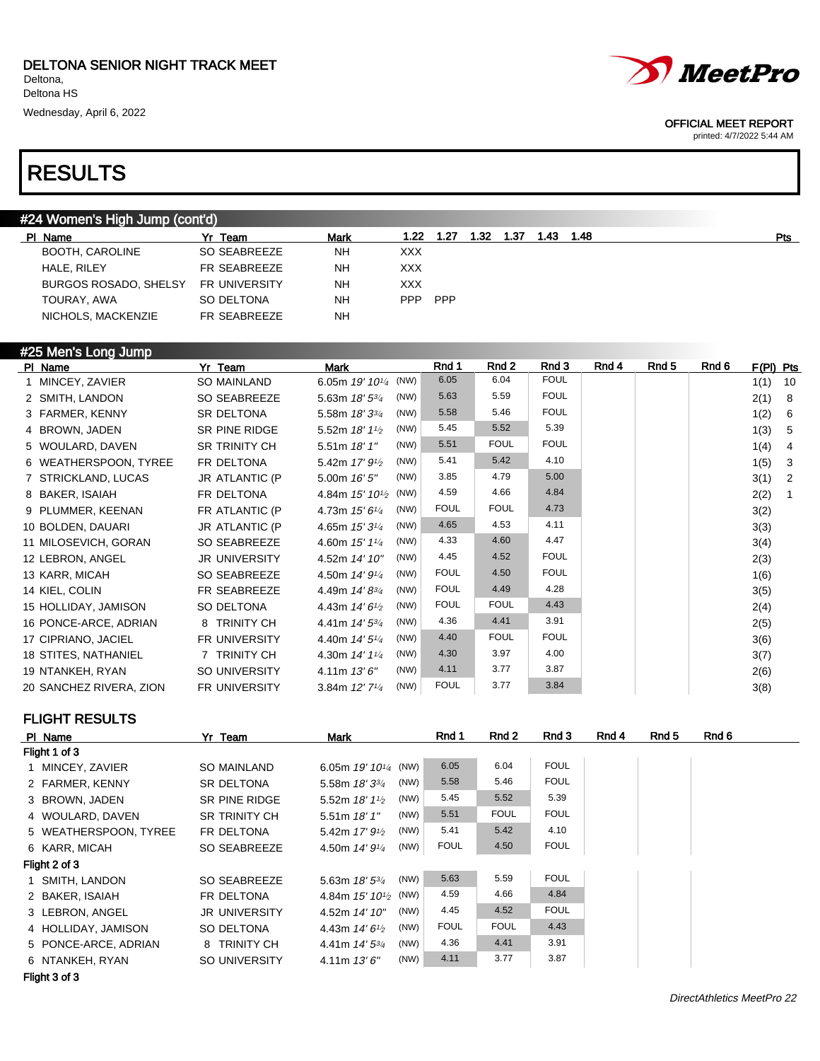### RESULTS

### #24 Women's High Jump (cont'd)

| PI Name                      | Team          | Mark      | 1.22       | 1.27 | 1.32 | 1.37 | 1.43 | 1.48 | Pts |  |
|------------------------------|---------------|-----------|------------|------|------|------|------|------|-----|--|
| BOOTH, CAROLINE              | SO SEABREEZE  | <b>NH</b> | <b>XXX</b> |      |      |      |      |      |     |  |
| HALE, RILEY                  | FR SEABREEZE  | <b>NH</b> | XXX        |      |      |      |      |      |     |  |
| <b>BURGOS ROSADO, SHELSY</b> | FR UNIVERSITY | <b>NH</b> | XXX        |      |      |      |      |      |     |  |
| TOURAY, AWA                  | SO DELTONA    | NΗ        | <b>PPP</b> | PPP  |      |      |      |      |     |  |
| NICHOLS, MACKENZIE           | FR SEABREEZE  | <b>NH</b> |            |      |      |      |      |      |     |  |
|                              |               |           |            |      |      |      |      |      |     |  |

#### #25 Men's Long Jump

| PI Name                 | Yr Team              | <b>Mark</b>                                     | Rnd 1       | Rnd 2       | Rnd 3       | Rnd 4 | Rnd 5 | Rnd 6 | F(PI) Pts |                |
|-------------------------|----------------------|-------------------------------------------------|-------------|-------------|-------------|-------|-------|-------|-----------|----------------|
| 1 MINCEY, ZAVIER        | SO MAINLAND          | 6.05m $19'10^{1/4}$ (NW)                        | 6.05        | 6.04        | <b>FOUL</b> |       |       |       | 1(1)      | 10             |
| 2 SMITH, LANDON         | SO SEABREEZE         | (NW)<br>5.63m 18' 53/4                          | 5.63        | 5.59        | <b>FOUL</b> |       |       |       | 2(1)      | -8             |
| 3 FARMER, KENNY         | <b>SR DELTONA</b>    | (NW)<br>5.58m 18' 33/4                          | 5.58        | 5.46        | <b>FOUL</b> |       |       |       | 1(2)      | 6              |
| 4 BROWN, JADEN          | SR PINE RIDGE        | (NW)<br>5.52m 18' 11/2                          | 5.45        | 5.52        | 5.39        |       |       |       | 1(3)      | -5             |
| 5 WOULARD, DAVEN        | SR TRINITY CH        | (NW)<br>5.51m 18'1"                             | 5.51        | <b>FOUL</b> | <b>FOUL</b> |       |       |       | 1(4)      | $\overline{4}$ |
| 6 WEATHERSPOON, TYREE   | FR DELTONA           | (NW)<br>5.42m $17'$ $9\frac{1}{2}$              | 5.41        | 5.42        | 4.10        |       |       |       | 1(5)      | $\mathbf{3}$   |
| 7 STRICKLAND, LUCAS     | JR ATLANTIC (P       | (NW)<br>5.00m 16' 5"                            | 3.85        | 4.79        | 5.00        |       |       |       | 3(1)      | $\overline{2}$ |
| 8 BAKER, ISAIAH         | FR DELTONA           | 4.84m $15'$ $10^{1/2}$ (NW)                     | 4.59        | 4.66        | 4.84        |       |       |       | 2(2)      | $\overline{1}$ |
| 9 PLUMMER, KEENAN       | FR ATLANTIC (P       | (NW)<br>4.73m 15' 61/4                          | <b>FOUL</b> | <b>FOUL</b> | 4.73        |       |       |       | 3(2)      |                |
| 10 BOLDEN, DAUARI       | JR ATLANTIC (P       | (NW)<br>4.65m 15' 31/4                          | 4.65        | 4.53        | 4.11        |       |       |       | 3(3)      |                |
| 11 MILOSEVICH, GORAN    | SO SEABREEZE         | (NW)<br>4.60m 15' 11/4                          | 4.33        | 4.60        | 4.47        |       |       |       | 3(4)      |                |
| 12 LEBRON, ANGEL        | <b>JR UNIVERSITY</b> | (NW)<br>4.52m 14' 10"                           | 4.45        | 4.52        | <b>FOUL</b> |       |       |       | 2(3)      |                |
| 13 KARR, MICAH          | SO SEABREEZE         | (NW)<br>4.50m 14' 91/4                          | <b>FOUL</b> | 4.50        | <b>FOUL</b> |       |       |       | 1(6)      |                |
| 14 KIEL, COLIN          | FR SEABREEZE         | (NW)<br>4.49m 14' 83/4                          | <b>FOUL</b> | 4.49        | 4.28        |       |       |       | 3(5)      |                |
| 15 HOLLIDAY, JAMISON    | SO DELTONA           | (NW)<br>4.43m 14' 6 <sup>1</sup> / <sub>2</sub> | <b>FOUL</b> | <b>FOUL</b> | 4.43        |       |       |       | 2(4)      |                |
| 16 PONCE-ARCE, ADRIAN   | 8 TRINITY CH         | (NW)<br>4.41m 14' 53/4                          | 4.36        | 4.41        | 3.91        |       |       |       | 2(5)      |                |
| 17 CIPRIANO, JACIEL     | <b>FR UNIVERSITY</b> | 4.40m 14' 51/4<br>(NW)                          | 4.40        | <b>FOUL</b> | <b>FOUL</b> |       |       |       | 3(6)      |                |
| 18 STITES, NATHANIEL    | 7 TRINITY CH         | (NW)<br>4.30m 14' 11/4                          | 4.30        | 3.97        | 4.00        |       |       |       | 3(7)      |                |
| 19 NTANKEH, RYAN        | SO UNIVERSITY        | (NW)<br>4.11m 13'6''                            | 4.11        | 3.77        | 3.87        |       |       |       | 2(6)      |                |
| 20 SANCHEZ RIVERA, ZION | <b>FR UNIVERSITY</b> | (NW)<br>3.84m 12' 71/4                          | <b>FOUL</b> | 3.77        | 3.84        |       |       |       | 3(8)      |                |

FLIGHT RESULTS

| PI Name               | Yr Team              | Mark                        | Rnd 1               | Rnd 2       | Rnd 3       | Rnd 4 | Rnd 5 | Rnd 6 |
|-----------------------|----------------------|-----------------------------|---------------------|-------------|-------------|-------|-------|-------|
| Flight 1 of 3         |                      |                             |                     |             |             |       |       |       |
| 1 MINCEY, ZAVIER      | SO MAINLAND          | 6.05m $19'10^{1/4}$ (NW)    | 6.05                | 6.04        | <b>FOUL</b> |       |       |       |
| 2 FARMER, KENNY       | SR DELTONA           | 5.58m 18' 33/4              | 5.58<br>(NW)        | 5.46        | <b>FOUL</b> |       |       |       |
| 3 BROWN, JADEN        | SR PINE RIDGE        | 5.52m 18' 11/2              | 5.45<br>(NW)        | 5.52        | 5.39        |       |       |       |
| 4 WOULARD, DAVEN      | <b>SR TRINITY CH</b> | 5.51 m $18'1''$             | 5.51<br>(NW)        | <b>FOUL</b> | <b>FOUL</b> |       |       |       |
| 5 WEATHERSPOON, TYREE | FR DELTONA           | 5.42m $17'$ $9\frac{1}{2}$  | 5.41<br>(NW)        | 5.42        | 4.10        |       |       |       |
| 6 KARR, MICAH         | SO SEABREEZE         | 4.50m 14' 91/4              | <b>FOUL</b><br>(NW) | 4.50        | <b>FOUL</b> |       |       |       |
| Flight 2 of 3         |                      |                             |                     |             |             |       |       |       |
| 1 SMITH, LANDON       | SO SEABREEZE         | 5.63m $18'$ 5 $\frac{3}{4}$ | 5.63<br>(NW)        | 5.59        | <b>FOUL</b> |       |       |       |
| 2 BAKER, ISAIAH       | FR DELTONA           | 4.84m $15'$ $10^{1/2}$ (NW) | 4.59                | 4.66        | 4.84        |       |       |       |
| 3 LEBRON, ANGEL       | <b>JR UNIVERSITY</b> | 4.52m 14' 10"               | 4.45<br>(NW)        | 4.52        | <b>FOUL</b> |       |       |       |
| 4 HOLLIDAY, JAMISON   | SO DELTONA           | 4.43m $14'6\frac{1}{2}$     | <b>FOUL</b><br>(NW) | <b>FOUL</b> | 4.43        |       |       |       |
| 5 PONCE-ARCE, ADRIAN  | 8 TRINITY CH         | 4.41m $14'5^{3/4}$          | 4.36<br>(NW)        | 4.41        | 3.91        |       |       |       |
| 6 NTANKEH, RYAN       | SO UNIVERSITY        | 4.11m 13'6''                | 4.11<br>(NW)        | 3.77        | 3.87        |       |       |       |
|                       |                      |                             |                     |             |             |       |       |       |



OFFICIAL MEET REPORT printed: 4/7/2022 5:44 AM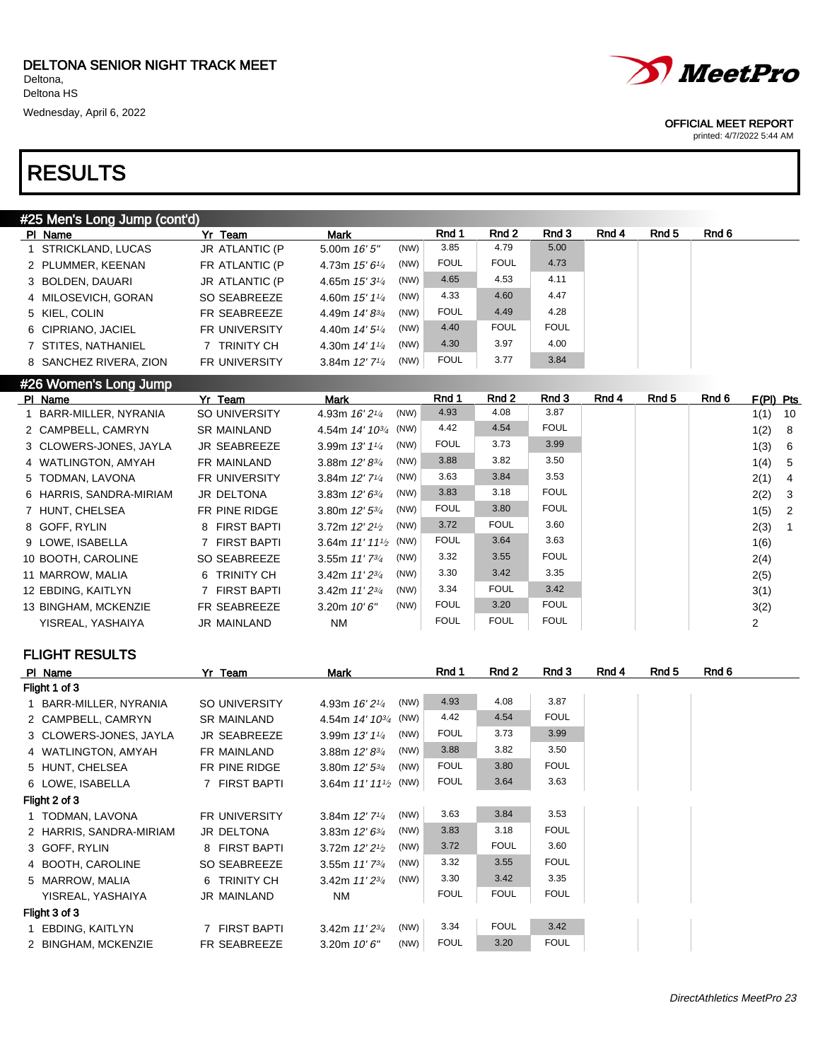| #25 Men's Long Jump (cont'd), |                      |                             |      |             |             |             |       |       |       |
|-------------------------------|----------------------|-----------------------------|------|-------------|-------------|-------------|-------|-------|-------|
| PI Name                       | Yr Team              | <b>Mark</b>                 |      | Rnd 1       | Rnd 2       | Rnd 3       | Rnd 4 | Rnd 5 | Rnd 6 |
| 1 STRICKLAND, LUCAS           | JR ATLANTIC (P       | 5.00m $16'5''$              | (NW) | 3.85        | 4.79        | 5.00        |       |       |       |
| 2 PLUMMER, KEENAN             | FR ATLANTIC (P       | 4.73m $15'6''$              | (NW) | <b>FOUL</b> | <b>FOUL</b> | 4.73        |       |       |       |
| 3 BOLDEN, DAUARI              | JR ATLANTIC (P       | 4.65m $15'3\frac{1}{4}$     | (NW) | 4.65        | 4.53        | 4.11        |       |       |       |
| 4 MILOSEVICH, GORAN           | SO SEABREEZE         | 4.60m $15'$ $1\frac{1}{4}$  | (NW) | 4.33        | 4.60        | 4.47        |       |       |       |
| 5 KIEL, COLIN                 | FR SEABREEZE         | 4.49m $14' 8^{3/4}$         | (NW) | <b>FOUL</b> | 4.49        | 4.28        |       |       |       |
| 6 CIPRIANO, JACIEL            | <b>FR UNIVERSITY</b> | 4.40m $14'5''$              | (NW) | 4.40        | <b>FOUL</b> | <b>FOUL</b> |       |       |       |
| 7 STITES, NATHANIEL           | 7 TRINITY CH         | 4.30m $14'1\frac{1}{4}$     | (NW) | 4.30        | 3.97        | 4.00        |       |       |       |
| 8 SANCHEZ RIVERA, ZION        | <b>FR UNIVERSITY</b> | 3.84m $12'$ 7 $\frac{1}{4}$ | (NW) | <b>FOUL</b> | 3.77        | 3.84        |       |       |       |
|                               |                      |                             |      |             |             |             |       |       |       |

### #26 Women's Long Jump

| PI Name                 | Yr Team              | <b>Mark</b>                  |      | Rnd 1       | Rnd 2       | Rnd 3       | Rnd 4 | Rnd 5 | Rnd 6 | $F(PI)$ Pts |    |
|-------------------------|----------------------|------------------------------|------|-------------|-------------|-------------|-------|-------|-------|-------------|----|
| 1 BARR-MILLER, NYRANIA  | SO UNIVERSITY        | 4.93m 16' 2 <sup>1/4</sup>   | (NW) | 4.93        | 4.08        | 3.87        |       |       |       | 1(1)        | 10 |
| 2 CAMPBELL, CAMRYN      | <b>SR MAINLAND</b>   | 4.54m $14'$ $10^{3/4}$ (NW)  |      | 4.42        | 4.54        | <b>FOUL</b> |       |       |       | 1(2)        | -8 |
| 3 CLOWERS-JONES, JAYLA  | <b>JR SEABREEZE</b>  | 3.99m $13'1'4$               | (NW) | <b>FOUL</b> | 3.73        | 3.99        |       |       |       | 1(3)        | -6 |
| 4 WATLINGTON, AMYAH     | FR MAINLAND          | 3.88m $12' 8^{3/4}$          | (NW) | 3.88        | 3.82        | 3.50        |       |       |       | 1(4)        | -5 |
| 5 TODMAN, LAVONA        | <b>FR UNIVERSITY</b> | 3.84m $12'$ 7 <sup>1/4</sup> | (NW) | 3.63        | 3.84        | 3.53        |       |       |       | 2(1)        | 4  |
| 6 HARRIS, SANDRA-MIRIAM | JR DELTONA           | 3.83m $12'6^{3/4}$           | (NW) | 3.83        | 3.18        | <b>FOUL</b> |       |       |       | 2(2)        | -3 |
| 7 HUNT, CHELSEA         | FR PINE RIDGE        | 3.80m $12'5^{3/4}$           | (NW) | <b>FOUL</b> | 3.80        | <b>FOUL</b> |       |       |       | 1(5)        | -2 |
| 8 GOFF, RYLIN           | 8 FIRST BAPTI        | 3.72m $12'21/2$              | (NW) | 3.72        | <b>FOUL</b> | 3.60        |       |       |       | 2(3)        | -1 |
| 9 LOWE, ISABELLA        | 7 FIRST BAPTI        | 3.64m $11'11'_{2}$ (NW)      |      | <b>FOUL</b> | 3.64        | 3.63        |       |       |       | 1(6)        |    |
| 10 BOOTH, CAROLINE      | SO SEABREEZE         | 3.55m $11'$ $7^{3}/_4$       | (NW) | 3.32        | 3.55        | <b>FOUL</b> |       |       |       | 2(4)        |    |
| 11 MARROW, MALIA        | 6 TRINITY CH         | 3.42m $11'2^{3/4}$           | (NW) | 3.30        | 3.42        | 3.35        |       |       |       | 2(5)        |    |
| 12 EBDING, KAITLYN      | 7 FIRST BAPTI        | 3.42m $11'2^{3/4}$           | (NW) | 3.34        | <b>FOUL</b> | 3.42        |       |       |       | 3(1)        |    |
| 13 BINGHAM, MCKENZIE    | FR SEABREEZE         | 3.20m $10'6''$               | (NW) | <b>FOUL</b> | 3.20        | <b>FOUL</b> |       |       |       | 3(2)        |    |
| YISREAL, YASHAIYA       | JR MAINLAND          | <b>NM</b>                    |      | <b>FOUL</b> | <b>FOUL</b> | <b>FOUL</b> |       |       |       | 2           |    |

### FLIGHT RESULTS

| PI Name                 | Yr Team              | Mark                                | Rnd 1       | Rnd 2       | Rnd 3       | Rnd 4 | Rnd 5 | Rnd 6 |
|-------------------------|----------------------|-------------------------------------|-------------|-------------|-------------|-------|-------|-------|
| Flight 1 of 3           |                      |                                     |             |             |             |       |       |       |
| 1 BARR-MILLER, NYRANIA  | SO UNIVERSITY        | (NW)<br>4.93m 16' 21/4              | 4.93        | 4.08        | 3.87        |       |       |       |
| 2 CAMPBELL, CAMRYN      | <b>SR MAINLAND</b>   | 4.54m $14'$ $10^{3/4}$ (NW)         | 4.42        | 4.54        | <b>FOUL</b> |       |       |       |
| 3 CLOWERS-JONES, JAYLA  | <b>JR SEABREEZE</b>  | (NW)<br>3.99m $13'1'4$              | <b>FOUL</b> | 3.73        | 3.99        |       |       |       |
| 4 WATLINGTON, AMYAH     | FR MAINLAND          | (NW)<br>3.88m $12' 8^{3/4}$         | 3.88        | 3.82        | 3.50        |       |       |       |
| 5 HUNT, CHELSEA         | FR PINE RIDGE        | (NW)<br>3.80m $12'$ 5 $\frac{3}{4}$ | <b>FOUL</b> | 3.80        | <b>FOUL</b> |       |       |       |
| 6 LOWE, ISABELLA        | 7 FIRST BAPTI        | 3.64m $11'11'$ (NW)                 | <b>FOUL</b> | 3.64        | 3.63        |       |       |       |
| Flight 2 of 3           |                      |                                     |             |             |             |       |       |       |
| 1 TODMAN, LAVONA        | <b>FR UNIVERSITY</b> | (NW)<br>3.84m 12' 71/4              | 3.63        | 3.84        | 3.53        |       |       |       |
| 2 HARRIS, SANDRA-MIRIAM | JR DELTONA           | (NW)<br>3.83m $12'6^{3/4}$          | 3.83        | 3.18        | <b>FOUL</b> |       |       |       |
| 3 GOFF, RYLIN           | 8 FIRST BAPTI        | (NW)<br>3.72m $12'21/2$             | 3.72        | <b>FOUL</b> | 3.60        |       |       |       |
| 4 BOOTH, CAROLINE       | SO SEABREEZE         | (NW)<br>3.55m $11'$ $7^{3}/_4$      | 3.32        | 3.55        | <b>FOUL</b> |       |       |       |
| 5 MARROW, MALIA         | 6 TRINITY CH         | (NW)<br>3.42m $11'2^{3/4}$          | 3.30        | 3.42        | 3.35        |       |       |       |
| YISREAL, YASHAIYA       | JR MAINLAND          | NM                                  | <b>FOUL</b> | <b>FOUL</b> | <b>FOUL</b> |       |       |       |
| Flight 3 of 3           |                      |                                     |             |             |             |       |       |       |
| 1 EBDING, KAITLYN       | 7 FIRST BAPTI        | (NW)<br>3.42m 11' 23/4              | 3.34        | <b>FOUL</b> | 3.42        |       |       |       |
| 2 BINGHAM, MCKENZIE     | FR SEABREEZE         | (NW)<br>3.20m $10'6''$              | <b>FOUL</b> | 3.20        | <b>FOUL</b> |       |       |       |



#### OFFICIAL MEET REPORT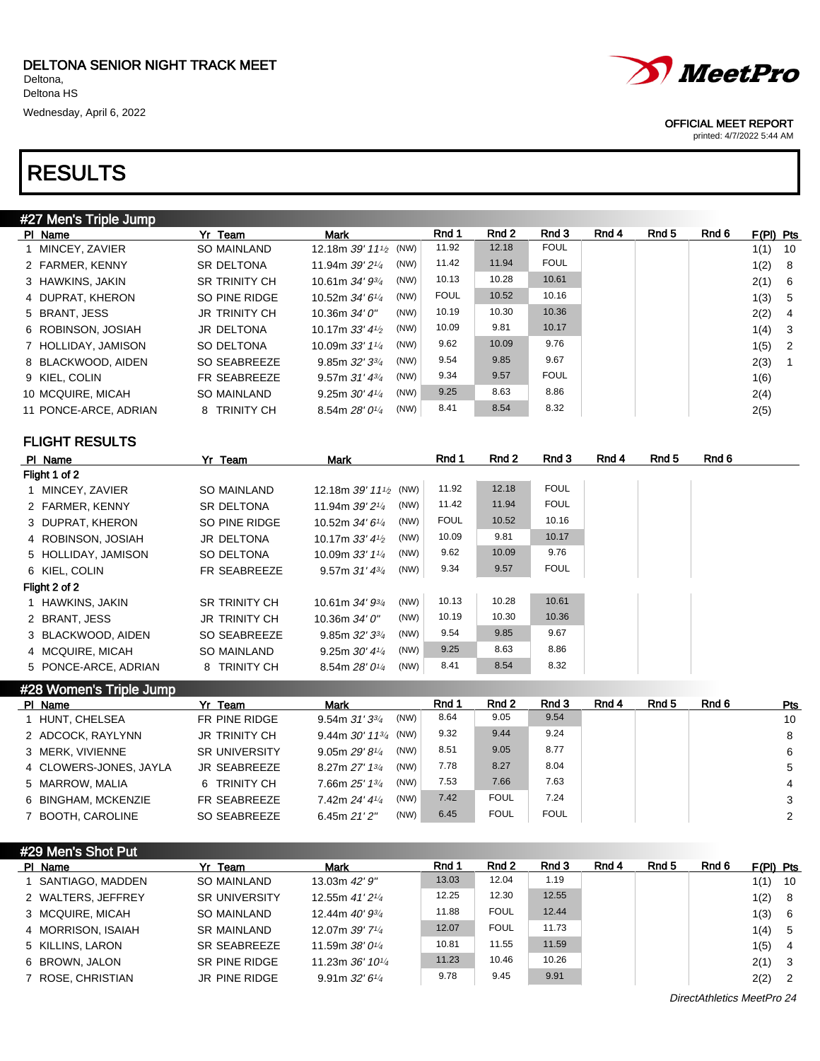5 HOLLIDAY, JAMISON SO DELTONA

# RESULTS

| #27 Men's Triple Jump |                      |                                                |             |       |             |       |       |       |             |    |
|-----------------------|----------------------|------------------------------------------------|-------------|-------|-------------|-------|-------|-------|-------------|----|
| PI Name               | Yr Team              | Mark                                           | Rnd 1       | Rnd 2 | Rnd 3       | Rnd 4 | Rnd 5 | Rnd 6 | $F(PI)$ Pts |    |
| 1 MINCEY, ZAVIER      | <b>SO MAINLAND</b>   | 12.18m 39' 11 <sup>1</sup> / <sub>2</sub> (NW) | 11.92       | 12.18 | <b>FOUL</b> |       |       |       | 1(1)        | 10 |
| 2 FARMER, KENNY       | SR DELTONA           | (NW)<br>11.94m 39' 21/4                        | 11.42       | 11.94 | <b>FOUL</b> |       |       |       | 1(2)        | 8  |
| 3 HAWKINS, JAKIN      | <b>SR TRINITY CH</b> | (NW)<br>10.61m 34' 93/4                        | 10.13       | 10.28 | 10.61       |       |       |       | 2(1)        | 6  |
| 4 DUPRAT, KHERON      | SO PINE RIDGE        | (NW)<br>10.52m 34' 61/4                        | <b>FOUL</b> | 10.52 | 10.16       |       |       |       | 1(3)        | 5  |
| 5 BRANT, JESS         | <b>JR TRINITY CH</b> | (NW)<br>10.36m 34' 0"                          | 10.19       | 10.30 | 10.36       |       |       |       | 2(2)        | 4  |
| 6 ROBINSON, JOSIAH    | JR DELTONA           | (NW)<br>10.17m $33'$ 4 $\frac{1}{2}$           | 10.09       | 9.81  | 10.17       |       |       |       | 1(4)        | 3  |
| 7 HOLLIDAY, JAMISON   | SO DELTONA           | (NW)<br>10.09m 33' 11/4                        | 9.62        | 10.09 | 9.76        |       |       |       | 1(5)        | 2  |
| 8 BLACKWOOD, AIDEN    | SO SEABREEZE         | (NW)<br>9.85m 32' 33/4                         | 9.54        | 9.85  | 9.67        |       |       |       | 2(3)        | 1  |
| 9 KIEL, COLIN         | FR SEABREEZE         | (NW)<br>9.57m $31'$ 4 $\frac{3}{4}$            | 9.34        | 9.57  | <b>FOUL</b> |       |       |       | 1(6)        |    |
| 10 MCQUIRE, MICAH     | SO MAINLAND          | (NW)<br>9.25m $30'$ 4 $\frac{1}{4}$            | 9.25        | 8.63  | 8.86        |       |       |       | 2(4)        |    |
| 11 PONCE-ARCE, ADRIAN | 8 TRINITY CH         | (NW)<br>8.54m 28' 01/4                         | 8.41        | 8.54  | 8.32        |       |       |       | 2(5)        |    |
| <b>FLIGHT RESULTS</b> |                      |                                                |             |       |             |       |       |       |             |    |
| PI Name               | Yr Team              | <b>Mark</b>                                    | Rnd 1       | Rnd 2 | Rnd 3       | Rnd 4 | Rnd 5 | Rnd 6 |             |    |
| Flight 1 of 2         |                      |                                                |             |       |             |       |       |       |             |    |
| 1 MINCEY, ZAVIER      | <b>SO MAINLAND</b>   | 12.18m 39' 11 <sup>1</sup> / <sub>2</sub> (NW) | 11.92       | 12.18 | <b>FOUL</b> |       |       |       |             |    |
| 2 FARMER, KENNY       | <b>SR DELTONA</b>    | (NW)<br>11.94m 39' 2 <sup>1/4</sup>            | 11.42       | 11.94 | <b>FOUL</b> |       |       |       |             |    |
| 3 DUPRAT, KHERON      | SO PINE RIDGE        | (NW)<br>10.52m 34' 61/4                        | <b>FOUL</b> | 10.52 | 10.16       |       |       |       |             |    |
| 4 ROBINSON, JOSIAH    | JR DELTONA           | (NW)<br>10.17m $33'$ 4 $\frac{1}{2}$           | 10.09       | 9.81  | 10.17       |       |       |       |             |    |

| PI Name                 | Team<br>Yr∶          | <b>Mark</b>                 |      | Rnd 1 | Rnd 2 | Rnd 3       | Rnd 4 | Rnd 5 | Rnd 6 | Pts |
|-------------------------|----------------------|-----------------------------|------|-------|-------|-------------|-------|-------|-------|-----|
| #28 Women's Triple Jump |                      |                             |      |       |       |             |       |       |       |     |
| 5 PONCE-ARCE, ADRIAN    | 8 TRINITY CH         | 8.54m $28'0^{1/4}$          | (NW) | 8.41  | 8.54  | 8.32        |       |       |       |     |
| 4 MCQUIRE, MICAH        | SO MAINLAND          | 9.25m $30'$ 4 $\frac{1}{4}$ | (NW) | 9.25  | 8.63  | 8.86        |       |       |       |     |
| 3 BLACKWOOD, AIDEN      | SO SEABREEZE         | 9.85m $32'33'$              | (NW) | 9.54  | 9.85  | 9.67        |       |       |       |     |
| 2 BRANT, JESS           | <b>JR TRINITY CH</b> | 10.36m 34' 0"               | (NW) | 10.19 | 10.30 | 10.36       |       |       |       |     |
| 1 HAWKINS, JAKIN        | <b>SR TRINITY CH</b> | 10.61m 34' 93/4             | (NW) | 10.13 | 10.28 | 10.61       |       |       |       |     |
| Flight 2 of 2           |                      |                             |      |       |       |             |       |       |       |     |
| 6 KIEL, COLIN           | FR SEABREEZE         | 9.57m $31'$ $4\frac{3}{4}$  | (NW) | 9.34  | 9.57  | <b>FOUL</b> |       |       |       |     |
|                         |                      |                             |      |       |       |             |       |       |       |     |

10.09m  $33'$   $1^{1/4}$  (NW) 9.62 10.09 9.76

| PI Name                | Yr Team              | <b>Mark</b>                         | Rnd 1 | Rnd 2       | Rnd 3       | Rnd 4 | Rnd 5 | Rnd 6 | Pts |
|------------------------|----------------------|-------------------------------------|-------|-------------|-------------|-------|-------|-------|-----|
| 1 HUNT, CHELSEA        | FR PINE RIDGE        | (NW)<br>9.54m $31'3^{3}/4$          | 8.64  | 9.05        | 9.54        |       |       |       | 10  |
| 2 ADCOCK, RAYLYNN      | <b>JR TRINITY CH</b> | 9.44m $30'$ 11 <sup>3/4</sup> (NW)  | 9.32  | 9.44        | 9.24        |       |       |       | 8   |
| 3 MERK, VIVIENNE       | <b>SR UNIVERSITY</b> | (NW)<br>9.05m $29'8\frac{1}{4}$     | 8.51  | 9.05        | 8.77        |       |       |       | 6   |
| 4 CLOWERS-JONES, JAYLA | JR SEABREEZE         | (NW)<br>8.27m 27' 13'               | 7.78  | 8.27        | 8.04        |       |       |       | 5   |
| 5 MARROW, MALIA        | 6 TRINITY CH         | (NW)<br>7.66m $25'$ 1 $\frac{3}{4}$ | 7.53  | 7.66        | 7.63        |       |       |       | 4   |
| 6 BINGHAM, MCKENZIE    | FR SEABREEZE         | (NW)<br>7.42m 24' 41/4              | 7.42  | <b>FOUL</b> | 7.24        |       |       |       |     |
| 7 BOOTH, CAROLINE      | SO SEABREEZE         | (NW)<br>6.45m $21'2''$              | 6.45  | <b>FOUL</b> | <b>FOUL</b> |       |       |       | 2   |

| #29 Men's Shot Put |                      |                                             |       |             |       |       |       |       |      |                            |
|--------------------|----------------------|---------------------------------------------|-------|-------------|-------|-------|-------|-------|------|----------------------------|
| PI Name            | Yr Team              | <b>Mark</b>                                 | Rnd 1 | Rnd 2       | Rnd 3 | Rnd 4 | Rnd 5 | Rnd 6 |      |                            |
| 1 SANTIAGO, MADDEN | <b>SO MAINLAND</b>   | 13.03m 42' 9"                               | 13.03 | 12.04       | 1.19  |       |       |       | 1(1) | 10                         |
| 2 WALTERS, JEFFREY | <b>SR UNIVERSITY</b> | 12.55m $41'2'4$                             | 12.25 | 12.30       | 12.55 |       |       |       | 1(2) | - 8                        |
| 3 MCQUIRE, MICAH   | <b>SO MAINLAND</b>   | 12.44m 40' 9 <sup>3/4</sup>                 | 11.88 | <b>FOUL</b> | 12.44 |       |       |       | 1(3) | - 6                        |
| 4 MORRISON, ISAIAH | <b>SR MAINLAND</b>   | 12.07m 39' 7 <sup>1</sup> / <sub>4</sub>    | 12.07 | <b>FOUL</b> | 11.73 |       |       |       | 1(4) | - 5                        |
| 5 KILLINS, LARON   | SR SEABREEZE         | 11.59m $38'0^{1/4}$                         | 10.81 | 11.55       | 11.59 |       |       |       | 1(5) | $\overline{4}$             |
| 6 BROWN, JALON     | SR PINE RIDGE        | 11.23m $36'$ 10 <sup>1</sup> / <sub>4</sub> | 11.23 | 10.46       | 10.26 |       |       |       | 2(1) | - 3                        |
| 7 ROSE, CHRISTIAN  | JR PINE RIDGE        | 9.91m $32'6''$                              | 9.78  | 9.45        | 9.91  |       |       |       | 2(2) | $\overline{\phantom{0}}^2$ |
|                    |                      |                                             |       |             |       |       |       |       |      | $F(PI)$ Pts                |

DirectAthletics MeetPro 24



### OFFICIAL MEET REPORT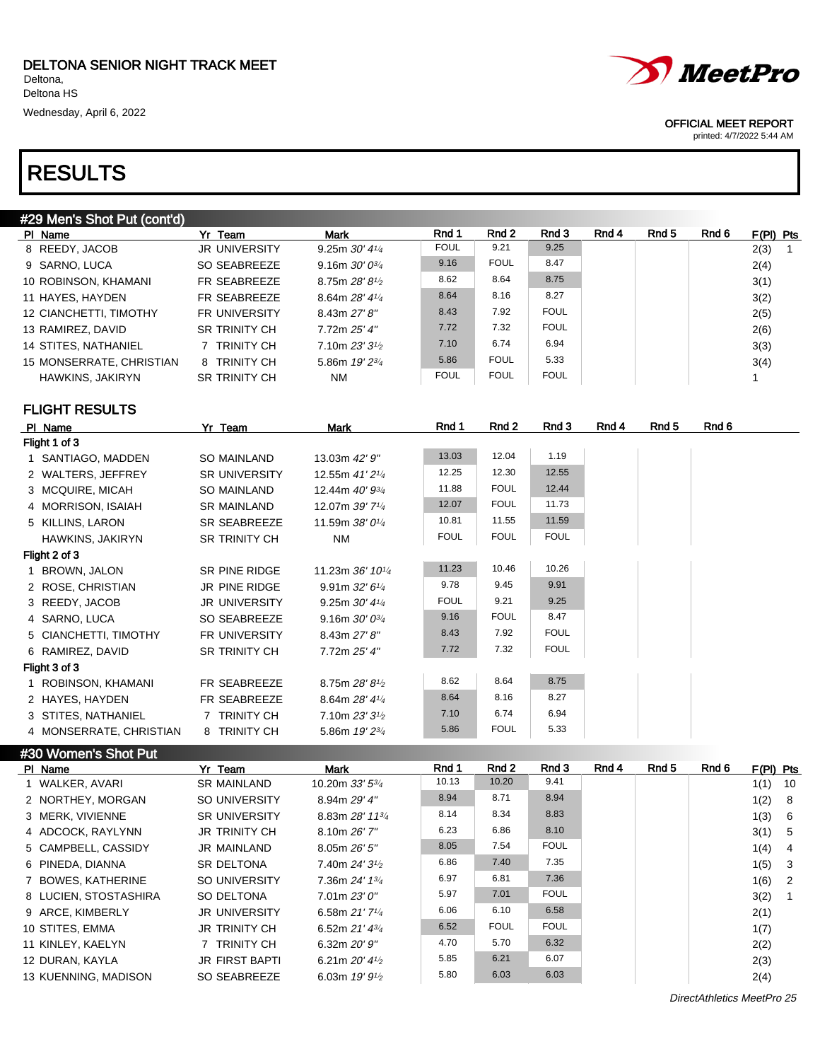| #29 Men's Shot Put (cont'd) |                          |                      |                             |             |             |             |       |       |       |             |
|-----------------------------|--------------------------|----------------------|-----------------------------|-------------|-------------|-------------|-------|-------|-------|-------------|
|                             | PI Name                  | Yr Team              | Mark                        | Rnd 1       | Rnd 2       | Rnd 3       | Rnd 4 | Rnd 5 | Rnd 6 | $F(PI)$ Pts |
|                             | 8 REEDY, JACOB           | <b>JR UNIVERSITY</b> | 9.25m $30'$ 4 $\frac{1}{4}$ | <b>FOUL</b> | 9.21        | 9.25        |       |       |       | 2(3)        |
|                             | 9 SARNO, LUCA            | SO SEABREEZE         | 9.16m $30'0^{3}/4$          | 9.16        | <b>FOUL</b> | 8.47        |       |       |       | 2(4)        |
|                             | 10 ROBINSON, KHAMANI     | FR SEABREEZE         | 8.75m $28'8\frac{1}{2}$     | 8.62        | 8.64        | 8.75        |       |       |       | 3(1)        |
|                             | 11 HAYES, HAYDEN         | FR SEABREEZE         | 8.64m $28'4\frac{1}{4}$     | 8.64        | 8.16        | 8.27        |       |       |       | 3(2)        |
|                             | 12 CIANCHETTI, TIMOTHY   | <b>FR UNIVERSITY</b> | 8.43m 27' 8''               | 8.43        | 7.92        | <b>FOUL</b> |       |       |       | 2(5)        |
|                             | 13 RAMIREZ, DAVID        | <b>SR TRINITY CH</b> | 7.72m 25' 4"                | 7.72        | 7.32        | <b>FOUL</b> |       |       |       | 2(6)        |
|                             | 14 STITES, NATHANIEL     | <b>TRINITY CH</b>    | 7.10m $23'3\frac{1}{2}$     | 7.10        | 6.74        | 6.94        |       |       |       | 3(3)        |
|                             | 15 MONSERRATE, CHRISTIAN | 8 TRINITY CH         | 5.86m $19'2^{3}/4$          | 5.86        | <b>FOUL</b> | 5.33        |       |       |       | 3(4)        |
|                             | HAWKINS, JAKIRYN         | <b>SR TRINITY CH</b> | <b>NM</b>                   | <b>FOUL</b> | <b>FOUL</b> | <b>FOUL</b> |       |       |       |             |

### FLIGHT RESULTS

#30 Women's Shot Put

| PI Name                 | Yr Team              | Mark                        | Rnd 1       | Rnd 2       | Rnd 3       | Rnd 4 | Rnd 5 | Rnd 6 |
|-------------------------|----------------------|-----------------------------|-------------|-------------|-------------|-------|-------|-------|
| Flight 1 of 3           |                      |                             |             |             |             |       |       |       |
| 1 SANTIAGO, MADDEN      | SO MAINLAND          | 13.03m 42' 9"               | 13.03       | 12.04       | 1.19        |       |       |       |
| 2 WALTERS, JEFFREY      | <b>SR UNIVERSITY</b> | 12.55m 41' 21/4             | 12.25       | 12.30       | 12.55       |       |       |       |
| 3 MCQUIRE, MICAH        | SO MAINLAND          | 12.44m 40' 93/4             | 11.88       | <b>FOUL</b> | 12.44       |       |       |       |
| 4 MORRISON, ISAIAH      | <b>SR MAINLAND</b>   | 12.07m 39' 71/4             | 12.07       | <b>FOUL</b> | 11.73       |       |       |       |
| 5 KILLINS, LARON        | SR SEABREEZE         | 11.59m 38' 01/4             | 10.81       | 11.55       | 11.59       |       |       |       |
| HAWKINS, JAKIRYN        | <b>SR TRINITY CH</b> | NM                          | <b>FOUL</b> | <b>FOUL</b> | <b>FOUL</b> |       |       |       |
| Flight 2 of 3           |                      |                             |             |             |             |       |       |       |
| 1 BROWN, JALON          | SR PINE RIDGE        | 11.23m 36' 101/4            | 11.23       | 10.46       | 10.26       |       |       |       |
| 2 ROSE, CHRISTIAN       | JR PINE RIDGE        | 9.91m $32'6''$              | 9.78        | 9.45        | 9.91        |       |       |       |
| 3 REEDY, JACOB          | <b>JR UNIVERSITY</b> | 9.25m $30'$ 4 $\frac{1}{4}$ | <b>FOUL</b> | 9.21        | 9.25        |       |       |       |
| 4 SARNO, LUCA           | SO SEABREEZE         | 9.16m $30'0^{3}/4$          | 9.16        | <b>FOUL</b> | 8.47        |       |       |       |
| 5 CIANCHETTI, TIMOTHY   | <b>FR UNIVERSITY</b> | 8.43m 27' 8''               | 8.43        | 7.92        | <b>FOUL</b> |       |       |       |
| 6 RAMIREZ, DAVID        | <b>SR TRINITY CH</b> | 7.72m 25' 4"                | 7.72        | 7.32        | <b>FOUL</b> |       |       |       |
| Flight 3 of 3           |                      |                             |             |             |             |       |       |       |
| 1 ROBINSON, KHAMANI     | FR SEABREEZE         | 8.75m $28'8'$               | 8.62        | 8.64        | 8.75        |       |       |       |
| 2 HAYES, HAYDEN         | FR SEABREEZE         | 8.64m 28' 41/4              | 8.64        | 8.16        | 8.27        |       |       |       |
| 3 STITES, NATHANIEL     | 7 TRINITY CH         | 7.10m $23'3^{1/2}$          | 7.10        | 6.74        | 6.94        |       |       |       |
| 4 MONSERRATE, CHRISTIAN | 8 TRINITY CH         | 5.86m 19' 23/4              | 5.86        | <b>FOUL</b> | 5.33        |       |       |       |

PIName 7 Yr Team Mark Rnd 1 Rnd 2 Rnd 3 Rnd 4 Rnd 5 Rnd 6 F(PI) Pts 1 WALKER, AVARI SR MAINLAND 10.20m 33' 53/4 10.13 10.20 9.41 1(1) 10 2 NORTHEY, MORGAN SO UNIVERSITY 8.94m 29' 4" 8.94 8.71 8.94 1(2) 8 3 MERK, VIVIENNE SR UNIVERSITY 8.83m 28' 113/<sup>4</sup> 8.14 8.34 8.83 1(3) 6 4 ADCOCK, RAYLYNN JR TRINITY CH 8.10m 26' 7" 6.23 6.86 8.10 3(1) 5 5 CAMPBELL, CASSIDY JR MAINLAND 8.05m 26' 5" 8.05 7.54 FOUL 1(4) 4 6 PINEDA, DIANNA SR DELTONA 7.40m 24' 31/2 6.86 7.40 7.35 1(5) 3 7 BOWES, KATHERINE SO UNIVERSITY 7.36m 24' 13/4 6.97 6.81 7.36 1(6) 2 8 LUCIEN, STOSTASHIRA SO DELTONA 7.01m 23' 0" 5.97 7.01 FOUL 3(2) 1 9 ARCE, KIMBERLY JR UNIVERSITY 6.58m 21' 7<sup>1/4</sup> 6.06 6.10 6.58 2(1) 10 STITES, EMMA JR TRINITY CH 6.52m 21' 43/<sup>4</sup> 6.52 FOUL FOUL 1(7) 11 KINLEY, KAELYN 7 TRINITY CH 6.32m 20' 9"  $4.70$   $5.70$   $6.32$   $2(2)$ 12 DURAN, KAYLA JR FIRST BAPTI 6.21m 20' 41/<sup>2</sup> 5.85 6.21 6.07 2(3) 13 KUENNING, MADISON SO SEABREEZE 6.03m 19' 9<sup>1/2</sup> 5.80 6.03 6.03 2(4)

DirectAthletics MeetPro 25



### OFFICIAL MEET REPORT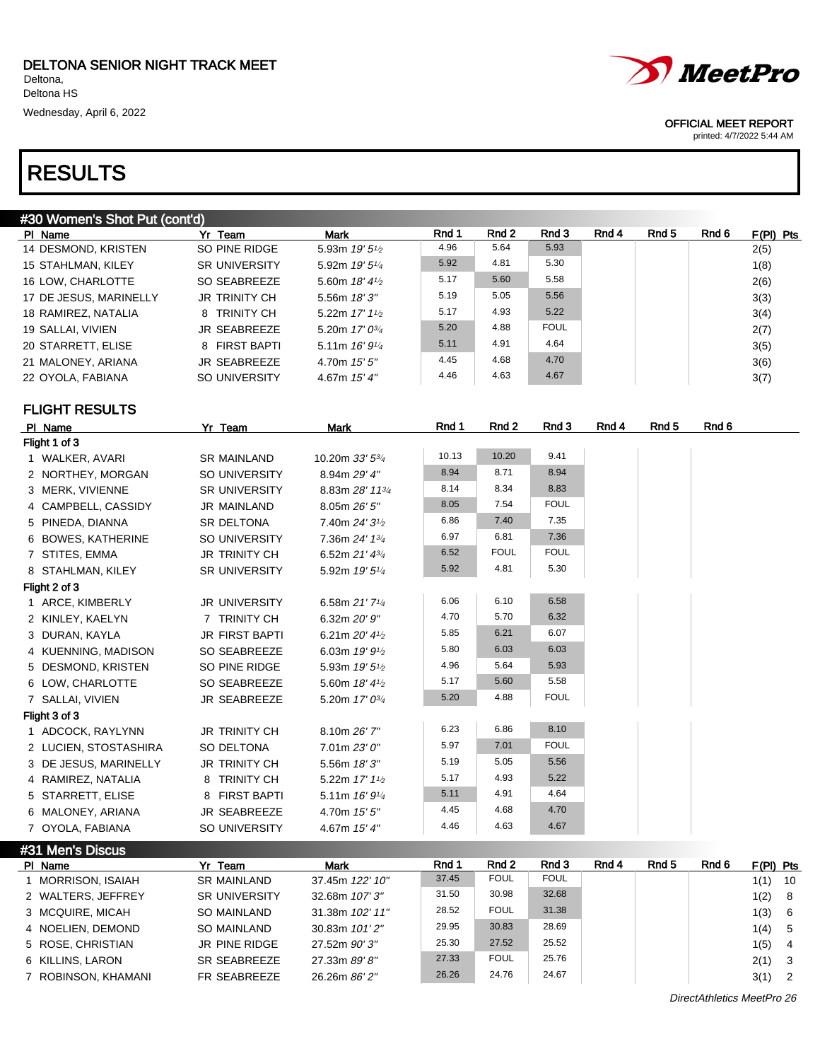$\overline{\phantom{a}}$ 

| #30 Women's Shot Put (cont'd) |                      |                            |       |       |             |       |       |       |             |
|-------------------------------|----------------------|----------------------------|-------|-------|-------------|-------|-------|-------|-------------|
| PI Name                       | Yr Team              | Mark                       | Rnd 1 | Rnd 2 | Rnd 3       | Rnd 4 | Rnd 5 | Rnd 6 | $F(PI)$ Pts |
| 14 DESMOND, KRISTEN           | SO PINE RIDGE        | 5.93m $19'5\frac{1}{2}$    | 4.96  | 5.64  | 5.93        |       |       |       | 2(5)        |
| 15 STAHLMAN, KILEY            | <b>SR UNIVERSITY</b> | 5.92m $19'5\frac{1}{4}$    | 5.92  | 4.81  | 5.30        |       |       |       | 1(8)        |
| 16 LOW. CHARLOTTE             | SO SEABREEZE         | 5.60m $18'4\frac{1}{2}$    | 5.17  | 5.60  | 5.58        |       |       |       | 2(6)        |
| 17 DE JESUS, MARINELLY        | <b>JR TRINITY CH</b> | 5.56m $18'3''$             | 5.19  | 5.05  | 5.56        |       |       |       | 3(3)        |
| 18 RAMIREZ, NATALIA           | 8 TRINITY CH         | 5.22m $17'$ $1\frac{1}{2}$ | 5.17  | 4.93  | 5.22        |       |       |       | 3(4)        |
| 19 SALLAI, VIVIEN             | JR SEABREEZE         | 5.20m $17'0^{3/4}$         | 5.20  | 4.88  | <b>FOUL</b> |       |       |       | 2(7)        |
| 20 STARRETT, ELISE            | 8 FIRST BAPTI        | 5.11m $16'9\frac{1}{4}$    | 5.11  | 4.91  | 4.64        |       |       |       | 3(5)        |
| 21 MALONEY, ARIANA            | <b>JR SEABREEZE</b>  | 4.70m $15'5''$             | 4.45  | 4.68  | 4.70        |       |       |       | 3(6)        |
| 22 OYOLA, FABIANA             | SO UNIVERSITY        | 4.67m $15'4''$             | 4.46  | 4.63  | 4.67        |       |       |       | 3(7)        |

FLIGHT RESULTS

 $J_{\rm m}$  Di

| PI Name               | Yr Team               | Mark                                      | Rnd 1 | Rnd 2       | Rnd 3       | Rnd 4 | Rnd 5 | Rnd 6 |  |
|-----------------------|-----------------------|-------------------------------------------|-------|-------------|-------------|-------|-------|-------|--|
| Flight 1 of 3         |                       |                                           |       |             |             |       |       |       |  |
| 1 WALKER, AVARI       | <b>SR MAINLAND</b>    | 10.20m 33' 53/4                           | 10.13 | 10.20       | 9.41        |       |       |       |  |
| 2 NORTHEY, MORGAN     | SO UNIVERSITY         | 8.94m 29' 4"                              | 8.94  | 8.71        | 8.94        |       |       |       |  |
| 3 MERK, VIVIENNE      | <b>SR UNIVERSITY</b>  | 8.83m 28' 1134                            | 8.14  | 8.34        | 8.83        |       |       |       |  |
| 4 CAMPBELL, CASSIDY   | <b>JR MAINLAND</b>    | 8.05m 26' 5"                              | 8.05  | 7.54        | <b>FOUL</b> |       |       |       |  |
| 5 PINEDA, DIANNA      | SR DELTONA            | 7.40m 24' 3 <sup>1/2</sup>                | 6.86  | 7.40        | 7.35        |       |       |       |  |
| 6 BOWES, KATHERINE    | SO UNIVERSITY         | 7.36m 24' 13/4                            | 6.97  | 6.81        | 7.36        |       |       |       |  |
| 7 STITES, EMMA        | <b>JR TRINITY CH</b>  | 6.52m 21' 43/4                            | 6.52  | <b>FOUL</b> | <b>FOUL</b> |       |       |       |  |
| 8 STAHLMAN, KILEY     | <b>SR UNIVERSITY</b>  | 5.92m 19' 51/4                            | 5.92  | 4.81        | 5.30        |       |       |       |  |
| Flight 2 of 3         |                       |                                           |       |             |             |       |       |       |  |
| 1 ARCE, KIMBERLY      | <b>JR UNIVERSITY</b>  | 6.58m 21' 71/4                            | 6.06  | 6.10        | 6.58        |       |       |       |  |
| 2 KINLEY, KAELYN      | 7 TRINITY CH          | 6.32m 20' 9"                              | 4.70  | 5.70        | 6.32        |       |       |       |  |
| 3 DURAN, KAYLA        | <b>JR FIRST BAPTI</b> | 6.21m $20'$ 4 <sup>1</sup> / <sub>2</sub> | 5.85  | 6.21        | 6.07        |       |       |       |  |
| 4 KUENNING, MADISON   | SO SEABREEZE          | 6.03m 19' 9 <sup>1</sup> / <sub>2</sub>   | 5.80  | 6.03        | 6.03        |       |       |       |  |
| 5 DESMOND, KRISTEN    | SO PINE RIDGE         | 5.93m 19' 5 <sup>1</sup> /2               | 4.96  | 5.64        | 5.93        |       |       |       |  |
| 6 LOW, CHARLOTTE      | SO SEABREEZE          | 5.60m 18' 41/2                            | 5.17  | 5.60        | 5.58        |       |       |       |  |
| 7 SALLAI, VIVIEN      | <b>JR SEABREEZE</b>   | 5.20m 17' 03/4                            | 5.20  | 4.88        | <b>FOUL</b> |       |       |       |  |
| Flight 3 of 3         |                       |                                           |       |             |             |       |       |       |  |
| 1 ADCOCK, RAYLYNN     | <b>JR TRINITY CH</b>  | 8.10m 26' 7"                              | 6.23  | 6.86        | 8.10        |       |       |       |  |
| 2 LUCIEN, STOSTASHIRA | SO DELTONA            | 7.01m 23'0''                              | 5.97  | 7.01        | <b>FOUL</b> |       |       |       |  |
| 3 DE JESUS, MARINELLY | <b>JR TRINITY CH</b>  | 5.56m 18'3"                               | 5.19  | 5.05        | 5.56        |       |       |       |  |
| 4 RAMIREZ, NATALIA    | 8 TRINITY CH          | 5.22m 17' 11/2                            | 5.17  | 4.93        | 5.22        |       |       |       |  |
| 5 STARRETT, ELISE     | 8 FIRST BAPTI         | 5.11m 16' 91/4                            | 5.11  | 4.91        | 4.64        |       |       |       |  |
| 6 MALONEY, ARIANA     | <b>JR SEABREEZE</b>   | 4.70m 15' 5"                              | 4.45  | 4.68        | 4.70        |       |       |       |  |
| 7 OYOLA, FABIANA      | <b>SO UNIVERSITY</b>  | 4.67m 15' 4"                              | 4.46  | 4.63        | 4.67        |       |       |       |  |

| #31 MENS DISCUS I   |                      |                 |       |             |             |       |       |       |             |                            |
|---------------------|----------------------|-----------------|-------|-------------|-------------|-------|-------|-------|-------------|----------------------------|
| PI Name             | Yr Team              | <b>Mark</b>     | Rnd 1 | Rnd 2       | Rnd 3       | Rnd 4 | Rnd 5 | Rnd 6 | $F(PI)$ Pts |                            |
| MORRISON, ISAIAH    | <b>SR MAINLAND</b>   | 37.45m 122' 10" | 37.45 | <b>FOUL</b> | <b>FOUL</b> |       |       |       | 1(1)        | 10                         |
| 2 WALTERS, JEFFREY  | <b>SR UNIVERSITY</b> | 32.68m 107' 3"  | 31.50 | 30.98       | 32.68       |       |       |       | 1(2)        | 8                          |
| 3 MCQUIRE, MICAH    | <b>SO MAINLAND</b>   | 31.38m 102' 11" | 28.52 | <b>FOUL</b> | 31.38       |       |       |       | 1(3)        | 6                          |
| 4 NOELIEN, DEMOND   | SO MAINLAND          | 30.83m 101'2"   | 29.95 | 30.83       | 28.69       |       |       |       | 1(4)        | 5                          |
| 5 ROSE, CHRISTIAN   | JR PINE RIDGE        | 27.52m 90'3"    | 25.30 | 27.52       | 25.52       |       |       |       | 1(5)        | $\overline{4}$             |
| 6 KILLINS, LARON    | SR SEABREEZE         | 27.33m 89'8"    | 27.33 | <b>FOUL</b> | 25.76       |       |       |       | 2(1)        | $\overline{\mathbf{3}}$    |
| 7 ROBINSON, KHAMANI | FR SEABREEZE         | 26.26m 86' 2"   | 26.26 | 24.76       | 24.67       |       |       |       | 3(1)        | $\overline{\phantom{0}}^2$ |

DirectAthletics MeetPro 26



### OFFICIAL MEET REPORT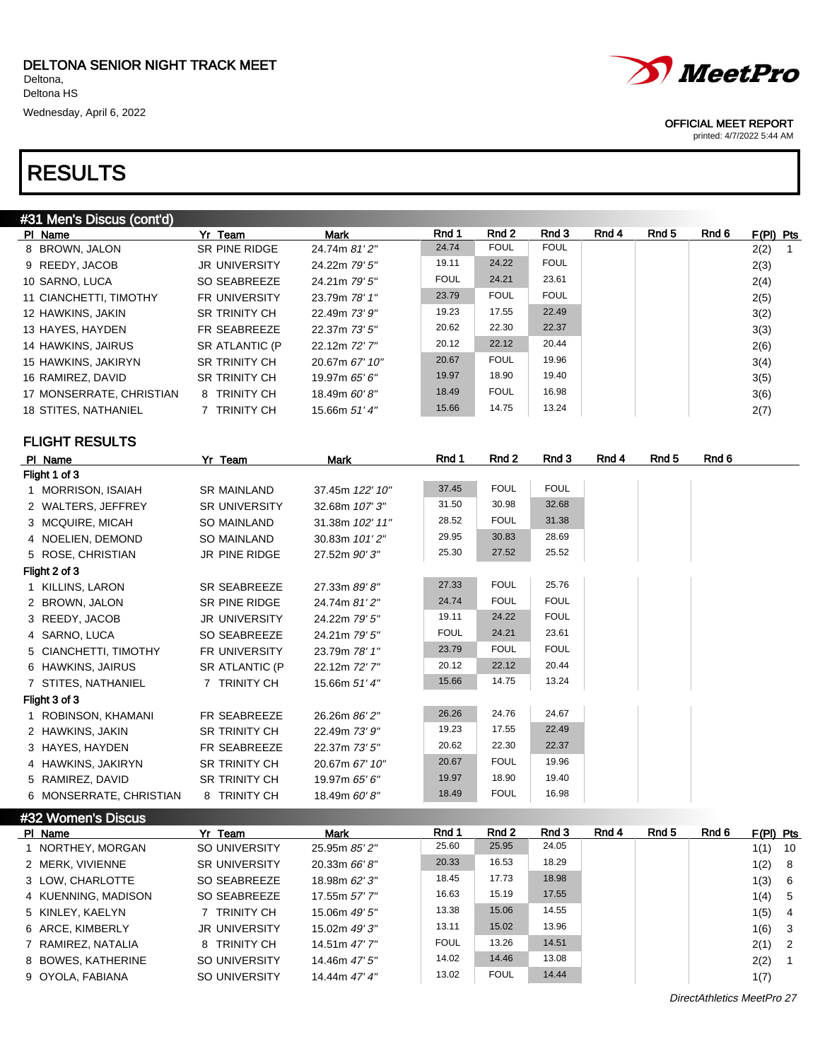| #31 Men's Discus (cont'd) |                       |                 |             |             |             |       |                  |       |                        |
|---------------------------|-----------------------|-----------------|-------------|-------------|-------------|-------|------------------|-------|------------------------|
| PI Name                   | Yr Team               | <b>Mark</b>     | Rnd 1       | Rnd 2       | Rnd 3       | Rnd 4 | Rnd <sub>5</sub> | Rnd 6 | $F(PI)$ Pts            |
| 8 BROWN, JALON            | SR PINE RIDGE         | 24.74m 81' 2"   | 24.74       | <b>FOUL</b> | <b>FOUL</b> |       |                  |       | 2(2)<br>$\overline{1}$ |
| 9 REEDY, JACOB            | JR UNIVERSITY         | 24.22m 79' 5"   | 19.11       | 24.22       | <b>FOUL</b> |       |                  |       | 2(3)                   |
| 10 SARNO, LUCA            | SO SEABREEZE          | 24.21m 79' 5"   | <b>FOUL</b> | 24.21       | 23.61       |       |                  |       | 2(4)                   |
| 11 CIANCHETTI, TIMOTHY    | FR UNIVERSITY         | 23.79m 78' 1"   | 23.79       | <b>FOUL</b> | <b>FOUL</b> |       |                  |       | 2(5)                   |
| 12 HAWKINS, JAKIN         | <b>SR TRINITY CH</b>  | 22.49m 73' 9"   | 19.23       | 17.55       | 22.49       |       |                  |       | 3(2)                   |
| 13 HAYES, HAYDEN          | FR SEABREEZE          | 22.37m 73' 5"   | 20.62       | 22.30       | 22.37       |       |                  |       | 3(3)                   |
| 14 HAWKINS, JAIRUS        | SR ATLANTIC (P        | 22.12m 72' 7"   | 20.12       | 22.12       | 20.44       |       |                  |       | 2(6)                   |
| 15 HAWKINS, JAKIRYN       | SR TRINITY CH         | 20.67m 67' 10"  | 20.67       | <b>FOUL</b> | 19.96       |       |                  |       | 3(4)                   |
| 16 RAMIREZ, DAVID         | <b>SR TRINITY CH</b>  | 19.97m 65' 6"   | 19.97       | 18.90       | 19.40       |       |                  |       | 3(5)                   |
| 17 MONSERRATE, CHRISTIAN  | 8 TRINITY CH          | 18.49m 60'8"    | 18.49       | <b>FOUL</b> | 16.98       |       |                  |       | 3(6)                   |
| 18 STITES, NATHANIEL      | 7 TRINITY CH          | 15.66m 51'4"    | 15.66       | 14.75       | 13.24       |       |                  |       | 2(7)                   |
| <b>FLIGHT RESULTS</b>     |                       |                 |             |             |             |       |                  |       |                        |
| PI Name                   | Yr Team               | Mark            | Rnd 1       | Rnd 2       | Rnd 3       | Rnd 4 | Rnd <sub>5</sub> | Rnd 6 |                        |
| Flight 1 of 3             |                       |                 |             |             |             |       |                  |       |                        |
| 1 MORRISON, ISAIAH        | <b>SR MAINLAND</b>    | 37.45m 122' 10" | 37.45       | <b>FOUL</b> | <b>FOUL</b> |       |                  |       |                        |
| 2 WALTERS, JEFFREY        | SR UNIVERSITY         | 32.68m 107' 3"  | 31.50       | 30.98       | 32.68       |       |                  |       |                        |
| 3 MCQUIRE, MICAH          | <b>SO MAINLAND</b>    | 31.38m 102' 11" | 28.52       | <b>FOUL</b> | 31.38       |       |                  |       |                        |
| 4 NOELIEN, DEMOND         | <b>SO MAINLAND</b>    | 30.83m 101'2"   | 29.95       | 30.83       | 28.69       |       |                  |       |                        |
| 5 ROSE, CHRISTIAN         | JR PINE RIDGE         | 27.52m 90'3"    | 25.30       | 27.52       | 25.52       |       |                  |       |                        |
| Flight 2 of 3             |                       |                 |             |             |             |       |                  |       |                        |
| 1 KILLINS, LARON          | <b>SR SEABREEZE</b>   | 27.33m 89'8"    | 27.33       | <b>FOUL</b> | 25.76       |       |                  |       |                        |
| 2 BROWN, JALON            | SR PINE RIDGE         | 24.74m 81' 2"   | 24.74       | <b>FOUL</b> | <b>FOUL</b> |       |                  |       |                        |
| 3 REEDY, JACOB            | JR UNIVERSITY         | 24.22m 79' 5"   | 19.11       | 24.22       | <b>FOUL</b> |       |                  |       |                        |
| 4 SARNO, LUCA             | SO SEABREEZE          | 24.21m 79' 5"   | <b>FOUL</b> | 24.21       | 23.61       |       |                  |       |                        |
| 5 CIANCHETTI, TIMOTHY     | FR UNIVERSITY         | 23.79m 78' 1"   | 23.79       | <b>FOUL</b> | <b>FOUL</b> |       |                  |       |                        |
| 6 HAWKINS, JAIRUS         | <b>SR ATLANTIC (P</b> | 22.12m 72'7"    | 20.12       | 22.12       | 20.44       |       |                  |       |                        |
| 7 STITES, NATHANIEL       | 7 TRINITY CH          | 15.66m 51' 4"   | 15.66       | 14.75       | 13.24       |       |                  |       |                        |
| Flight 3 of 3             |                       |                 |             |             |             |       |                  |       |                        |
| 1 ROBINSON, KHAMANI       | FR SEABREEZE          | 26.26m 86' 2"   | 26.26       | 24.76       | 24.67       |       |                  |       |                        |
| 2 HAWKINS, JAKIN          | SR TRINITY CH         | 22.49m 73' 9"   | 19.23       | 17.55       | 22.49       |       |                  |       |                        |
| 3 HAYES, HAYDEN           | FR SEABREEZE          | 22.37m 73' 5"   | 20.62       | 22.30       | 22.37       |       |                  |       |                        |
| 4 HAWKINS, JAKIRYN        | SR TRINITY CH         | 20.67m 67' 10"  | 20.67       | <b>FOUL</b> | 19.96       |       |                  |       |                        |
| 5 RAMIREZ, DAVID          | SR TRINITY CH         | 19.97m 65' 6"   | 19.97       | 18.90       | 19.40       |       |                  |       |                        |
| 6 MONSERRATE, CHRISTIAN   | 8 TRINITY CH          | 18.49m 60'8"    | 18.49       | <b>FOUL</b> | 16.98       |       |                  |       |                        |
| #32 Women's Discus        |                       |                 |             |             |             |       |                  |       |                        |

| PI Name             | Yr Team              | <b>Mark</b>     | Rnd 1       | Rnd 2       | Rnd 3 | Rnd 4 | Rnd 5 | Rnd 6 |      |                                                       |
|---------------------|----------------------|-----------------|-------------|-------------|-------|-------|-------|-------|------|-------------------------------------------------------|
| 1 NORTHEY, MORGAN   | SO UNIVERSITY        | 25.95m 85' 2"   | 25.60       | 25.95       | 24.05 |       |       |       | 1(1) | 10                                                    |
| 2 MERK, VIVIENNE    | <b>SR UNIVERSITY</b> | 20.33m $66'8''$ | 20.33       | 16.53       | 18.29 |       |       |       |      |                                                       |
| 3 LOW. CHARLOTTE    | SO SEABREEZE         | 18.98m 62' 3"   | 18.45       | 17.73       | 18.98 |       |       |       | 1(3) | 6                                                     |
| 4 KUENNING, MADISON | SO SEABREEZE         | 17.55m 57' 7"   | 16.63       | 15.19       | 17.55 |       |       |       |      |                                                       |
| 5 KINLEY, KAELYN    | 7 TRINITY CH         | 15.06m 49' 5"   | 13.38       | 15.06       | 14.55 |       |       |       | 1(5) | $\overline{4}$                                        |
| 6 ARCE, KIMBERLY    | <b>JR UNIVERSITY</b> | 15.02m 49'3"    | 13.11       | 15.02       | 13.96 |       |       |       |      |                                                       |
| 7 RAMIREZ, NATALIA  | 8 TRINITY CH         | 14.51m 47' 7"   | <b>FOUL</b> | 13.26       | 14.51 |       |       |       |      |                                                       |
| 8 BOWES, KATHERINE  | SO UNIVERSITY        | 14.46m 47' 5"   | 14.02       | 14.46       | 13.08 |       |       |       | 2(2) | $\blacksquare$ 1                                      |
| 9 OYOLA, FABIANA    | SO UNIVERSITY        | 14.44m 47' 4"   | 13.02       | <b>FOUL</b> | 14.44 |       |       |       | 1(7) |                                                       |
|                     |                      |                 |             |             |       |       |       |       |      | $F(PI)$ Pts<br>1(2) 8<br>1(4) 5<br>1(6) 3<br>$2(1)$ 2 |

DirectAthletics MeetPro 27



OFFICIAL MEET REPORT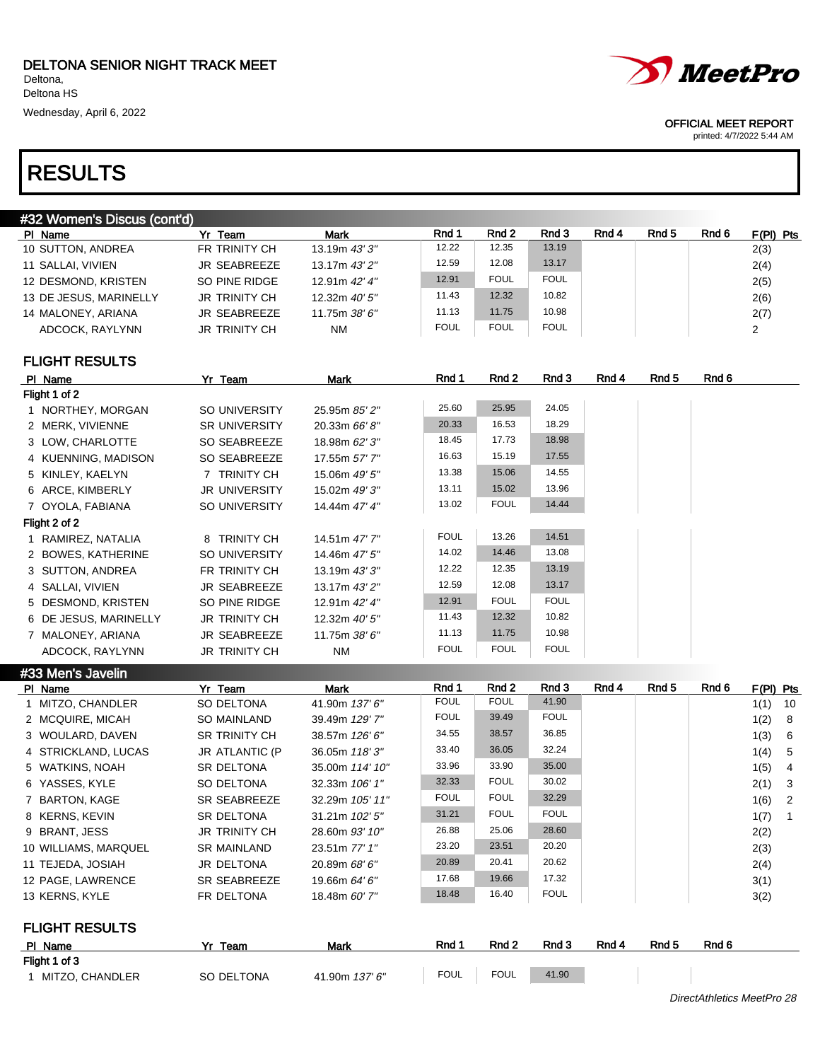| #32 Women's Discus (cont'd) |                      |                 |             |             |             |       |       |       |             |
|-----------------------------|----------------------|-----------------|-------------|-------------|-------------|-------|-------|-------|-------------|
| PI Name                     | Yr Team              | Mark            | Rnd 1       | Rnd 2       | Rnd 3       | Rnd 4 | Rnd 5 | Rnd 6 | $F(PI)$ Pts |
| 10 SUTTON, ANDREA           | FR TRINITY CH        | 13.19m $43'3''$ | 12.22       | 12.35       | 13.19       |       |       |       | 2(3)        |
| 11 SALLAI. VIVIEN           | JR SEABREEZE         | 13.17m 43' 2"   | 12.59       | 12.08       | 13.17       |       |       |       | 2(4)        |
| 12 DESMOND, KRISTEN         | SO PINE RIDGE        | 12.91m 42' 4"   | 12.91       | <b>FOUL</b> | <b>FOUL</b> |       |       |       | 2(5)        |
| 13 DE JESUS, MARINELLY      | <b>JR TRINITY CH</b> | 12.32m $40'5''$ | 11.43       | 12.32       | 10.82       |       |       |       | 2(6)        |
| 14 MALONEY, ARIANA          | <b>JR SEABREEZE</b>  | 11.75m 38' 6"   | 11.13       | 11.75       | 10.98       |       |       |       | 2(7)        |
| ADCOCK, RAYLYNN             | <b>JR TRINITY CH</b> | <b>NM</b>       | <b>FOUL</b> | <b>FOUL</b> | <b>FOUL</b> |       |       |       |             |
|                             |                      |                 |             |             |             |       |       |       |             |

### FLIGHT RESULTS

| PI Name               | Yr Team              | Mark            | Rnd 1       | Rnd 2       | Rnd 3       | Rnd 4 | Rnd 5 | Rnd 6 |
|-----------------------|----------------------|-----------------|-------------|-------------|-------------|-------|-------|-------|
| Flight 1 of 2         |                      |                 |             |             |             |       |       |       |
| 1 NORTHEY, MORGAN     | SO UNIVERSITY        | 25.95m 85' 2"   | 25.60       | 25.95       | 24.05       |       |       |       |
| 2 MERK, VIVIENNE      | <b>SR UNIVERSITY</b> | 20.33m 66' 8"   | 20.33       | 16.53       | 18.29       |       |       |       |
| 3 LOW, CHARLOTTE      | SO SEABREEZE         | 18.98m 62' 3"   | 18.45       | 17.73       | 18.98       |       |       |       |
| 4 KUENNING, MADISON   | SO SEABREEZE         | 17.55m 57' 7"   | 16.63       | 15.19       | 17.55       |       |       |       |
| 5 KINLEY, KAELYN      | 7 TRINITY CH         | 15.06m 49' 5"   | 13.38       | 15.06       | 14.55       |       |       |       |
| 6 ARCE, KIMBERLY      | <b>JR UNIVERSITY</b> | 15.02m 49'3"    | 13.11       | 15.02       | 13.96       |       |       |       |
| 7 OYOLA, FABIANA      | SO UNIVERSITY        | 14.44m 47' 4"   | 13.02       | <b>FOUL</b> | 14.44       |       |       |       |
| Flight 2 of 2         |                      |                 |             |             |             |       |       |       |
| 1 RAMIREZ, NATALIA    | 8 TRINITY CH         | 14.51m 47' 7"   | <b>FOUL</b> | 13.26       | 14.51       |       |       |       |
| 2 BOWES, KATHERINE    | SO UNIVERSITY        | 14.46m 47' 5"   | 14.02       | 14.46       | 13.08       |       |       |       |
| 3 SUTTON, ANDREA      | FR TRINITY CH        | 13.19m $43'3''$ | 12.22       | 12.35       | 13.19       |       |       |       |
| 4 SALLAI, VIVIEN      | <b>JR SEABREEZE</b>  | 13.17m 43' 2"   | 12.59       | 12.08       | 13.17       |       |       |       |
| 5 DESMOND, KRISTEN    | SO PINE RIDGE        | 12.91m 42' 4"   | 12.91       | <b>FOUL</b> | <b>FOUL</b> |       |       |       |
| 6 DE JESUS, MARINELLY | <b>JR TRINITY CH</b> | 12.32m 40' 5"   | 11.43       | 12.32       | 10.82       |       |       |       |
| 7 MALONEY, ARIANA     | <b>JR SEABREEZE</b>  | 11.75m 38' 6"   | 11.13       | 11.75       | 10.98       |       |       |       |
| ADCOCK, RAYLYNN       | <b>JR TRINITY CH</b> | <b>NM</b>       | <b>FOUL</b> | <b>FOUL</b> | <b>FOUL</b> |       |       |       |

| #33 Men's Javelin     |                      |                 |             |             |             |       |       |       |           |                |
|-----------------------|----------------------|-----------------|-------------|-------------|-------------|-------|-------|-------|-----------|----------------|
| PI Name               | Yr Team              | Mark            | Rnd 1       | Rnd 2       | Rnd 3       | Rnd 4 | Rnd 5 | Rnd 6 | F(PI) Pts |                |
| MITZO, CHANDLER       | SO DELTONA           | 41.90m 137' 6"  | <b>FOUL</b> | <b>FOUL</b> | 41.90       |       |       |       | 1(1)      | 10             |
| 2 MCQUIRE, MICAH      | SO MAINLAND          | 39.49m 129' 7"  | <b>FOUL</b> | 39.49       | <b>FOUL</b> |       |       |       | 1(2)      | -8             |
| 3 WOULARD, DAVEN      | <b>SR TRINITY CH</b> | 38.57m 126' 6"  | 34.55       | 38.57       | 36.85       |       |       |       | 1(3)      | -6             |
| 4 STRICKLAND, LUCAS   | JR ATLANTIC (P       | 36.05m 118'3"   | 33.40       | 36.05       | 32.24       |       |       |       | 1(4)      | -5             |
| 5 WATKINS, NOAH       | <b>SR DELTONA</b>    | 35.00m 114' 10" | 33.96       | 33.90       | 35.00       |       |       |       | 1(5)      | 4              |
| 6 YASSES, KYLE        | SO DELTONA           | 32.33m 106' 1"  | 32.33       | <b>FOUL</b> | 30.02       |       |       |       | 2(1)      | -3             |
| 7 BARTON, KAGE        | SR SEABREEZE         | 32.29m 105' 11" | <b>FOUL</b> | <b>FOUL</b> | 32.29       |       |       |       | 1(6)      | $\overline{2}$ |
| 8 KERNS, KEVIN        | <b>SR DELTONA</b>    | 31.21m 102' 5"  | 31.21       | <b>FOUL</b> | <b>FOUL</b> |       |       |       | 1(7)      | -1             |
| 9 BRANT, JESS         | <b>JR TRINITY CH</b> | 28.60m 93' 10"  | 26.88       | 25.06       | 28.60       |       |       |       | 2(2)      |                |
| 10 WILLIAMS, MARQUEL  | <b>SR MAINLAND</b>   | 23.51m 77' 1"   | 23.20       | 23.51       | 20.20       |       |       |       | 2(3)      |                |
| 11 TEJEDA, JOSIAH     | JR DELTONA           | 20.89m 68' 6"   | 20.89       | 20.41       | 20.62       |       |       |       | 2(4)      |                |
| 12 PAGE, LAWRENCE     | <b>SR SEABREEZE</b>  | 19.66m 64' 6"   | 17.68       | 19.66       | 17.32       |       |       |       | 3(1)      |                |
| 13 KERNS, KYLE        | FR DELTONA           | 18.48m 60' 7"   | 18.48       | 16.40       | <b>FOUL</b> |       |       |       | 3(2)      |                |
| <b>FLIGHT RESULTS</b> |                      |                 |             |             |             |       |       |       |           |                |
| PI Name               | Yr Team              | Mark            | Rnd 1       | Rnd 2       | Rnd 3       | Rnd 4 | Rnd 5 | Rnd 6 |           |                |
| Flight 1 of 3         |                      |                 |             |             |             |       |       |       |           |                |
| 1 MITZO, CHANDLER     | SO DELTONA           | 41.90m 137' 6"  | <b>FOUL</b> | <b>FOUL</b> | 41.90       |       |       |       |           |                |

OFFICIAL MEET REPORT

*MeetPro*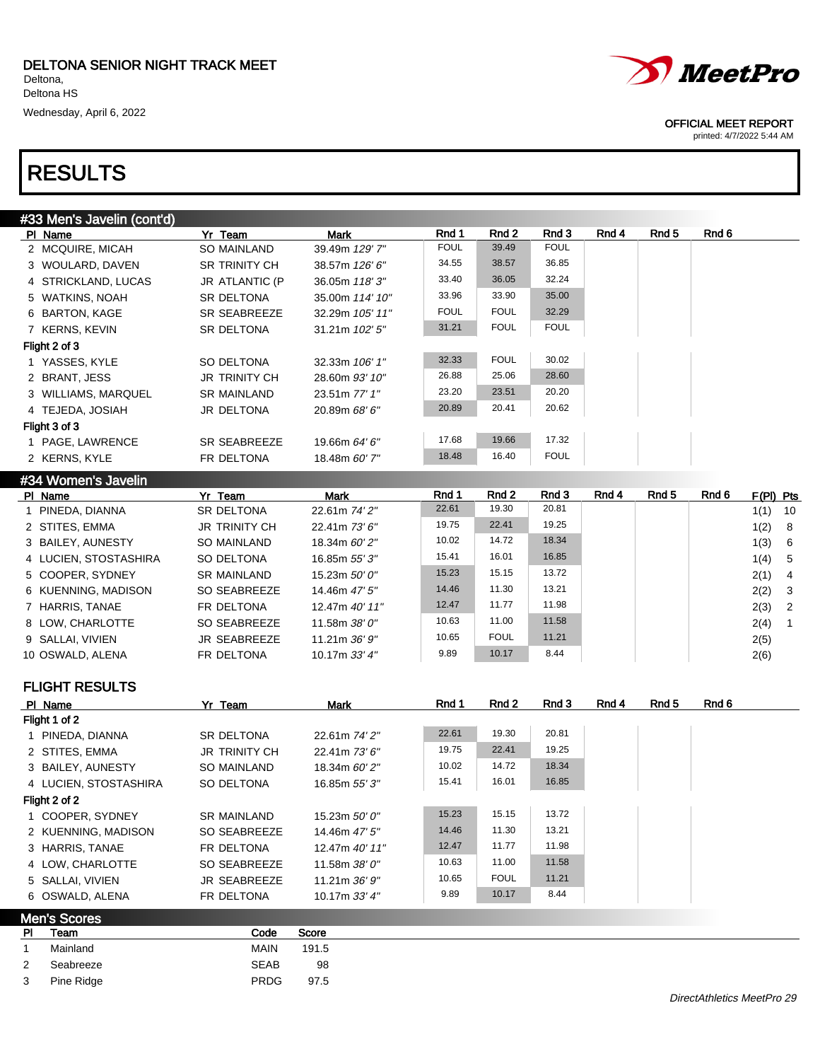



printed: 4/7/2022 5:44 AM

| #33 Men's Javelin (cont'd) |                      |                 |             |             |             |       |       |       |
|----------------------------|----------------------|-----------------|-------------|-------------|-------------|-------|-------|-------|
| PI Name                    | Yr Team              | Mark            | Rnd 1       | Rnd 2       | Rnd 3       | Rnd 4 | Rnd 5 | Rnd 6 |
| 2 MCQUIRE, MICAH           | SO MAINLAND          | 39.49m 129' 7"  | <b>FOUL</b> | 39.49       | <b>FOUL</b> |       |       |       |
| 3 WOULARD, DAVEN           | <b>SR TRINITY CH</b> | 38.57m 126' 6"  | 34.55       | 38.57       | 36.85       |       |       |       |
| 4 STRICKLAND, LUCAS        | JR ATLANTIC (P       | 36.05m 118'3"   | 33.40       | 36.05       | 32.24       |       |       |       |
| 5 WATKINS, NOAH            | <b>SR DELTONA</b>    | 35.00m 114' 10" | 33.96       | 33.90       | 35.00       |       |       |       |
| 6 BARTON, KAGE             | <b>SR SEABREEZE</b>  | 32.29m 105' 11" | <b>FOUL</b> | <b>FOUL</b> | 32.29       |       |       |       |
| 7 KERNS, KEVIN             | <b>SR DELTONA</b>    | 31.21m 102' 5"  | 31.21       | <b>FOUL</b> | <b>FOUL</b> |       |       |       |
| Flight 2 of 3              |                      |                 |             |             |             |       |       |       |
| 1 YASSES, KYLE             | SO DELTONA           | 32.33m 106' 1"  | 32.33       | <b>FOUL</b> | 30.02       |       |       |       |
| 2 BRANT, JESS              | <b>JR TRINITY CH</b> | 28.60m 93' 10"  | 26.88       | 25.06       | 28.60       |       |       |       |
| 3 WILLIAMS, MARQUEL        | <b>SR MAINLAND</b>   | 23.51m 77' 1"   | 23.20       | 23.51       | 20.20       |       |       |       |
| 4 TEJEDA, JOSIAH           | <b>JR DELTONA</b>    | 20.89m 68' 6"   | 20.89       | 20.41       | 20.62       |       |       |       |
| Flight 3 of 3              |                      |                 |             |             |             |       |       |       |
| 1 PAGE, LAWRENCE           | <b>SR SEABREEZE</b>  | 19.66m 64' 6"   | 17.68       | 19.66       | 17.32       |       |       |       |
| 2 KERNS, KYLE              | FR DELTONA           | 18.48m 60' 7"   | 18.48       | 16.40       | <b>FOUL</b> |       |       |       |
| #34 Women's Javelin        |                      |                 |             |             |             |       |       |       |

| PI Name               | Yr Team              | Mark            | Rnd 1 | Rnd 2       | Rnd 3 | Rnd 4 | Rnd 5 | Rnd 6 | $F(PI)$ Pts |    |
|-----------------------|----------------------|-----------------|-------|-------------|-------|-------|-------|-------|-------------|----|
| 1 PINEDA, DIANNA      | SR DELTONA           | 22.61m 74' 2"   | 22.61 | 19.30       | 20.81 |       |       |       | 1(1)        | 10 |
| 2 STITES, EMMA        | <b>JR TRINITY CH</b> | 22.41m 73' 6"   | 19.75 | 22.41       | 19.25 |       |       |       | 1(2) 8      |    |
| 3 BAILEY, AUNESTY     | SO MAINLAND          | 18.34m 60' 2"   | 10.02 | 14.72       | 18.34 |       |       |       | 1(3) 6      |    |
| 4 LUCIEN, STOSTASHIRA | SO DELTONA           | 16.85m 55' 3"   | 15.41 | 16.01       | 16.85 |       |       |       | 1(4) 5      |    |
| 5 COOPER, SYDNEY      | <b>SR MAINLAND</b>   | 15.23m $50'0''$ | 15.23 | 15.15       | 13.72 |       |       |       | $2(1)$ 4    |    |
| 6 KUENNING, MADISON   | SO SEABREEZE         | 14.46m 47' 5"   | 14.46 | 11.30       | 13.21 |       |       |       | $2(2)$ 3    |    |
| 7 HARRIS, TANAE       | FR DELTONA           | 12.47m 40' 11"  | 12.47 | 11.77       | 11.98 |       |       |       | $2(3)$ 2    |    |
| 8 LOW. CHARLOTTE      | SO SEABREEZE         | 11.58m 38' 0"   | 10.63 | 11.00       | 11.58 |       |       |       | 2(4)        |    |
| 9 SALLAI, VIVIEN      | <b>JR SEABREEZE</b>  | 11.21m $36'9''$ | 10.65 | <b>FOUL</b> | 11.21 |       |       |       | 2(5)        |    |
| 10 OSWALD, ALENA      | FR DELTONA           | 10.17m $33'4''$ | 9.89  | 10.17       | 8.44  |       |       |       | 2(6)        |    |

FLIGHT RESULTS

| PI Name               | Yr Team              | <b>Mark</b>     | Rnd 1 | Rnd 2       | Rnd 3 | Rnd 4 | Rnd 5 | Rnd 6 |
|-----------------------|----------------------|-----------------|-------|-------------|-------|-------|-------|-------|
| Flight 1 of 2         |                      |                 |       |             |       |       |       |       |
| 1 PINEDA, DIANNA      | <b>SR DELTONA</b>    | 22.61m 74' 2"   | 22.61 | 19.30       | 20.81 |       |       |       |
| 2 STITES, EMMA        | <b>JR TRINITY CH</b> | 22.41m 73' 6"   | 19.75 | 22.41       | 19.25 |       |       |       |
| 3 BAILEY, AUNESTY     | SO MAINLAND          | 18.34m 60' 2"   | 10.02 | 14.72       | 18.34 |       |       |       |
| 4 LUCIEN, STOSTASHIRA | SO DELTONA           | 16.85m 55' 3"   | 15.41 | 16.01       | 16.85 |       |       |       |
| Flight 2 of 2         |                      |                 |       |             |       |       |       |       |
| 1 COOPER, SYDNEY      | <b>SR MAINLAND</b>   | 15.23m 50' 0"   | 15.23 | 15.15       | 13.72 |       |       |       |
| 2 KUENNING, MADISON   | SO SEABREEZE         | 14.46m 47' 5"   | 14.46 | 11.30       | 13.21 |       |       |       |
| 3 HARRIS, TANAE       | FR DELTONA           | 12.47m 40' 11"  | 12.47 | 11.77       | 11.98 |       |       |       |
| 4 LOW. CHARLOTTE      | SO SEABREEZE         | 11.58m 38' 0"   | 10.63 | 11.00       | 11.58 |       |       |       |
| 5 SALLAI, VIVIEN      | JR SEABREEZE         | 11.21m $36'9''$ | 10.65 | <b>FOUL</b> | 11.21 |       |       |       |
| 6 OSWALD, ALENA       | FR DELTONA           | 10.17m $33'4''$ | 9.89  | 10.17       | 8.44  |       |       |       |
| <b>Men's Scores</b>   |                      |                 |       |             |       |       |       |       |

| PI            | Team       | Code        | Score |
|---------------|------------|-------------|-------|
|               | Mainland   | MAIN        | 191.5 |
| $\mathcal{P}$ | Seabreeze  | <b>SEAB</b> | 98    |
| 3             | Pine Ridge | <b>PRDG</b> | 97.5  |